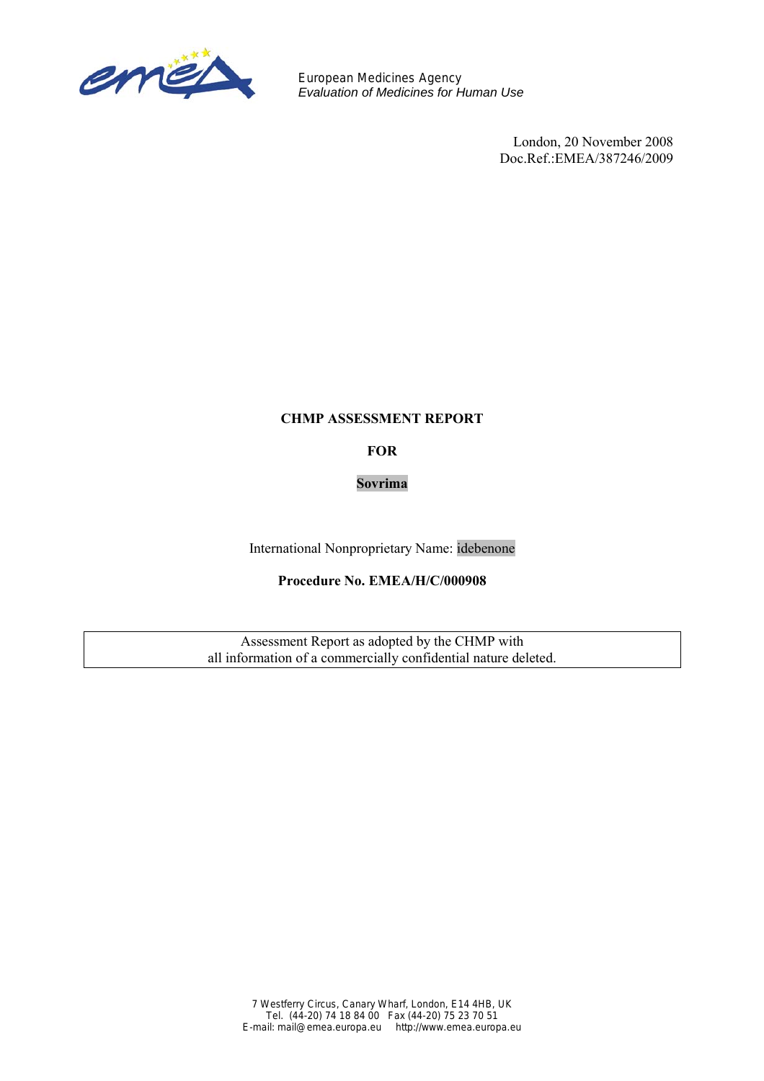

European Medicines Agency *Evaluation of Medicines for Human Use*

> London, 20 November 2008 Doc.Ref.:EMEA/387246/2009

# **CHMP ASSESSMENT REPORT**

**FOR** 

**Sovrima** 

International Nonproprietary Name: idebenone

# **Procedure No. EMEA/H/C/000908**

Assessment Report as adopted by the CHMP with all information of a commercially confidential nature deleted.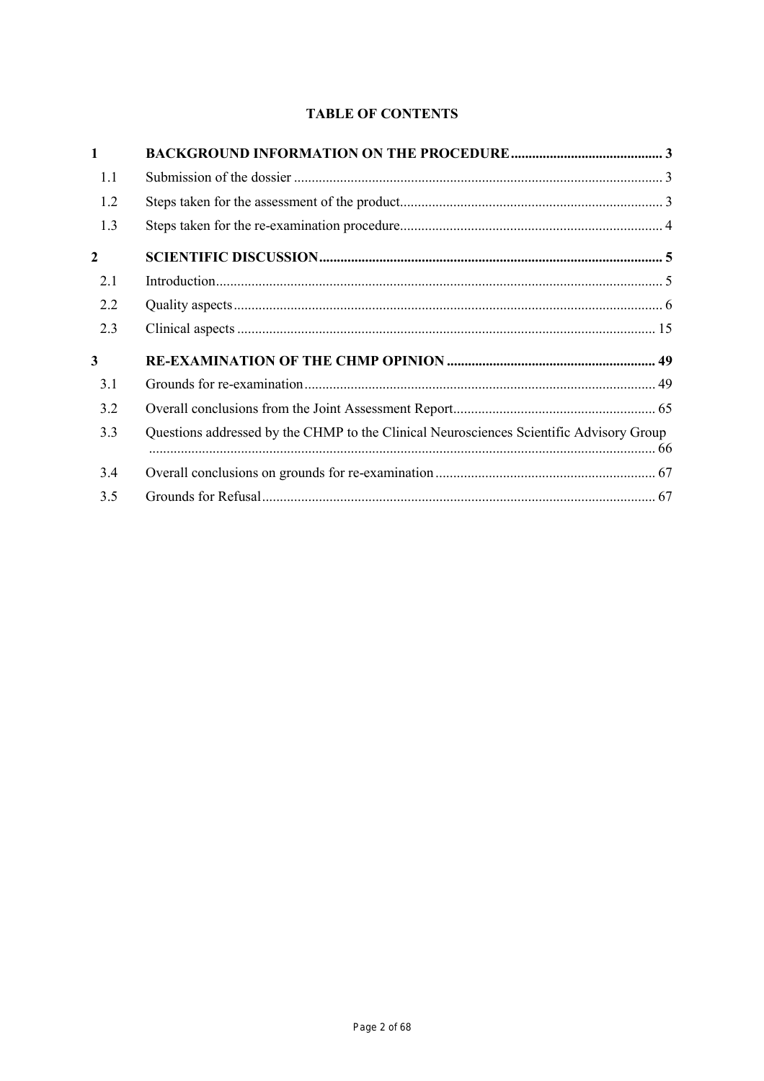# **TABLE OF CONTENTS**

| $\mathbf{1}$ |                                                                                         |  |
|--------------|-----------------------------------------------------------------------------------------|--|
| 1.1          |                                                                                         |  |
| 1.2          |                                                                                         |  |
| 1.3          |                                                                                         |  |
| $\mathbf{2}$ |                                                                                         |  |
| 2.1          |                                                                                         |  |
| 2.2          |                                                                                         |  |
| 2.3          |                                                                                         |  |
| 3            |                                                                                         |  |
| 3.1          |                                                                                         |  |
| 3.2          |                                                                                         |  |
| 3.3          | Questions addressed by the CHMP to the Clinical Neurosciences Scientific Advisory Group |  |
| 3.4          |                                                                                         |  |
| 3.5          |                                                                                         |  |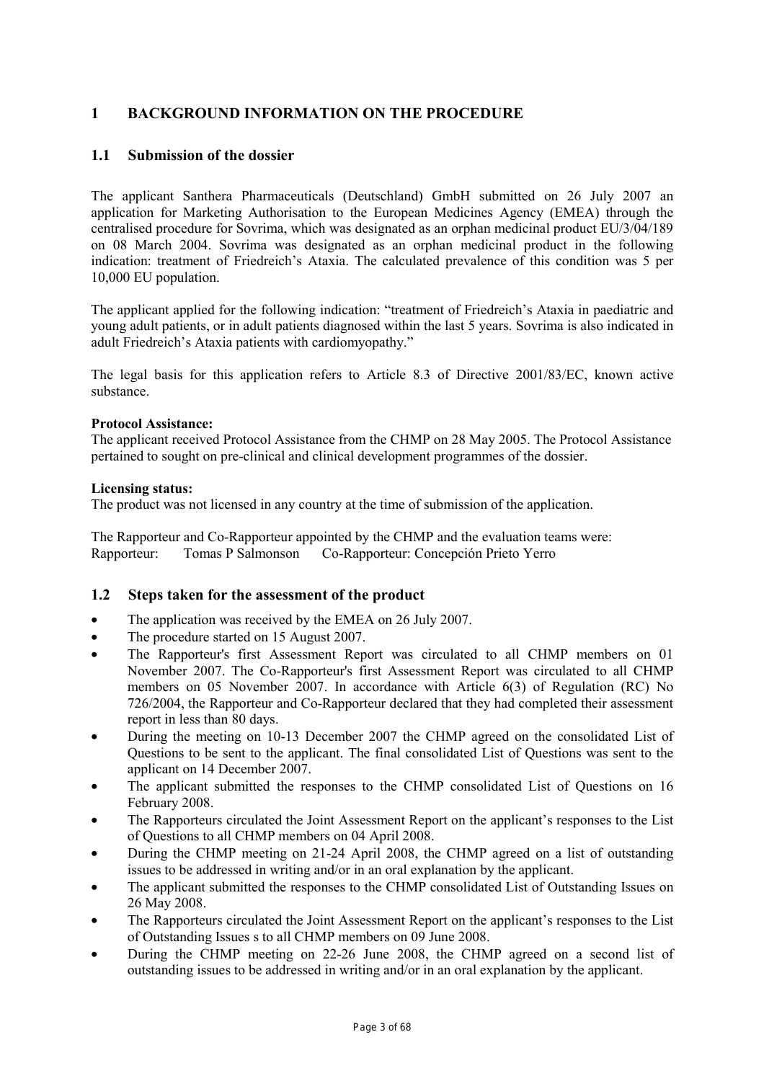# **1 BACKGROUND INFORMATION ON THE PROCEDURE**

# **1.1 Submission of the dossier**

The applicant Santhera Pharmaceuticals (Deutschland) GmbH submitted on 26 July 2007 an application for Marketing Authorisation to the European Medicines Agency (EMEA) through the centralised procedure for Sovrima, which was designated as an orphan medicinal product EU/3/04/189 on 08 March 2004. Sovrima was designated as an orphan medicinal product in the following indication: treatment of Friedreich's Ataxia. The calculated prevalence of this condition was 5 per 10,000 EU population.

The applicant applied for the following indication: "treatment of Friedreich's Ataxia in paediatric and young adult patients, or in adult patients diagnosed within the last 5 years. Sovrima is also indicated in adult Friedreich's Ataxia patients with cardiomyopathy."

The legal basis for this application refers to Article 8.3 of Directive 2001/83/EC, known active substance.

# **Protocol Assistance:**

The applicant received Protocol Assistance from the CHMP on 28 May 2005. The Protocol Assistance pertained to sought on pre-clinical and clinical development programmes of the dossier.

#### **Licensing status:**

The product was not licensed in any country at the time of submission of the application.

The Rapporteur and Co-Rapporteur appointed by the CHMP and the evaluation teams were: Rapporteur: Tomas P Salmonson Co-Rapporteur: Concepción Prieto Yerro

# **1.2 Steps taken for the assessment of the product**

- The application was received by the EMEA on 26 July 2007.
- The procedure started on 15 August 2007.
- The Rapporteur's first Assessment Report was circulated to all CHMP members on 01 November 2007. The Co-Rapporteur's first Assessment Report was circulated to all CHMP members on 05 November 2007. In accordance with Article 6(3) of Regulation (RC) No 726/2004, the Rapporteur and Co-Rapporteur declared that they had completed their assessment report in less than 80 days.
- During the meeting on 10-13 December 2007 the CHMP agreed on the consolidated List of Questions to be sent to the applicant. The final consolidated List of Questions was sent to the applicant on 14 December 2007.
- The applicant submitted the responses to the CHMP consolidated List of Questions on 16 February 2008.
- The Rapporteurs circulated the Joint Assessment Report on the applicant's responses to the List of Questions to all CHMP members on 04 April 2008.
- During the CHMP meeting on 21-24 April 2008, the CHMP agreed on a list of outstanding issues to be addressed in writing and/or in an oral explanation by the applicant.
- The applicant submitted the responses to the CHMP consolidated List of Outstanding Issues on 26 May 2008.
- The Rapporteurs circulated the Joint Assessment Report on the applicant's responses to the List of Outstanding Issues s to all CHMP members on 09 June 2008.
- During the CHMP meeting on 22-26 June 2008, the CHMP agreed on a second list of outstanding issues to be addressed in writing and/or in an oral explanation by the applicant.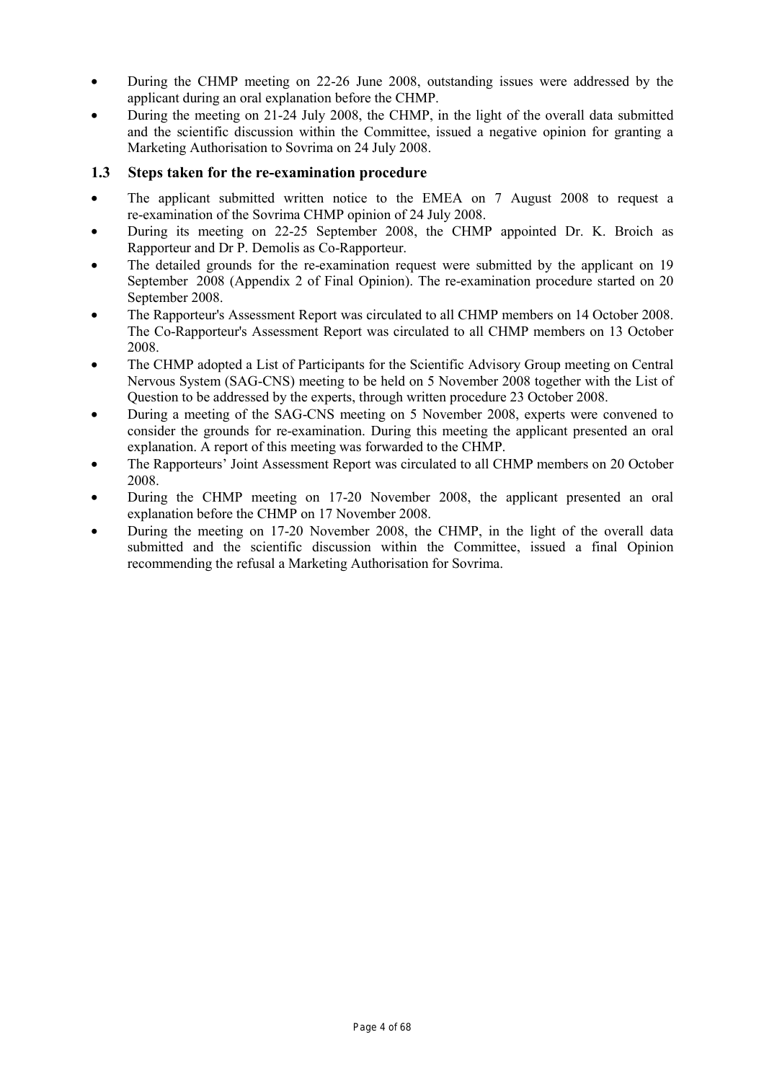- During the CHMP meeting on 22-26 June 2008, outstanding issues were addressed by the applicant during an oral explanation before the CHMP.
- During the meeting on 21-24 July 2008, the CHMP, in the light of the overall data submitted and the scientific discussion within the Committee, issued a negative opinion for granting a Marketing Authorisation to Sovrima on 24 July 2008.

# **1.3 Steps taken for the re-examination procedure**

- The applicant submitted written notice to the EMEA on 7 August 2008 to request a re-examination of the Sovrima CHMP opinion of 24 July 2008.
- During its meeting on 22-25 September 2008, the CHMP appointed Dr. K. Broich as Rapporteur and Dr P. Demolis as Co-Rapporteur.
- The detailed grounds for the re-examination request were submitted by the applicant on 19 September 2008 (Appendix 2 of Final Opinion). The re-examination procedure started on 20 September 2008.
- The Rapporteur's Assessment Report was circulated to all CHMP members on 14 October 2008. The Co-Rapporteur's Assessment Report was circulated to all CHMP members on 13 October 2008.
- The CHMP adopted a List of Participants for the Scientific Advisory Group meeting on Central Nervous System (SAG-CNS) meeting to be held on 5 November 2008 together with the List of Question to be addressed by the experts, through written procedure 23 October 2008.
- During a meeting of the SAG-CNS meeting on 5 November 2008, experts were convened to consider the grounds for re-examination. During this meeting the applicant presented an oral explanation. A report of this meeting was forwarded to the CHMP.
- The Rapporteurs' Joint Assessment Report was circulated to all CHMP members on 20 October 2008.
- During the CHMP meeting on 17-20 November 2008, the applicant presented an oral explanation before the CHMP on 17 November 2008.
- During the meeting on 17-20 November 2008, the CHMP, in the light of the overall data submitted and the scientific discussion within the Committee, issued a final Opinion recommending the refusal a Marketing Authorisation for Sovrima.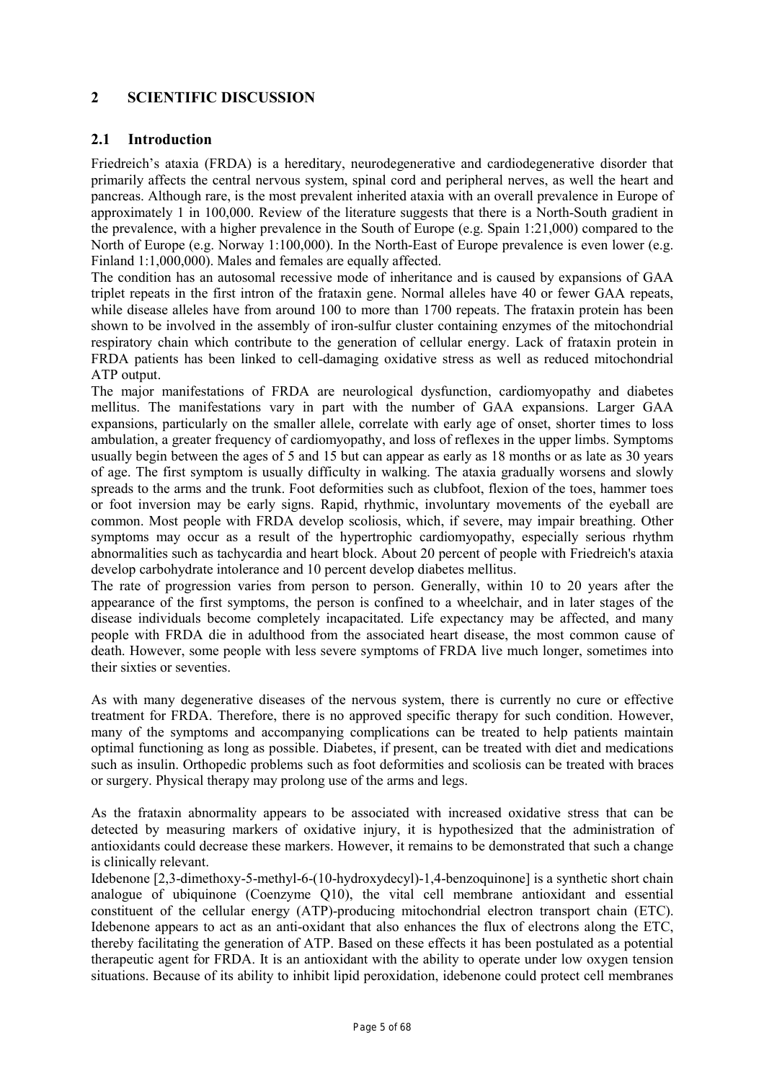# **2 SCIENTIFIC DISCUSSION**

# **2.1 Introduction**

Friedreich's ataxia (FRDA) is a hereditary, neurodegenerative and cardiodegenerative disorder that primarily affects the central nervous system, spinal cord and peripheral nerves, as well the heart and pancreas. Although rare, is the most prevalent inherited ataxia with an overall prevalence in Europe of approximately 1 in 100,000. Review of the literature suggests that there is a North-South gradient in the prevalence, with a higher prevalence in the South of Europe (e.g. Spain 1:21,000) compared to the North of Europe (e.g. Norway 1:100,000). In the North-East of Europe prevalence is even lower (e.g. Finland 1:1,000,000). Males and females are equally affected.

The condition has an autosomal recessive mode of inheritance and is caused by expansions of GAA triplet repeats in the first intron of the frataxin gene. Normal alleles have 40 or fewer GAA repeats, while disease alleles have from around 100 to more than 1700 repeats. The frataxin protein has been shown to be involved in the assembly of iron-sulfur cluster containing enzymes of the mitochondrial respiratory chain which contribute to the generation of cellular energy. Lack of frataxin protein in FRDA patients has been linked to cell-damaging oxidative stress as well as reduced mitochondrial ATP output.

The major manifestations of FRDA are neurological dysfunction, cardiomyopathy and diabetes mellitus. The manifestations vary in part with the number of GAA expansions. Larger GAA expansions, particularly on the smaller allele, correlate with early age of onset, shorter times to loss ambulation, a greater frequency of cardiomyopathy, and loss of reflexes in the upper limbs. Symptoms usually begin between the ages of 5 and 15 but can appear as early as 18 months or as late as 30 years of age. The first symptom is usually difficulty in walking. The ataxia gradually worsens and slowly spreads to the arms and the trunk. Foot deformities such as clubfoot, flexion of the toes, hammer toes or foot inversion may be early signs. Rapid, rhythmic, involuntary movements of the eyeball are common. Most people with FRDA develop scoliosis, which, if severe, may impair breathing. Other symptoms may occur as a result of the hypertrophic cardiomyopathy, especially serious rhythm abnormalities such as tachycardia and heart block. About 20 percent of people with Friedreich's ataxia develop carbohydrate intolerance and 10 percent develop diabetes mellitus.

The rate of progression varies from person to person. Generally, within 10 to 20 years after the appearance of the first symptoms, the person is confined to a wheelchair, and in later stages of the disease individuals become completely incapacitated. Life expectancy may be affected, and many people with FRDA die in adulthood from the associated heart disease, the most common cause of death. However, some people with less severe symptoms of FRDA live much longer, sometimes into their sixties or seventies.

As with many degenerative diseases of the nervous system, there is currently no cure or effective treatment for FRDA. Therefore, there is no approved specific therapy for such condition. However, many of the symptoms and accompanying complications can be treated to help patients maintain optimal functioning as long as possible. Diabetes, if present, can be treated with diet and medications such as insulin. Orthopedic problems such as foot deformities and scoliosis can be treated with braces or surgery. Physical therapy may prolong use of the arms and legs.

As the frataxin abnormality appears to be associated with increased oxidative stress that can be detected by measuring markers of oxidative injury, it is hypothesized that the administration of antioxidants could decrease these markers. However, it remains to be demonstrated that such a change is clinically relevant.

Idebenone [2,3-dimethoxy-5-methyl-6-(10-hydroxydecyl)-1,4-benzoquinone] is a synthetic short chain analogue of ubiquinone (Coenzyme Q10), the vital cell membrane antioxidant and essential constituent of the cellular energy (ATP)-producing mitochondrial electron transport chain (ETC). Idebenone appears to act as an anti-oxidant that also enhances the flux of electrons along the ETC, thereby facilitating the generation of ATP. Based on these effects it has been postulated as a potential therapeutic agent for FRDA. It is an antioxidant with the ability to operate under low oxygen tension situations. Because of its ability to inhibit lipid peroxidation, idebenone could protect cell membranes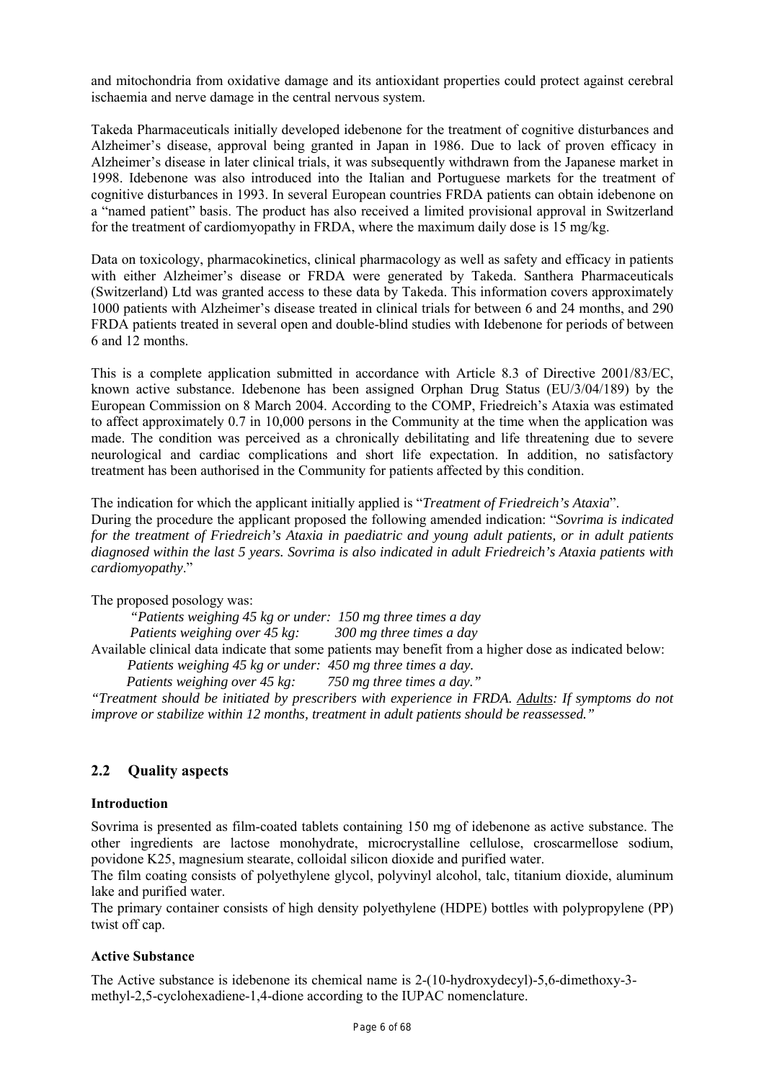and mitochondria from oxidative damage and its antioxidant properties could protect against cerebral ischaemia and nerve damage in the central nervous system.

Takeda Pharmaceuticals initially developed idebenone for the treatment of cognitive disturbances and Alzheimer's disease, approval being granted in Japan in 1986. Due to lack of proven efficacy in Alzheimer's disease in later clinical trials, it was subsequently withdrawn from the Japanese market in 1998. Idebenone was also introduced into the Italian and Portuguese markets for the treatment of cognitive disturbances in 1993. In several European countries FRDA patients can obtain idebenone on a "named patient" basis. The product has also received a limited provisional approval in Switzerland for the treatment of cardiomyopathy in FRDA, where the maximum daily dose is 15 mg/kg.

Data on toxicology, pharmacokinetics, clinical pharmacology as well as safety and efficacy in patients with either Alzheimer's disease or FRDA were generated by Takeda. Santhera Pharmaceuticals (Switzerland) Ltd was granted access to these data by Takeda. This information covers approximately 1000 patients with Alzheimer's disease treated in clinical trials for between 6 and 24 months, and 290 FRDA patients treated in several open and double-blind studies with Idebenone for periods of between 6 and 12 months.

This is a complete application submitted in accordance with Article 8.3 of Directive 2001/83/EC, known active substance. Idebenone has been assigned Orphan Drug Status (EU/3/04/189) by the European Commission on 8 March 2004. According to the COMP, Friedreich's Ataxia was estimated to affect approximately 0.7 in 10,000 persons in the Community at the time when the application was made. The condition was perceived as a chronically debilitating and life threatening due to severe neurological and cardiac complications and short life expectation. In addition, no satisfactory treatment has been authorised in the Community for patients affected by this condition.

The indication for which the applicant initially applied is "*Treatment of Friedreich's Ataxia*". During the procedure the applicant proposed the following amended indication: "*Sovrima is indicated for the treatment of Friedreich's Ataxia in paediatric and young adult patients, or in adult patients diagnosed within the last 5 years. Sovrima is also indicated in adult Friedreich's Ataxia patients with cardiomyopathy*."

The proposed posology was:

 *"Patients weighing 45 kg or under: 150 mg three times a day Patients weighing over 45 kg: 300 mg three times a day* 

Available clinical data indicate that some patients may benefit from a higher dose as indicated below: *Patients weighing 45 kg or under: 450 mg three times a day.* 

 *Patients weighing over 45 kg: 750 mg three times a day."* 

*"Treatment should be initiated by prescribers with experience in FRDA. Adults: If symptoms do not improve or stabilize within 12 months, treatment in adult patients should be reassessed."* 

# **2.2 Quality aspects**

# **Introduction**

Sovrima is presented as film-coated tablets containing 150 mg of idebenone as active substance. The other ingredients are lactose monohydrate, microcrystalline cellulose, croscarmellose sodium, povidone K25, magnesium stearate, colloidal silicon dioxide and purified water.

The film coating consists of polyethylene glycol, polyvinyl alcohol, talc, titanium dioxide, aluminum lake and purified water.

The primary container consists of high density polyethylene (HDPE) bottles with polypropylene (PP) twist off cap.

# **Active Substance**

The Active substance is idebenone its chemical name is 2-(10-hydroxydecyl)-5,6-dimethoxy-3 methyl-2,5-cyclohexadiene-1,4-dione according to the IUPAC nomenclature.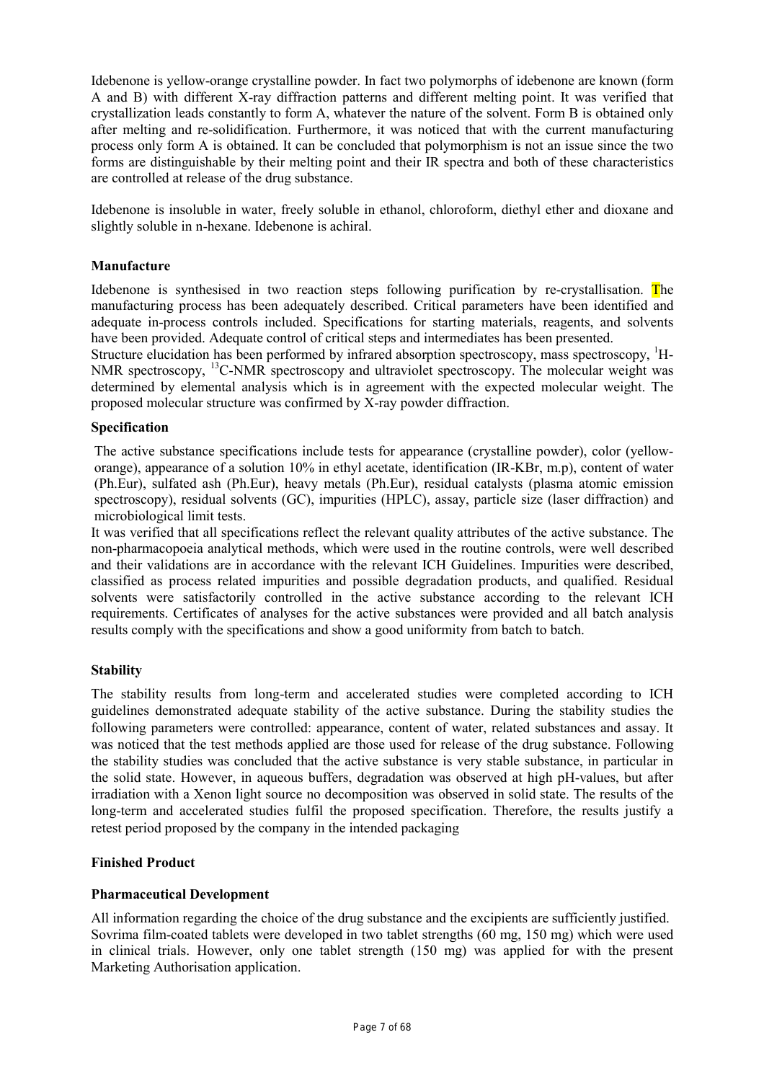Idebenone is yellow-orange crystalline powder. In fact two polymorphs of idebenone are known (form A and B) with different X-ray diffraction patterns and different melting point. It was verified that crystallization leads constantly to form A, whatever the nature of the solvent. Form B is obtained only after melting and re-solidification. Furthermore, it was noticed that with the current manufacturing process only form A is obtained. It can be concluded that polymorphism is not an issue since the two forms are distinguishable by their melting point and their IR spectra and both of these characteristics are controlled at release of the drug substance.

Idebenone is insoluble in water, freely soluble in ethanol, chloroform, diethyl ether and dioxane and slightly soluble in n-hexane. Idebenone is achiral.

# **Manufacture**

Idebenone is synthesised in two reaction steps following purification by re-crystallisation. The manufacturing process has been adequately described. Critical parameters have been identified and adequate in-process controls included. Specifications for starting materials, reagents, and solvents have been provided. Adequate control of critical steps and intermediates has been presented.

Structure elucidation has been performed by infrared absorption spectroscopy, mass spectroscopy, <sup>1</sup>H-NMR spectroscopy, <sup>13</sup>C-NMR spectroscopy and ultraviolet spectroscopy. The molecular weight was determined by elemental analysis which is in agreement with the expected molecular weight. The proposed molecular structure was confirmed by X-ray powder diffraction.

# **Specification**

The active substance specifications include tests for appearance (crystalline powder), color (yelloworange), appearance of a solution 10% in ethyl acetate, identification (IR-KBr, m.p), content of water (Ph.Eur), sulfated ash (Ph.Eur), heavy metals (Ph.Eur), residual catalysts (plasma atomic emission spectroscopy), residual solvents (GC), impurities (HPLC), assay, particle size (laser diffraction) and microbiological limit tests.

It was verified that all specifications reflect the relevant quality attributes of the active substance. The non-pharmacopoeia analytical methods, which were used in the routine controls, were well described and their validations are in accordance with the relevant ICH Guidelines. Impurities were described, classified as process related impurities and possible degradation products, and qualified. Residual solvents were satisfactorily controlled in the active substance according to the relevant ICH requirements. Certificates of analyses for the active substances were provided and all batch analysis results comply with the specifications and show a good uniformity from batch to batch.

# **Stability**

The stability results from long-term and accelerated studies were completed according to ICH guidelines demonstrated adequate stability of the active substance. During the stability studies the following parameters were controlled: appearance, content of water, related substances and assay. It was noticed that the test methods applied are those used for release of the drug substance. Following the stability studies was concluded that the active substance is very stable substance, in particular in the solid state. However, in aqueous buffers, degradation was observed at high pH-values, but after irradiation with a Xenon light source no decomposition was observed in solid state. The results of the long-term and accelerated studies fulfil the proposed specification. Therefore, the results justify a retest period proposed by the company in the intended packaging

# **Finished Product**

# **Pharmaceutical Development**

All information regarding the choice of the drug substance and the excipients are sufficiently justified. Sovrima film-coated tablets were developed in two tablet strengths (60 mg, 150 mg) which were used in clinical trials. However, only one tablet strength (150 mg) was applied for with the present Marketing Authorisation application.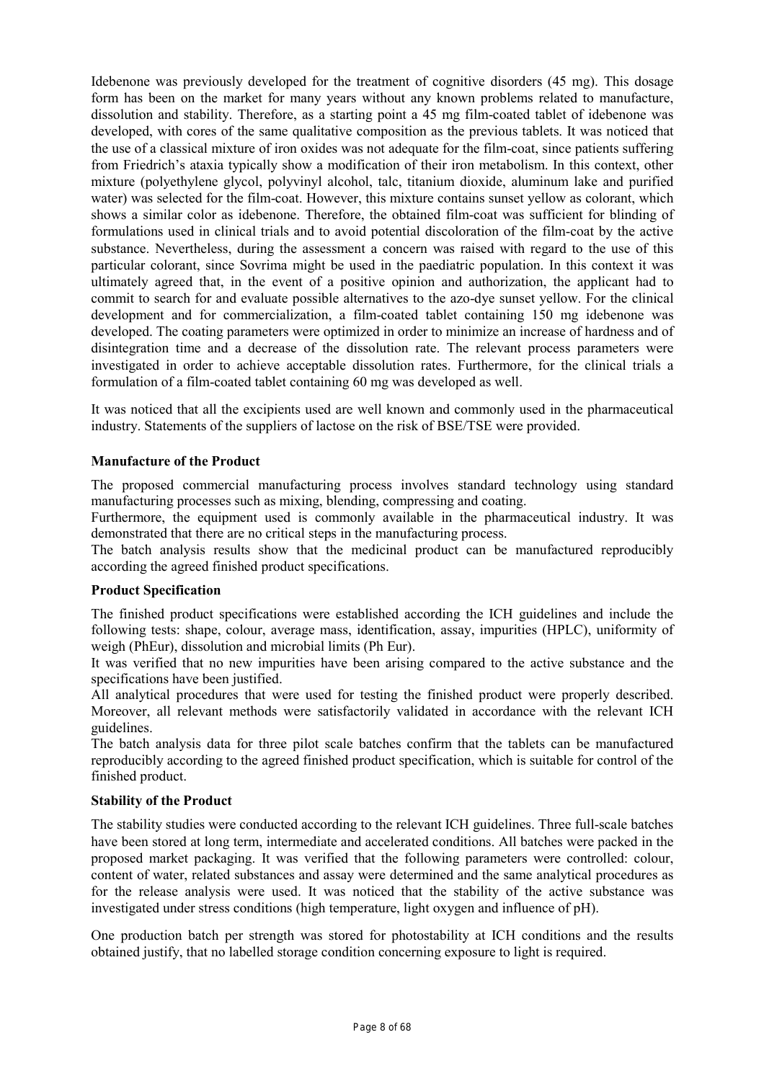Idebenone was previously developed for the treatment of cognitive disorders (45 mg). This dosage form has been on the market for many years without any known problems related to manufacture, dissolution and stability. Therefore, as a starting point a 45 mg film-coated tablet of idebenone was developed, with cores of the same qualitative composition as the previous tablets. It was noticed that the use of a classical mixture of iron oxides was not adequate for the film-coat, since patients suffering from Friedrich's ataxia typically show a modification of their iron metabolism. In this context, other mixture (polyethylene glycol, polyvinyl alcohol, talc, titanium dioxide, aluminum lake and purified water) was selected for the film-coat. However, this mixture contains sunset yellow as colorant, which shows a similar color as idebenone. Therefore, the obtained film-coat was sufficient for blinding of formulations used in clinical trials and to avoid potential discoloration of the film-coat by the active substance. Nevertheless, during the assessment a concern was raised with regard to the use of this particular colorant, since Sovrima might be used in the paediatric population. In this context it was ultimately agreed that, in the event of a positive opinion and authorization, the applicant had to commit to search for and evaluate possible alternatives to the azo-dye sunset yellow. For the clinical development and for commercialization, a film-coated tablet containing 150 mg idebenone was developed. The coating parameters were optimized in order to minimize an increase of hardness and of disintegration time and a decrease of the dissolution rate. The relevant process parameters were investigated in order to achieve acceptable dissolution rates. Furthermore, for the clinical trials a formulation of a film-coated tablet containing 60 mg was developed as well.

It was noticed that all the excipients used are well known and commonly used in the pharmaceutical industry. Statements of the suppliers of lactose on the risk of BSE/TSE were provided.

# **Manufacture of the Product**

The proposed commercial manufacturing process involves standard technology using standard manufacturing processes such as mixing, blending, compressing and coating.

Furthermore, the equipment used is commonly available in the pharmaceutical industry. It was demonstrated that there are no critical steps in the manufacturing process.

The batch analysis results show that the medicinal product can be manufactured reproducibly according the agreed finished product specifications.

# **Product Specification**

The finished product specifications were established according the ICH guidelines and include the following tests: shape, colour, average mass, identification, assay, impurities (HPLC), uniformity of weigh (PhEur), dissolution and microbial limits (Ph Eur).

It was verified that no new impurities have been arising compared to the active substance and the specifications have been justified.

All analytical procedures that were used for testing the finished product were properly described. Moreover, all relevant methods were satisfactorily validated in accordance with the relevant ICH guidelines.

The batch analysis data for three pilot scale batches confirm that the tablets can be manufactured reproducibly according to the agreed finished product specification, which is suitable for control of the finished product.

# **Stability of the Product**

The stability studies were conducted according to the relevant ICH guidelines. Three full-scale batches have been stored at long term, intermediate and accelerated conditions. All batches were packed in the proposed market packaging. It was verified that the following parameters were controlled: colour, content of water, related substances and assay were determined and the same analytical procedures as for the release analysis were used. It was noticed that the stability of the active substance was investigated under stress conditions (high temperature, light oxygen and influence of pH).

One production batch per strength was stored for photostability at ICH conditions and the results obtained justify, that no labelled storage condition concerning exposure to light is required.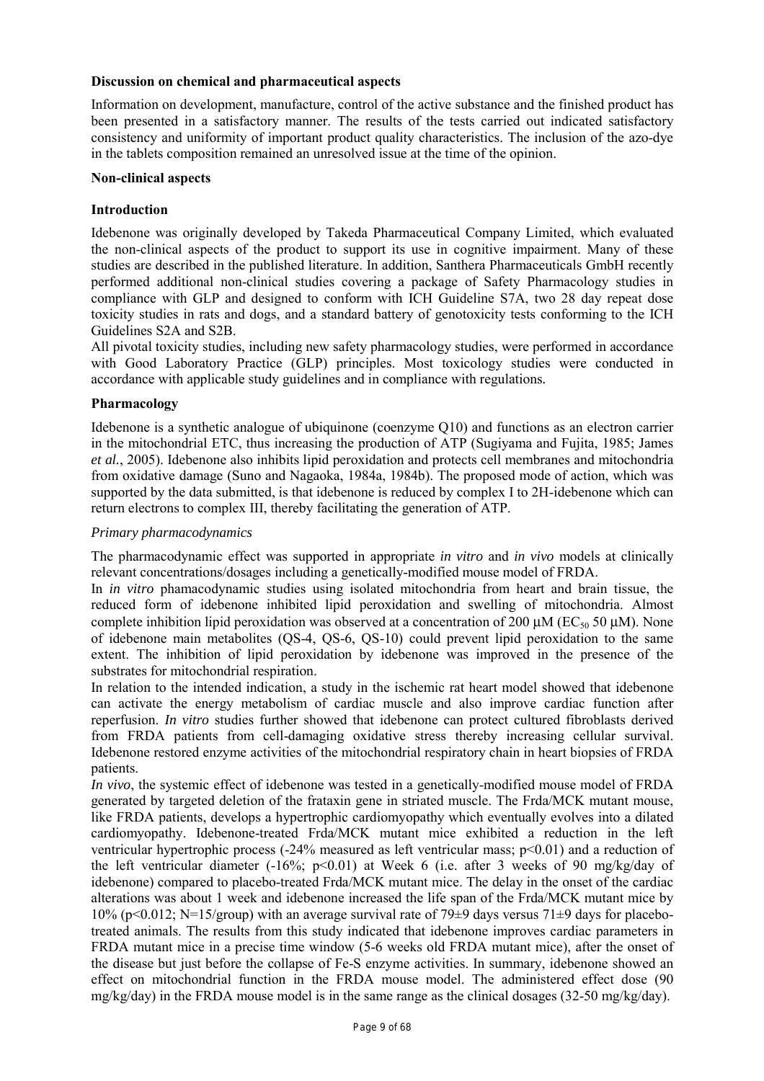# **Discussion on chemical and pharmaceutical aspects**

Information on development, manufacture, control of the active substance and the finished product has been presented in a satisfactory manner. The results of the tests carried out indicated satisfactory consistency and uniformity of important product quality characteristics. The inclusion of the azo-dye in the tablets composition remained an unresolved issue at the time of the opinion.

# **Non-clinical aspects**

# **Introduction**

Idebenone was originally developed by Takeda Pharmaceutical Company Limited, which evaluated the non-clinical aspects of the product to support its use in cognitive impairment. Many of these studies are described in the published literature. In addition, Santhera Pharmaceuticals GmbH recently performed additional non-clinical studies covering a package of Safety Pharmacology studies in compliance with GLP and designed to conform with ICH Guideline S7A, two 28 day repeat dose toxicity studies in rats and dogs, and a standard battery of genotoxicity tests conforming to the ICH Guidelines S2A and S2B.

All pivotal toxicity studies, including new safety pharmacology studies, were performed in accordance with Good Laboratory Practice (GLP) principles. Most toxicology studies were conducted in accordance with applicable study guidelines and in compliance with regulations*.*

# **Pharmacology**

Idebenone is a synthetic analogue of ubiquinone (coenzyme Q10) and functions as an electron carrier in the mitochondrial ETC, thus increasing the production of ATP (Sugiyama and Fujita, 1985; James *et al.*, 2005). Idebenone also inhibits lipid peroxidation and protects cell membranes and mitochondria from oxidative damage (Suno and Nagaoka, 1984a, 1984b). The proposed mode of action, which was supported by the data submitted, is that idebenone is reduced by complex I to 2H-idebenone which can return electrons to complex III, thereby facilitating the generation of ATP.

# *Primary pharmacodynamics*

The pharmacodynamic effect was supported in appropriate *in vitro* and *in vivo* models at clinically relevant concentrations/dosages including a genetically-modified mouse model of FRDA.

In *in vitro* phamacodynamic studies using isolated mitochondria from heart and brain tissue, the reduced form of idebenone inhibited lipid peroxidation and swelling of mitochondria. Almost complete inhibition lipid peroxidation was observed at a concentration of 200  $\mu$ M (EC<sub>50</sub> 50  $\mu$ M). None of idebenone main metabolites (QS-4, QS-6, QS-10) could prevent lipid peroxidation to the same extent. The inhibition of lipid peroxidation by idebenone was improved in the presence of the substrates for mitochondrial respiration.

In relation to the intended indication, a study in the ischemic rat heart model showed that idebenone can activate the energy metabolism of cardiac muscle and also improve cardiac function after reperfusion. *In vitro* studies further showed that idebenone can protect cultured fibroblasts derived from FRDA patients from cell-damaging oxidative stress thereby increasing cellular survival. Idebenone restored enzyme activities of the mitochondrial respiratory chain in heart biopsies of FRDA patients.

*In vivo*, the systemic effect of idebenone was tested in a genetically-modified mouse model of FRDA generated by targeted deletion of the frataxin gene in striated muscle. The Frda/MCK mutant mouse, like FRDA patients, develops a hypertrophic cardiomyopathy which eventually evolves into a dilated cardiomyopathy. Idebenone-treated Frda/MCK mutant mice exhibited a reduction in the left ventricular hypertrophic process (-24% measured as left ventricular mass; p<0.01) and a reduction of the left ventricular diameter  $(-16\%; p<0.01)$  at Week 6 (i.e. after 3 weeks of 90 mg/kg/day of idebenone) compared to placebo-treated Frda/MCK mutant mice. The delay in the onset of the cardiac alterations was about 1 week and idebenone increased the life span of the Frda/MCK mutant mice by 10% (p<0.012; N=15/group) with an average survival rate of 79 $\pm$ 9 days versus 71 $\pm$ 9 days for placebotreated animals. The results from this study indicated that idebenone improves cardiac parameters in FRDA mutant mice in a precise time window (5-6 weeks old FRDA mutant mice), after the onset of the disease but just before the collapse of Fe-S enzyme activities. In summary, idebenone showed an effect on mitochondrial function in the FRDA mouse model. The administered effect dose (90 mg/kg/day) in the FRDA mouse model is in the same range as the clinical dosages (32-50 mg/kg/day).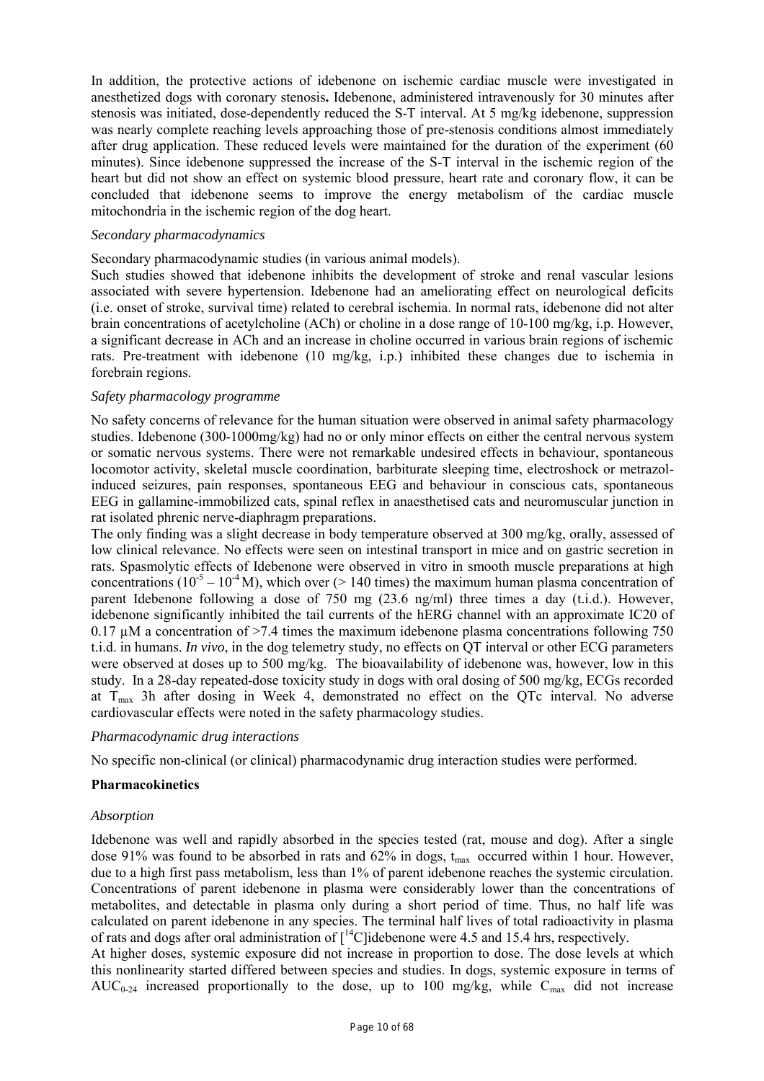In addition, the protective actions of idebenone on ischemic cardiac muscle were investigated in anesthetized dogs with coronary stenosis**.** Idebenone, administered intravenously for 30 minutes after stenosis was initiated, dose-dependently reduced the S-T interval. At 5 mg/kg idebenone, suppression was nearly complete reaching levels approaching those of pre-stenosis conditions almost immediately after drug application. These reduced levels were maintained for the duration of the experiment (60 minutes). Since idebenone suppressed the increase of the S-T interval in the ischemic region of the heart but did not show an effect on systemic blood pressure, heart rate and coronary flow, it can be concluded that idebenone seems to improve the energy metabolism of the cardiac muscle mitochondria in the ischemic region of the dog heart.

#### *Secondary pharmacodynamics*

Secondary pharmacodynamic studies (in various animal models).

Such studies showed that idebenone inhibits the development of stroke and renal vascular lesions associated with severe hypertension. Idebenone had an ameliorating effect on neurological deficits (i.e. onset of stroke, survival time) related to cerebral ischemia. In normal rats, idebenone did not alter brain concentrations of acetylcholine (ACh) or choline in a dose range of 10-100 mg/kg, i.p. However, a significant decrease in ACh and an increase in choline occurred in various brain regions of ischemic rats. Pre-treatment with idebenone (10 mg/kg, i.p.) inhibited these changes due to ischemia in forebrain regions.

#### *Safety pharmacology programme*

No safety concerns of relevance for the human situation were observed in animal safety pharmacology studies. Idebenone (300-1000mg/kg) had no or only minor effects on either the central nervous system or somatic nervous systems. There were not remarkable undesired effects in behaviour, spontaneous locomotor activity, skeletal muscle coordination, barbiturate sleeping time, electroshock or metrazolinduced seizures, pain responses, spontaneous EEG and behaviour in conscious cats, spontaneous EEG in gallamine-immobilized cats, spinal reflex in anaesthetised cats and neuromuscular junction in rat isolated phrenic nerve-diaphragm preparations.

The only finding was a slight decrease in body temperature observed at 300 mg/kg, orally, assessed of low clinical relevance. No effects were seen on intestinal transport in mice and on gastric secretion in rats. Spasmolytic effects of Idebenone were observed in vitro in smooth muscle preparations at high concentrations ( $10^{-5} - 10^{-4}$  M), which over ( $> 140$  times) the maximum human plasma concentration of parent Idebenone following a dose of 750 mg (23.6 ng/ml) three times a day (t.i.d.). However, idebenone significantly inhibited the tail currents of the hERG channel with an approximate IC20 of 0.17  $\mu$ M a concentration of >7.4 times the maximum idebenone plasma concentrations following 750 t.i.d. in humans. *In vivo*, in the dog telemetry study, no effects on QT interval or other ECG parameters were observed at doses up to 500 mg/kg. The bioavailability of idebenone was, however, low in this study. In a 28-day repeated-dose toxicity study in dogs with oral dosing of 500 mg/kg, ECGs recorded at  $T_{\text{max}}$  3h after dosing in Week 4, demonstrated no effect on the QTc interval. No adverse cardiovascular effects were noted in the safety pharmacology studies.

# *Pharmacodynamic drug interactions*

No specific non-clinical (or clinical) pharmacodynamic drug interaction studies were performed.

# **Pharmacokinetics**

#### *Absorption*

Idebenone was well and rapidly absorbed in the species tested (rat, mouse and dog). After a single dose 91% was found to be absorbed in rats and  $62\%$  in dogs,  $t_{\text{max}}$  occurred within 1 hour. However, due to a high first pass metabolism, less than 1% of parent idebenone reaches the systemic circulation. Concentrations of parent idebenone in plasma were considerably lower than the concentrations of metabolites, and detectable in plasma only during a short period of time. Thus, no half life was calculated on parent idebenone in any species. The terminal half lives of total radioactivity in plasma of rats and dogs after oral administration of [14C]idebenone were 4.5 and 15.4 hrs, respectively.

At higher doses, systemic exposure did not increase in proportion to dose. The dose levels at which this nonlinearity started differed between species and studies. In dogs, systemic exposure in terms of AUC<sub>0-24</sub> increased proportionally to the dose, up to 100 mg/kg, while  $C_{\text{max}}$  did not increase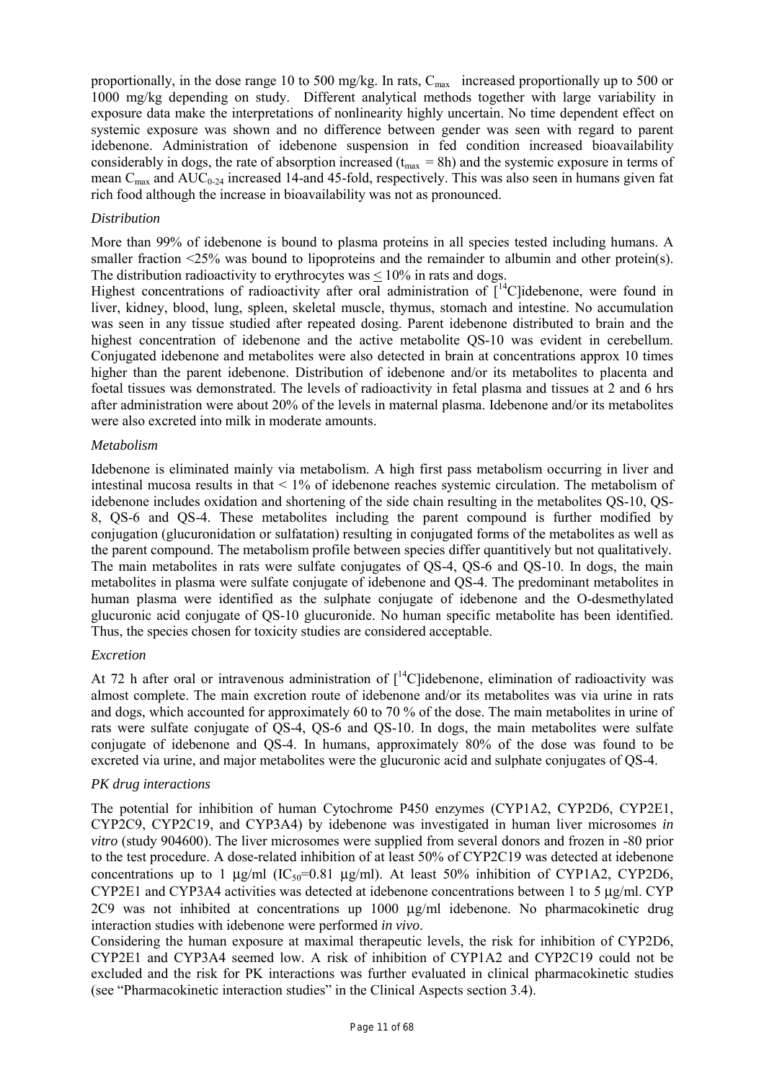proportionally, in the dose range 10 to 500 mg/kg. In rats,  $C_{\text{max}}$  increased proportionally up to 500 or 1000 mg/kg depending on study. Different analytical methods together with large variability in exposure data make the interpretations of nonlinearity highly uncertain. No time dependent effect on systemic exposure was shown and no difference between gender was seen with regard to parent idebenone. Administration of idebenone suspension in fed condition increased bioavailability considerably in dogs, the rate of absorption increased  $(t<sub>max</sub> = 8h)$  and the systemic exposure in terms of mean  $C_{\text{max}}$  and  $AUC_{0.24}$  increased 14-and 45-fold, respectively. This was also seen in humans given fat rich food although the increase in bioavailability was not as pronounced.

#### *Distribution*

More than 99% of idebenone is bound to plasma proteins in all species tested including humans. A smaller fraction <25% was bound to lipoproteins and the remainder to albumin and other protein(s). The distribution radioactivity to erythrocytes was  $\leq 10\%$  in rats and dogs.

Highest concentrations of radioactivity after oral administration of  $I^{14}$ Clidebenone, were found in liver, kidney, blood, lung, spleen, skeletal muscle, thymus, stomach and intestine. No accumulation was seen in any tissue studied after repeated dosing. Parent idebenone distributed to brain and the highest concentration of idebenone and the active metabolite QS-10 was evident in cerebellum. Conjugated idebenone and metabolites were also detected in brain at concentrations approx 10 times higher than the parent idebenone. Distribution of idebenone and/or its metabolites to placenta and foetal tissues was demonstrated. The levels of radioactivity in fetal plasma and tissues at 2 and 6 hrs after administration were about 20% of the levels in maternal plasma. Idebenone and/or its metabolites were also excreted into milk in moderate amounts.

#### *Metabolism*

Idebenone is eliminated mainly via metabolism. A high first pass metabolism occurring in liver and intestinal mucosa results in that < 1% of idebenone reaches systemic circulation. The metabolism of idebenone includes oxidation and shortening of the side chain resulting in the metabolites QS-10, QS-8, QS-6 and QS-4. These metabolites including the parent compound is further modified by conjugation (glucuronidation or sulfatation) resulting in conjugated forms of the metabolites as well as the parent compound. The metabolism profile between species differ quantitively but not qualitatively. The main metabolites in rats were sulfate conjugates of QS-4, QS-6 and QS-10. In dogs, the main metabolites in plasma were sulfate conjugate of idebenone and QS-4. The predominant metabolites in human plasma were identified as the sulphate conjugate of idebenone and the O-desmethylated glucuronic acid conjugate of QS-10 glucuronide. No human specific metabolite has been identified. Thus, the species chosen for toxicity studies are considered acceptable.

# *Excretion*

At 72 h after oral or intravenous administration of  $\int_0^{14}$ C]idebenone, elimination of radioactivity was almost complete. The main excretion route of idebenone and/or its metabolites was via urine in rats and dogs, which accounted for approximately 60 to 70 % of the dose. The main metabolites in urine of rats were sulfate conjugate of QS-4, QS-6 and QS-10. In dogs, the main metabolites were sulfate conjugate of idebenone and QS-4. In humans, approximately 80% of the dose was found to be excreted via urine, and major metabolites were the glucuronic acid and sulphate conjugates of QS-4.

# *PK drug interactions*

The potential for inhibition of human Cytochrome P450 enzymes (CYP1A2, CYP2D6, CYP2E1, CYP2C9, CYP2C19, and CYP3A4) by idebenone was investigated in human liver microsomes *in vitro* (study 904600). The liver microsomes were supplied from several donors and frozen in -80 prior to the test procedure. A dose-related inhibition of at least 50% of CYP2C19 was detected at idebenone concentrations up to 1  $\mu$ g/ml (IC<sub>50</sub>=0.81  $\mu$ g/ml). At least 50% inhibition of CYP1A2, CYP2D6, CYP2E1 and CYP3A4 activities was detected at idebenone concentrations between 1 to 5 µg/ml. CYP  $2C9$  was not inhibited at concentrations up  $1000 \mu g/ml$  idebenone. No pharmacokinetic drug interaction studies with idebenone were performed *in vivo*.

Considering the human exposure at maximal therapeutic levels, the risk for inhibition of CYP2D6, CYP2E1 and CYP3A4 seemed low. A risk of inhibition of CYP1A2 and CYP2C19 could not be excluded and the risk for PK interactions was further evaluated in clinical pharmacokinetic studies (see "Pharmacokinetic interaction studies" in the Clinical Aspects section 3.4).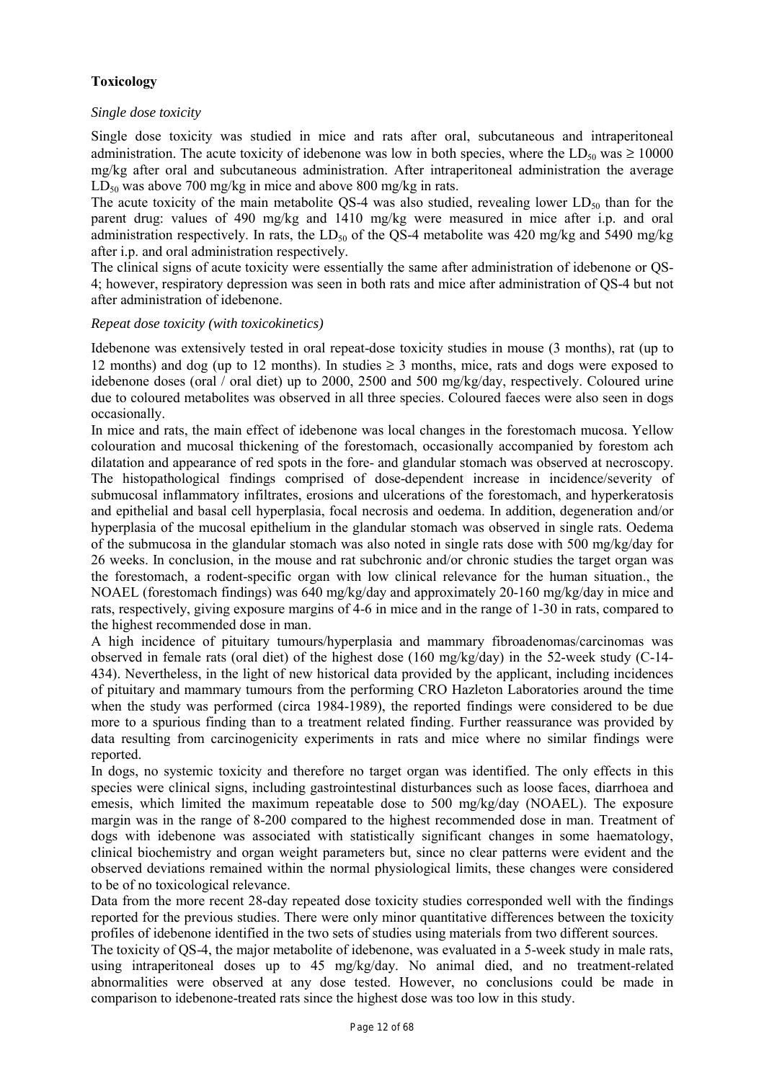# **Toxicology**

# *Single dose toxicity*

Single dose toxicity was studied in mice and rats after oral, subcutaneous and intraperitoneal administration. The acute toxicity of idebenone was low in both species, where the  $LD_{50}$  was  $\geq 10000$ mg/kg after oral and subcutaneous administration. After intraperitoneal administration the average  $LD_{50}$  was above 700 mg/kg in mice and above 800 mg/kg in rats.

The acute toxicity of the main metabolite QS-4 was also studied, revealing lower  $LD_{50}$  than for the parent drug: values of 490 mg/kg and 1410 mg/kg were measured in mice after i.p. and oral administration respectively. In rats, the  $LD_{50}$  of the QS-4 metabolite was 420 mg/kg and 5490 mg/kg after i.p. and oral administration respectively.

The clinical signs of acute toxicity were essentially the same after administration of idebenone or QS-4; however, respiratory depression was seen in both rats and mice after administration of QS-4 but not after administration of idebenone.

# *Repeat dose toxicity (with toxicokinetics)*

Idebenone was extensively tested in oral repeat-dose toxicity studies in mouse (3 months), rat (up to 12 months) and dog (up to 12 months). In studies  $\geq$  3 months, mice, rats and dogs were exposed to idebenone doses (oral / oral diet) up to 2000, 2500 and 500 mg/kg/day, respectively. Coloured urine due to coloured metabolites was observed in all three species. Coloured faeces were also seen in dogs occasionally.

In mice and rats, the main effect of idebenone was local changes in the forestomach mucosa. Yellow colouration and mucosal thickening of the forestomach, occasionally accompanied by forestom ach dilatation and appearance of red spots in the fore- and glandular stomach was observed at necroscopy. The histopathological findings comprised of dose-dependent increase in incidence/severity of submucosal inflammatory infiltrates, erosions and ulcerations of the forestomach, and hyperkeratosis and epithelial and basal cell hyperplasia, focal necrosis and oedema. In addition, degeneration and/or hyperplasia of the mucosal epithelium in the glandular stomach was observed in single rats. Oedema of the submucosa in the glandular stomach was also noted in single rats dose with 500 mg/kg/day for 26 weeks. In conclusion, in the mouse and rat subchronic and/or chronic studies the target organ was the forestomach, a rodent-specific organ with low clinical relevance for the human situation., the NOAEL (forestomach findings) was 640 mg/kg/day and approximately 20-160 mg/kg/day in mice and rats, respectively, giving exposure margins of 4-6 in mice and in the range of 1-30 in rats, compared to the highest recommended dose in man.

A high incidence of pituitary tumours/hyperplasia and mammary fibroadenomas/carcinomas was observed in female rats (oral diet) of the highest dose (160 mg/kg/day) in the 52-week study (C-14- 434). Nevertheless, in the light of new historical data provided by the applicant, including incidences of pituitary and mammary tumours from the performing CRO Hazleton Laboratories around the time when the study was performed (circa 1984-1989), the reported findings were considered to be due more to a spurious finding than to a treatment related finding. Further reassurance was provided by data resulting from carcinogenicity experiments in rats and mice where no similar findings were reported.

In dogs, no systemic toxicity and therefore no target organ was identified. The only effects in this species were clinical signs, including gastrointestinal disturbances such as loose faces, diarrhoea and emesis, which limited the maximum repeatable dose to 500 mg/kg/day (NOAEL). The exposure margin was in the range of 8-200 compared to the highest recommended dose in man. Treatment of dogs with idebenone was associated with statistically significant changes in some haematology, clinical biochemistry and organ weight parameters but, since no clear patterns were evident and the observed deviations remained within the normal physiological limits, these changes were considered to be of no toxicological relevance.

Data from the more recent 28-day repeated dose toxicity studies corresponded well with the findings reported for the previous studies. There were only minor quantitative differences between the toxicity profiles of idebenone identified in the two sets of studies using materials from two different sources.

The toxicity of QS-4, the major metabolite of idebenone, was evaluated in a 5-week study in male rats, using intraperitoneal doses up to 45 mg/kg/day. No animal died, and no treatment-related abnormalities were observed at any dose tested. However, no conclusions could be made in comparison to idebenone-treated rats since the highest dose was too low in this study.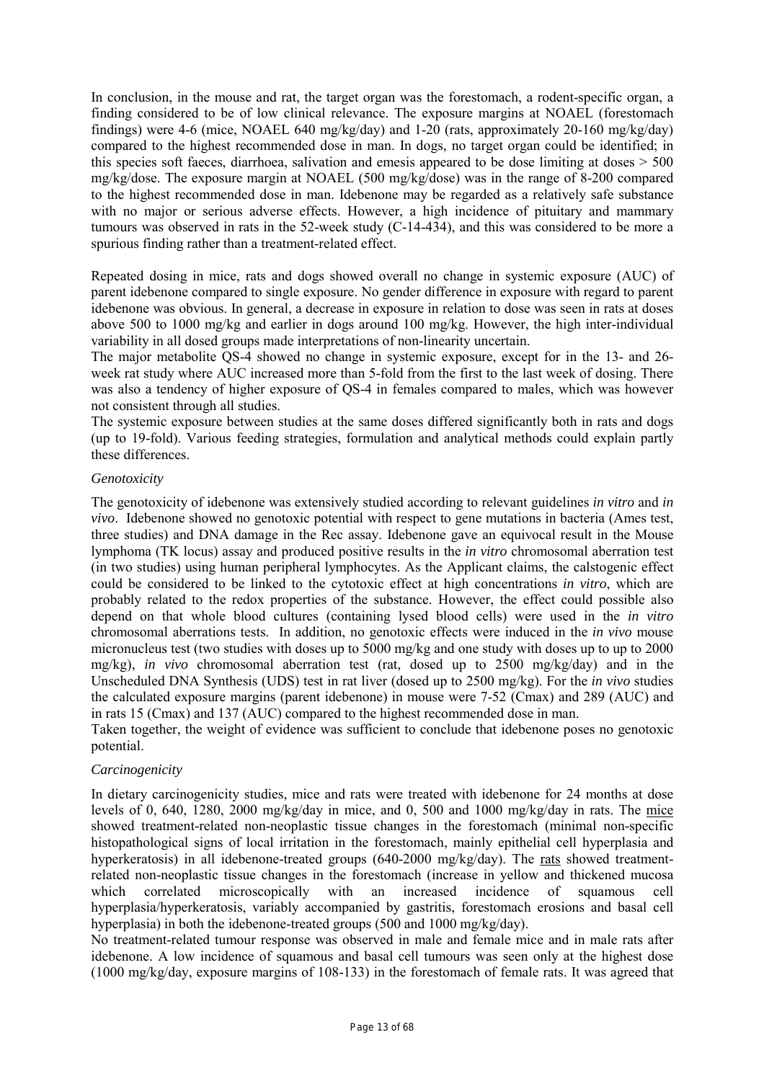In conclusion, in the mouse and rat, the target organ was the forestomach, a rodent-specific organ, a finding considered to be of low clinical relevance. The exposure margins at NOAEL (forestomach findings) were 4-6 (mice, NOAEL 640 mg/kg/day) and 1-20 (rats, approximately 20-160 mg/kg/day) compared to the highest recommended dose in man. In dogs, no target organ could be identified; in this species soft faeces, diarrhoea, salivation and emesis appeared to be dose limiting at doses > 500 mg/kg/dose. The exposure margin at NOAEL (500 mg/kg/dose) was in the range of 8-200 compared to the highest recommended dose in man. Idebenone may be regarded as a relatively safe substance with no major or serious adverse effects. However, a high incidence of pituitary and mammary tumours was observed in rats in the 52-week study (C-14-434), and this was considered to be more a spurious finding rather than a treatment-related effect.

Repeated dosing in mice, rats and dogs showed overall no change in systemic exposure (AUC) of parent idebenone compared to single exposure. No gender difference in exposure with regard to parent idebenone was obvious. In general, a decrease in exposure in relation to dose was seen in rats at doses above 500 to 1000 mg/kg and earlier in dogs around 100 mg/kg. However, the high inter-individual variability in all dosed groups made interpretations of non-linearity uncertain.

The major metabolite QS-4 showed no change in systemic exposure, except for in the 13- and 26 week rat study where AUC increased more than 5-fold from the first to the last week of dosing. There was also a tendency of higher exposure of QS-4 in females compared to males, which was however not consistent through all studies.

The systemic exposure between studies at the same doses differed significantly both in rats and dogs (up to 19-fold). Various feeding strategies, formulation and analytical methods could explain partly these differences.

# *Genotoxicity*

The genotoxicity of idebenone was extensively studied according to relevant guidelines *in vitro* and *in vivo*. Idebenone showed no genotoxic potential with respect to gene mutations in bacteria (Ames test, three studies) and DNA damage in the Rec assay. Idebenone gave an equivocal result in the Mouse lymphoma (TK locus) assay and produced positive results in the *in vitro* chromosomal aberration test (in two studies) using human peripheral lymphocytes. As the Applicant claims, the calstogenic effect could be considered to be linked to the cytotoxic effect at high concentrations *in vitro*, which are probably related to the redox properties of the substance. However, the effect could possible also depend on that whole blood cultures (containing lysed blood cells) were used in the *in vitro* chromosomal aberrations tests. In addition, no genotoxic effects were induced in the *in vivo* mouse micronucleus test (two studies with doses up to 5000 mg/kg and one study with doses up to up to 2000 mg/kg), *in vivo* chromosomal aberration test (rat, dosed up to 2500 mg/kg/day) and in the Unscheduled DNA Synthesis (UDS) test in rat liver (dosed up to 2500 mg/kg). For the *in vivo* studies the calculated exposure margins (parent idebenone) in mouse were 7-52 (Cmax) and 289 (AUC) and in rats 15 (Cmax) and 137 (AUC) compared to the highest recommended dose in man.

Taken together, the weight of evidence was sufficient to conclude that idebenone poses no genotoxic potential.

# *Carcinogenicity*

In dietary carcinogenicity studies, mice and rats were treated with idebenone for 24 months at dose levels of 0, 640, 1280, 2000 mg/kg/day in mice, and 0, 500 and 1000 mg/kg/day in rats. The mice showed treatment-related non-neoplastic tissue changes in the forestomach (minimal non-specific histopathological signs of local irritation in the forestomach, mainly epithelial cell hyperplasia and hyperkeratosis) in all idebenone-treated groups (640-2000 mg/kg/day). The rats showed treatmentrelated non-neoplastic tissue changes in the forestomach (increase in yellow and thickened mucosa which correlated microscopically with an increased incidence of squamous cell hyperplasia/hyperkeratosis, variably accompanied by gastritis, forestomach erosions and basal cell hyperplasia) in both the idebenone-treated groups (500 and 1000 mg/kg/day).

No treatment-related tumour response was observed in male and female mice and in male rats after idebenone. A low incidence of squamous and basal cell tumours was seen only at the highest dose (1000 mg/kg/day, exposure margins of 108-133) in the forestomach of female rats. It was agreed that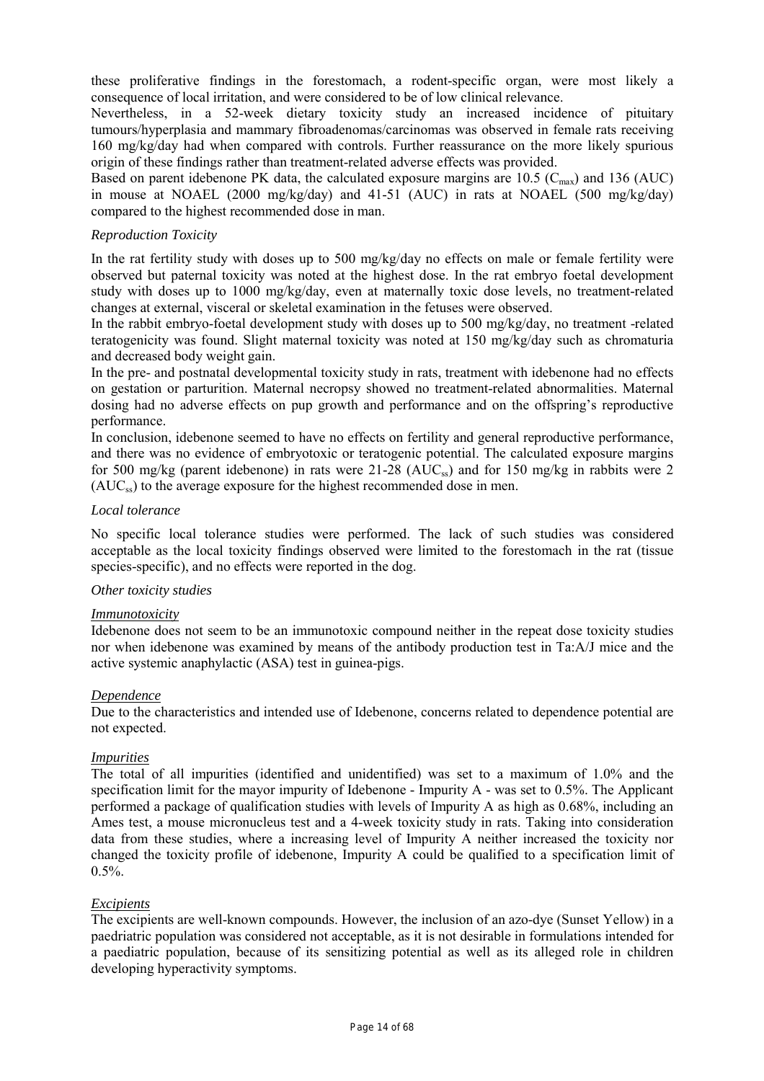these proliferative findings in the forestomach, a rodent-specific organ, were most likely a consequence of local irritation, and were considered to be of low clinical relevance.

Nevertheless, in a 52-week dietary toxicity study an increased incidence of pituitary tumours/hyperplasia and mammary fibroadenomas/carcinomas was observed in female rats receiving 160 mg/kg/day had when compared with controls. Further reassurance on the more likely spurious origin of these findings rather than treatment-related adverse effects was provided.

Based on parent idebenone PK data, the calculated exposure margins are 10.5 ( $C_{\text{max}}$ ) and 136 (AUC) in mouse at NOAEL (2000 mg/kg/day) and 41-51 (AUC) in rats at NOAEL (500 mg/kg/day) compared to the highest recommended dose in man.

# *Reproduction Toxicity*

In the rat fertility study with doses up to 500 mg/kg/day no effects on male or female fertility were observed but paternal toxicity was noted at the highest dose. In the rat embryo foetal development study with doses up to 1000 mg/kg/day, even at maternally toxic dose levels, no treatment-related changes at external, visceral or skeletal examination in the fetuses were observed.

In the rabbit embryo-foetal development study with doses up to 500 mg/kg/day, no treatment -related teratogenicity was found. Slight maternal toxicity was noted at 150 mg/kg/day such as chromaturia and decreased body weight gain.

In the pre- and postnatal developmental toxicity study in rats, treatment with idebenone had no effects on gestation or parturition. Maternal necropsy showed no treatment-related abnormalities. Maternal dosing had no adverse effects on pup growth and performance and on the offspring's reproductive performance.

In conclusion, idebenone seemed to have no effects on fertility and general reproductive performance, and there was no evidence of embryotoxic or teratogenic potential. The calculated exposure margins for 500 mg/kg (parent idebenone) in rats were  $21-28$  (AUC<sub>ss</sub>) and for 150 mg/kg in rabbits were 2  $(AUC_{ss})$  to the average exposure for the highest recommended dose in men.

# *Local tolerance*

No specific local tolerance studies were performed. The lack of such studies was considered acceptable as the local toxicity findings observed were limited to the forestomach in the rat (tissue species-specific), and no effects were reported in the dog.

#### *Other toxicity studies*

#### *Immunotoxicity*

Idebenone does not seem to be an immunotoxic compound neither in the repeat dose toxicity studies nor when idebenone was examined by means of the antibody production test in Ta:A/J mice and the active systemic anaphylactic (ASA) test in guinea-pigs.

# *Dependence*

Due to the characteristics and intended use of Idebenone, concerns related to dependence potential are not expected.

# *Impurities*

The total of all impurities (identified and unidentified) was set to a maximum of 1.0% and the specification limit for the mayor impurity of Idebenone - Impurity A - was set to 0.5%. The Applicant performed a package of qualification studies with levels of Impurity A as high as 0.68%, including an Ames test, a mouse micronucleus test and a 4-week toxicity study in rats. Taking into consideration data from these studies, where a increasing level of Impurity A neither increased the toxicity nor changed the toxicity profile of idebenone, Impurity A could be qualified to a specification limit of  $0.5\%$ .

#### *Excipients*

The excipients are well-known compounds. However, the inclusion of an azo-dye (Sunset Yellow) in a paedriatric population was considered not acceptable, as it is not desirable in formulations intended for a paediatric population, because of its sensitizing potential as well as its alleged role in children developing hyperactivity symptoms.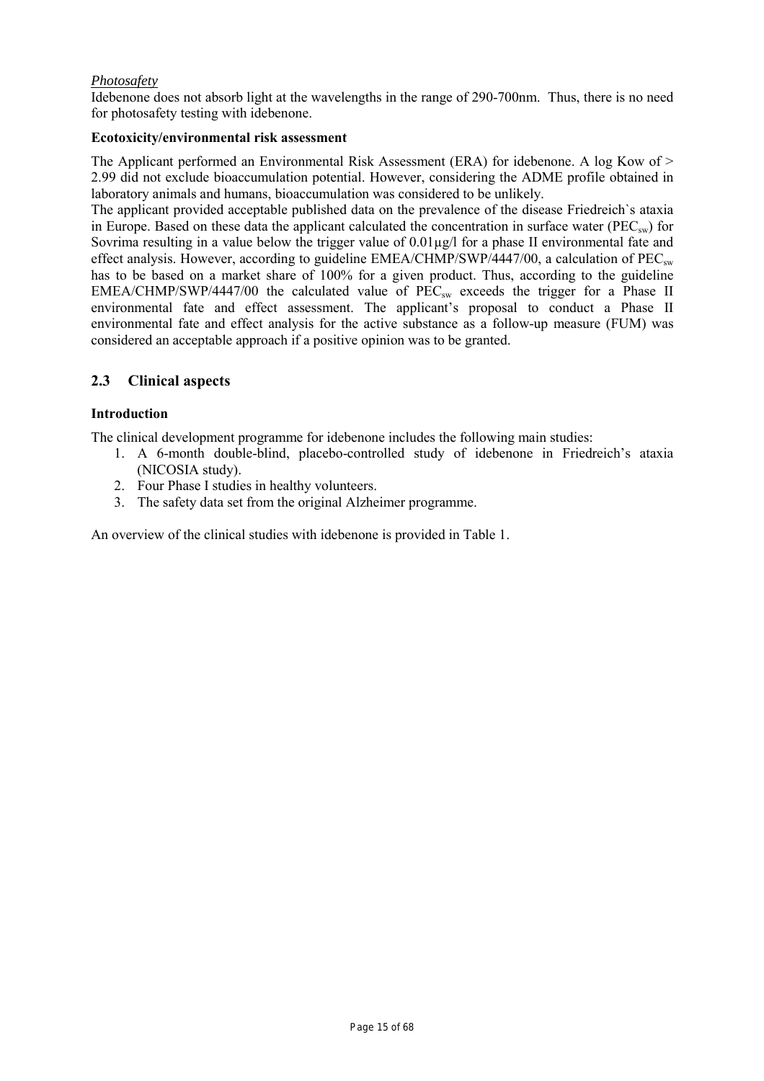# *Photosafety*

Idebenone does not absorb light at the wavelengths in the range of 290-700nm. Thus, there is no need for photosafety testing with idebenone.

# **Ecotoxicity/environmental risk assessment**

The Applicant performed an Environmental Risk Assessment (ERA) for idebenone. A log Kow of > 2.99 did not exclude bioaccumulation potential. However, considering the ADME profile obtained in laboratory animals and humans, bioaccumulation was considered to be unlikely.

The applicant provided acceptable published data on the prevalence of the disease Friedreich`s ataxia in Europe. Based on these data the applicant calculated the concentration in surface water ( $\text{PEC}_{\text{sw}}$ ) for Sovrima resulting in a value below the trigger value of 0.01µg/l for a phase II environmental fate and effect analysis. However, according to guideline  $EMEA/CHMP/SWP/4447/00$ , a calculation of  $PEC_{sw}$ has to be based on a market share of 100% for a given product. Thus, according to the guideline EMEA/CHMP/SWP/4447/00 the calculated value of  $\widehat{PEC}_{sw}$  exceeds the trigger for a Phase II environmental fate and effect assessment. The applicant's proposal to conduct a Phase II environmental fate and effect analysis for the active substance as a follow-up measure (FUM) was considered an acceptable approach if a positive opinion was to be granted.

# **2.3 Clinical aspects**

# **Introduction**

The clinical development programme for idebenone includes the following main studies:

- 1. A 6-month double-blind, placebo-controlled study of idebenone in Friedreich's ataxia (NICOSIA study).
- 2. Four Phase I studies in healthy volunteers.
- 3. The safety data set from the original Alzheimer programme.

An overview of the clinical studies with idebenone is provided in Table 1.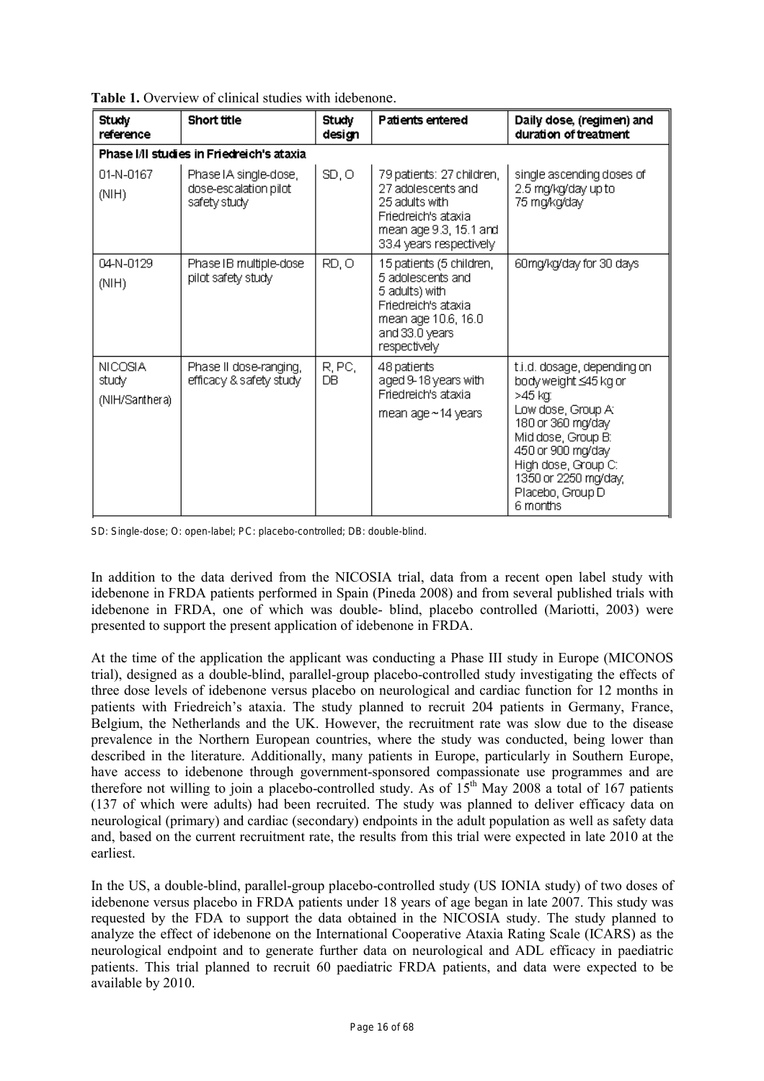| Study<br>reference                        | Short title                                                    | Study<br>design | Patients entered                                                                                                                                | Daily dose, (regimen) and<br>duration of treatment                                                                                                                                                                                  |
|-------------------------------------------|----------------------------------------------------------------|-----------------|-------------------------------------------------------------------------------------------------------------------------------------------------|-------------------------------------------------------------------------------------------------------------------------------------------------------------------------------------------------------------------------------------|
|                                           | Phase I/II studies in Friedreich's ataxia                      |                 |                                                                                                                                                 |                                                                                                                                                                                                                                     |
| 01-N-0167<br>(NIH)                        | Phase IA single-dose,<br>dose-escalation pilot<br>safety study | SD, O           | 79 patients: 27 children,<br>27 adolescents and<br>25 adults with<br>Friedreich's ataxia<br>mean age 9.3, 15.1 and<br>33.4 years respectively   | single ascending doses of<br>2.5 mg/kg/day up to<br>75 mg/kg/day                                                                                                                                                                    |
| 04-N-0129<br>(NIH)                        | Phase IB multiple-dose<br>pilot safety study                   | RD, O           | 15 patients (5 children,<br>5 adolescents and<br>5 adults) with<br>Friedreich's ataxia<br>mean age 10.6, 16.0<br>and 33.0 years<br>respectively | 60mg/kg/day for 30 days                                                                                                                                                                                                             |
| <b>NICOSIA</b><br>study<br>(NIH/Santhera) | Phase II dose-ranging,<br>efficacy & safety study              | R, PC,<br>DВ    | 48 patients<br>aged 9-18 years with<br>Friedreich's ataxia<br>mean age $\sim$ 14 years                                                          | t.i.d. dosage, depending on<br>bodyweight ≤45 kg or<br>>45 ka:<br>Low dose, Group At<br>180 or 360 mg/day<br>Mid dose, Group B:<br>450 or 900 mg/day<br>High dose, Group C:<br>1350 or 2250 mg/day,<br>Placebo, Group D<br>6 months |

**Table 1.** Overview of clinical studies with idebenone.

SD: Single-dose; O: open-label; PC: placebo-controlled; DB: double-blind.

In addition to the data derived from the NICOSIA trial, data from a recent open label study with idebenone in FRDA patients performed in Spain (Pineda 2008) and from several published trials with idebenone in FRDA, one of which was double- blind, placebo controlled (Mariotti, 2003) were presented to support the present application of idebenone in FRDA.

At the time of the application the applicant was conducting a Phase III study in Europe (MICONOS trial), designed as a double-blind, parallel-group placebo-controlled study investigating the effects of three dose levels of idebenone versus placebo on neurological and cardiac function for 12 months in patients with Friedreich's ataxia. The study planned to recruit 204 patients in Germany, France, Belgium, the Netherlands and the UK. However, the recruitment rate was slow due to the disease prevalence in the Northern European countries, where the study was conducted, being lower than described in the literature. Additionally, many patients in Europe, particularly in Southern Europe, have access to idebenone through government-sponsored compassionate use programmes and are therefore not willing to join a placebo-controlled study. As of  $15<sup>th</sup>$  May 2008 a total of 167 patients (137 of which were adults) had been recruited. The study was planned to deliver efficacy data on neurological (primary) and cardiac (secondary) endpoints in the adult population as well as safety data and, based on the current recruitment rate, the results from this trial were expected in late 2010 at the earliest.

In the US, a double-blind, parallel-group placebo-controlled study (US IONIA study) of two doses of idebenone versus placebo in FRDA patients under 18 years of age began in late 2007. This study was requested by the FDA to support the data obtained in the NICOSIA study. The study planned to analyze the effect of idebenone on the International Cooperative Ataxia Rating Scale (ICARS) as the neurological endpoint and to generate further data on neurological and ADL efficacy in paediatric patients. This trial planned to recruit 60 paediatric FRDA patients, and data were expected to be available by 2010.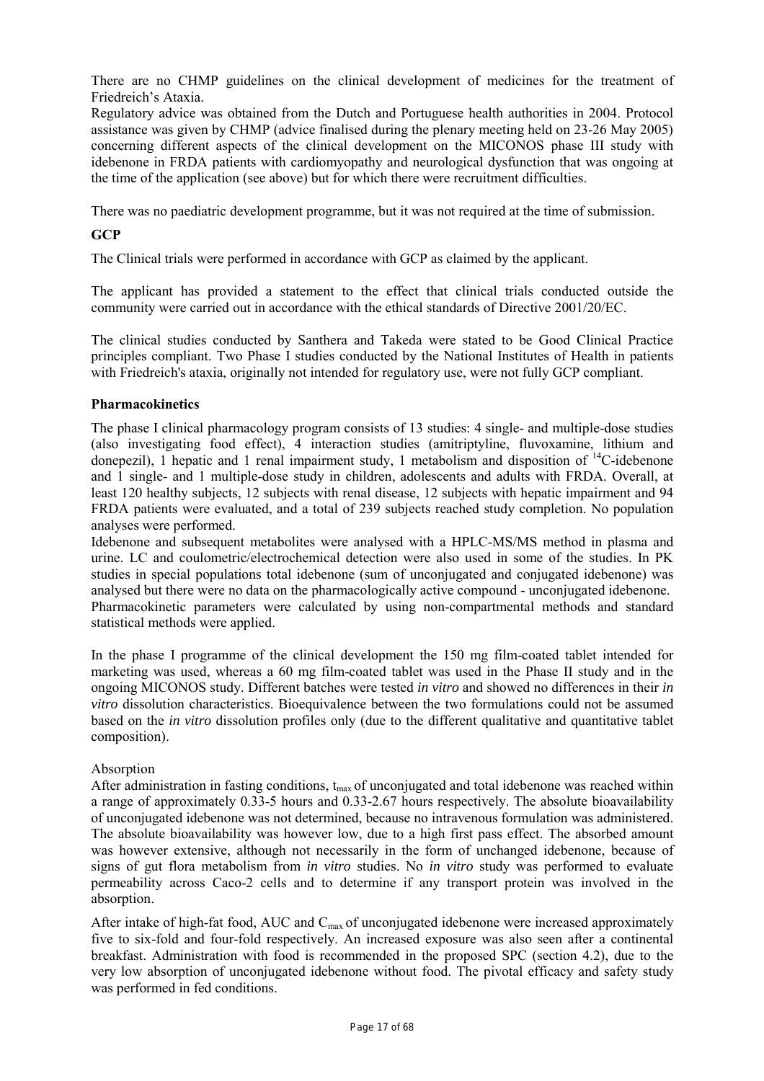There are no CHMP guidelines on the clinical development of medicines for the treatment of Friedreich's Ataxia.

Regulatory advice was obtained from the Dutch and Portuguese health authorities in 2004. Protocol assistance was given by CHMP (advice finalised during the plenary meeting held on 23-26 May 2005) concerning different aspects of the clinical development on the MICONOS phase III study with idebenone in FRDA patients with cardiomyopathy and neurological dysfunction that was ongoing at the time of the application (see above) but for which there were recruitment difficulties.

There was no paediatric development programme, but it was not required at the time of submission.

# **GCP**

The Clinical trials were performed in accordance with GCP as claimed by the applicant.

The applicant has provided a statement to the effect that clinical trials conducted outside the community were carried out in accordance with the ethical standards of Directive 2001/20/EC.

The clinical studies conducted by Santhera and Takeda were stated to be Good Clinical Practice principles compliant. Two Phase I studies conducted by the National Institutes of Health in patients with Friedreich's ataxia, originally not intended for regulatory use, were not fully GCP compliant.

# **Pharmacokinetics**

The phase I clinical pharmacology program consists of 13 studies: 4 single- and multiple-dose studies (also investigating food effect), 4 interaction studies (amitriptyline, fluvoxamine, lithium and donepezil), 1 hepatic and 1 renal impairment study, 1 metabolism and disposition of  $^{14}$ C-idebenone and 1 single- and 1 multiple-dose study in children, adolescents and adults with FRDA. Overall, at least 120 healthy subjects, 12 subjects with renal disease, 12 subjects with hepatic impairment and 94 FRDA patients were evaluated, and a total of 239 subjects reached study completion. No population analyses were performed.

Idebenone and subsequent metabolites were analysed with a HPLC-MS/MS method in plasma and urine. LC and coulometric/electrochemical detection were also used in some of the studies. In PK studies in special populations total idebenone (sum of unconjugated and conjugated idebenone) was analysed but there were no data on the pharmacologically active compound - unconjugated idebenone. Pharmacokinetic parameters were calculated by using non-compartmental methods and standard statistical methods were applied.

In the phase I programme of the clinical development the 150 mg film-coated tablet intended for marketing was used, whereas a 60 mg film-coated tablet was used in the Phase II study and in the ongoing MICONOS study. Different batches were tested *in vitro* and showed no differences in their *in vitro* dissolution characteristics. Bioequivalence between the two formulations could not be assumed based on the *in vitro* dissolution profiles only (due to the different qualitative and quantitative tablet composition).

# **Absorption**

After administration in fasting conditions,  $t_{max}$  of unconjugated and total idebenone was reached within a range of approximately 0.33-5 hours and 0.33-2.67 hours respectively. The absolute bioavailability of unconjugated idebenone was not determined, because no intravenous formulation was administered. The absolute bioavailability was however low, due to a high first pass effect. The absorbed amount was however extensive, although not necessarily in the form of unchanged idebenone, because of signs of gut flora metabolism from *in vitro* studies. No *in vitro* study was performed to evaluate permeability across Caco-2 cells and to determine if any transport protein was involved in the absorption.

After intake of high-fat food, AUC and  $C_{\text{max}}$  of unconjugated idebenone were increased approximately five to six-fold and four-fold respectively. An increased exposure was also seen after a continental breakfast. Administration with food is recommended in the proposed SPC (section 4.2), due to the very low absorption of unconjugated idebenone without food. The pivotal efficacy and safety study was performed in fed conditions.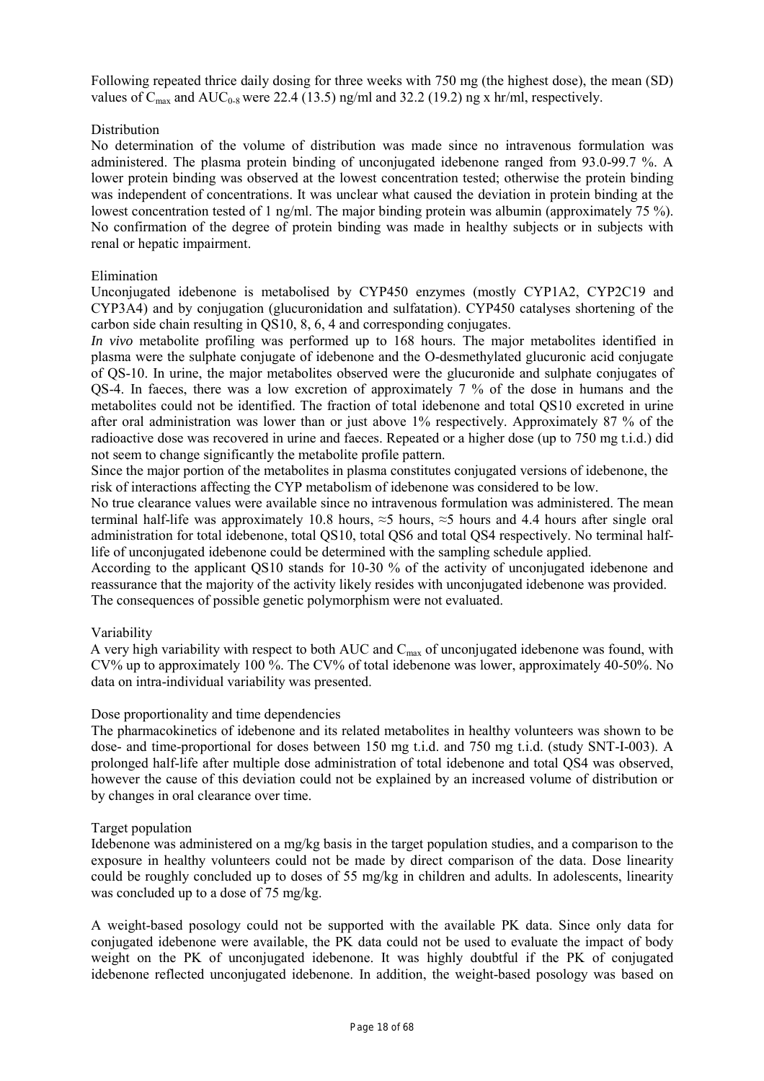Following repeated thrice daily dosing for three weeks with 750 mg (the highest dose), the mean (SD) values of  $C_{\text{max}}$  and  $AUC_{0.8}$  were 22.4 (13.5) ng/ml and 32.2 (19.2) ng x hr/ml, respectively.

# Distribution

No determination of the volume of distribution was made since no intravenous formulation was administered. The plasma protein binding of unconjugated idebenone ranged from 93.0-99.7 %. A lower protein binding was observed at the lowest concentration tested; otherwise the protein binding was independent of concentrations. It was unclear what caused the deviation in protein binding at the lowest concentration tested of 1 ng/ml. The major binding protein was albumin (approximately 75 %). No confirmation of the degree of protein binding was made in healthy subjects or in subjects with renal or hepatic impairment.

# Elimination

Unconjugated idebenone is metabolised by CYP450 enzymes (mostly CYP1A2, CYP2C19 and CYP3A4) and by conjugation (glucuronidation and sulfatation). CYP450 catalyses shortening of the carbon side chain resulting in QS10, 8, 6, 4 and corresponding conjugates.

*In vivo* metabolite profiling was performed up to 168 hours. The major metabolites identified in plasma were the sulphate conjugate of idebenone and the O-desmethylated glucuronic acid conjugate of QS-10. In urine, the major metabolites observed were the glucuronide and sulphate conjugates of QS-4. In faeces, there was a low excretion of approximately 7 % of the dose in humans and the metabolites could not be identified. The fraction of total idebenone and total QS10 excreted in urine after oral administration was lower than or just above 1% respectively. Approximately 87 % of the radioactive dose was recovered in urine and faeces. Repeated or a higher dose (up to 750 mg t.i.d.) did not seem to change significantly the metabolite profile pattern.

Since the major portion of the metabolites in plasma constitutes conjugated versions of idebenone, the risk of interactions affecting the CYP metabolism of idebenone was considered to be low.

No true clearance values were available since no intravenous formulation was administered. The mean terminal half-life was approximately 10.8 hours,  $\approx$  5 hours,  $\approx$  5 hours and 4.4 hours after single oral administration for total idebenone, total QS10, total QS6 and total QS4 respectively. No terminal halflife of unconjugated idebenone could be determined with the sampling schedule applied.

According to the applicant QS10 stands for 10-30 % of the activity of unconjugated idebenone and reassurance that the majority of the activity likely resides with unconjugated idebenone was provided. The consequences of possible genetic polymorphism were not evaluated.

# Variability

A very high variability with respect to both AUC and  $C_{\text{max}}$  of unconjugated idebenone was found, with CV% up to approximately 100 %. The CV% of total idebenone was lower, approximately 40-50%. No data on intra-individual variability was presented.

# Dose proportionality and time dependencies

The pharmacokinetics of idebenone and its related metabolites in healthy volunteers was shown to be dose- and time-proportional for doses between 150 mg t.i.d. and 750 mg t.i.d. (study SNT-I-003). A prolonged half-life after multiple dose administration of total idebenone and total QS4 was observed, however the cause of this deviation could not be explained by an increased volume of distribution or by changes in oral clearance over time.

# Target population

Idebenone was administered on a mg/kg basis in the target population studies, and a comparison to the exposure in healthy volunteers could not be made by direct comparison of the data. Dose linearity could be roughly concluded up to doses of 55 mg/kg in children and adults. In adolescents, linearity was concluded up to a dose of 75 mg/kg.

A weight-based posology could not be supported with the available PK data. Since only data for conjugated idebenone were available, the PK data could not be used to evaluate the impact of body weight on the PK of unconjugated idebenone. It was highly doubtful if the PK of conjugated idebenone reflected unconjugated idebenone. In addition, the weight-based posology was based on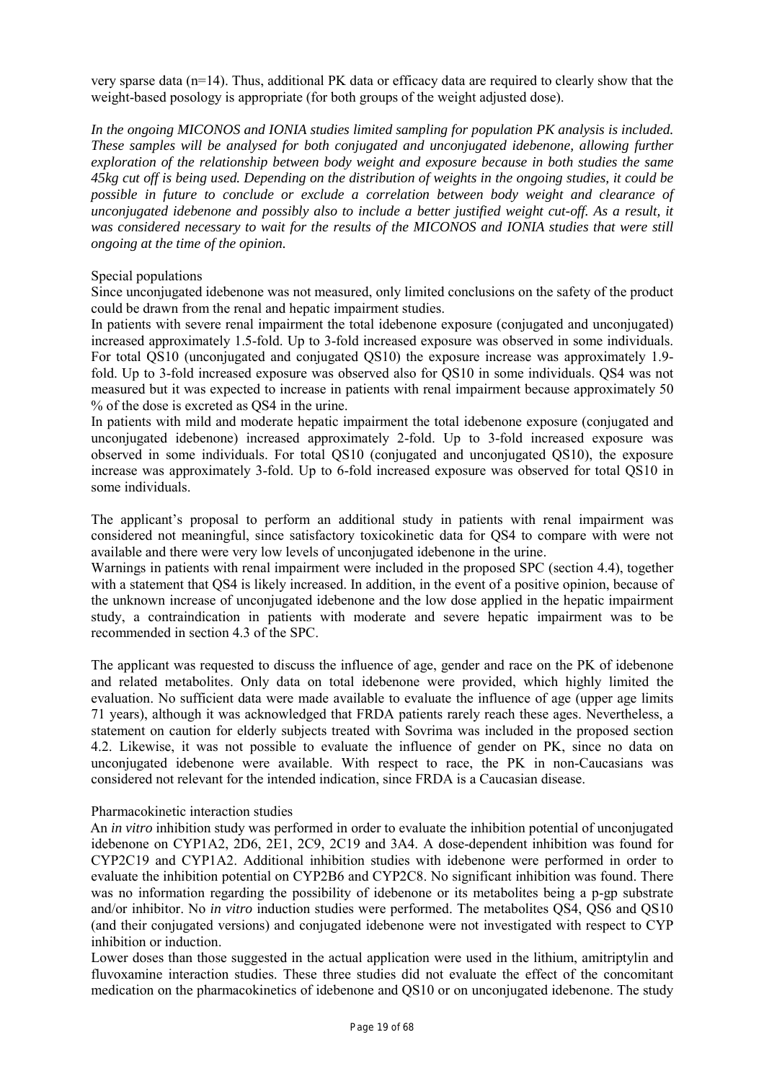very sparse data (n=14). Thus, additional PK data or efficacy data are required to clearly show that the weight-based posology is appropriate (for both groups of the weight adjusted dose).

*In the ongoing MICONOS and IONIA studies limited sampling for population PK analysis is included. These samples will be analysed for both conjugated and unconjugated idebenone, allowing further exploration of the relationship between body weight and exposure because in both studies the same 45kg cut off is being used. Depending on the distribution of weights in the ongoing studies, it could be possible in future to conclude or exclude a correlation between body weight and clearance of unconjugated idebenone and possibly also to include a better justified weight cut-off. As a result, it was considered necessary to wait for the results of the MICONOS and IONIA studies that were still ongoing at the time of the opinion.* 

#### Special populations

Since unconjugated idebenone was not measured, only limited conclusions on the safety of the product could be drawn from the renal and hepatic impairment studies.

In patients with severe renal impairment the total idebenone exposure (conjugated and unconjugated) increased approximately 1.5-fold. Up to 3-fold increased exposure was observed in some individuals. For total QS10 (unconjugated and conjugated QS10) the exposure increase was approximately 1.9 fold. Up to 3-fold increased exposure was observed also for QS10 in some individuals. QS4 was not measured but it was expected to increase in patients with renal impairment because approximately 50 % of the dose is excreted as QS4 in the urine.

In patients with mild and moderate hepatic impairment the total idebenone exposure (conjugated and unconjugated idebenone) increased approximately 2-fold. Up to 3-fold increased exposure was observed in some individuals. For total QS10 (conjugated and unconjugated QS10), the exposure increase was approximately 3-fold. Up to 6-fold increased exposure was observed for total QS10 in some individuals.

The applicant's proposal to perform an additional study in patients with renal impairment was considered not meaningful, since satisfactory toxicokinetic data for QS4 to compare with were not available and there were very low levels of unconjugated idebenone in the urine.

Warnings in patients with renal impairment were included in the proposed SPC (section 4.4), together with a statement that OS4 is likely increased. In addition, in the event of a positive opinion, because of the unknown increase of unconjugated idebenone and the low dose applied in the hepatic impairment study, a contraindication in patients with moderate and severe hepatic impairment was to be recommended in section 4.3 of the SPC.

The applicant was requested to discuss the influence of age, gender and race on the PK of idebenone and related metabolites. Only data on total idebenone were provided, which highly limited the evaluation. No sufficient data were made available to evaluate the influence of age (upper age limits 71 years), although it was acknowledged that FRDA patients rarely reach these ages. Nevertheless, a statement on caution for elderly subjects treated with Sovrima was included in the proposed section 4.2. Likewise, it was not possible to evaluate the influence of gender on PK, since no data on unconjugated idebenone were available. With respect to race, the PK in non-Caucasians was considered not relevant for the intended indication, since FRDA is a Caucasian disease.

#### Pharmacokinetic interaction studies

An *in vitro* inhibition study was performed in order to evaluate the inhibition potential of unconjugated idebenone on CYP1A2, 2D6, 2E1, 2C9, 2C19 and 3A4. A dose-dependent inhibition was found for CYP2C19 and CYP1A2. Additional inhibition studies with idebenone were performed in order to evaluate the inhibition potential on CYP2B6 and CYP2C8. No significant inhibition was found. There was no information regarding the possibility of idebenone or its metabolites being a p-gp substrate and/or inhibitor. No *in vitro* induction studies were performed. The metabolites QS4, QS6 and QS10 (and their conjugated versions) and conjugated idebenone were not investigated with respect to CYP inhibition or induction.

Lower doses than those suggested in the actual application were used in the lithium, amitriptylin and fluvoxamine interaction studies. These three studies did not evaluate the effect of the concomitant medication on the pharmacokinetics of idebenone and QS10 or on unconjugated idebenone. The study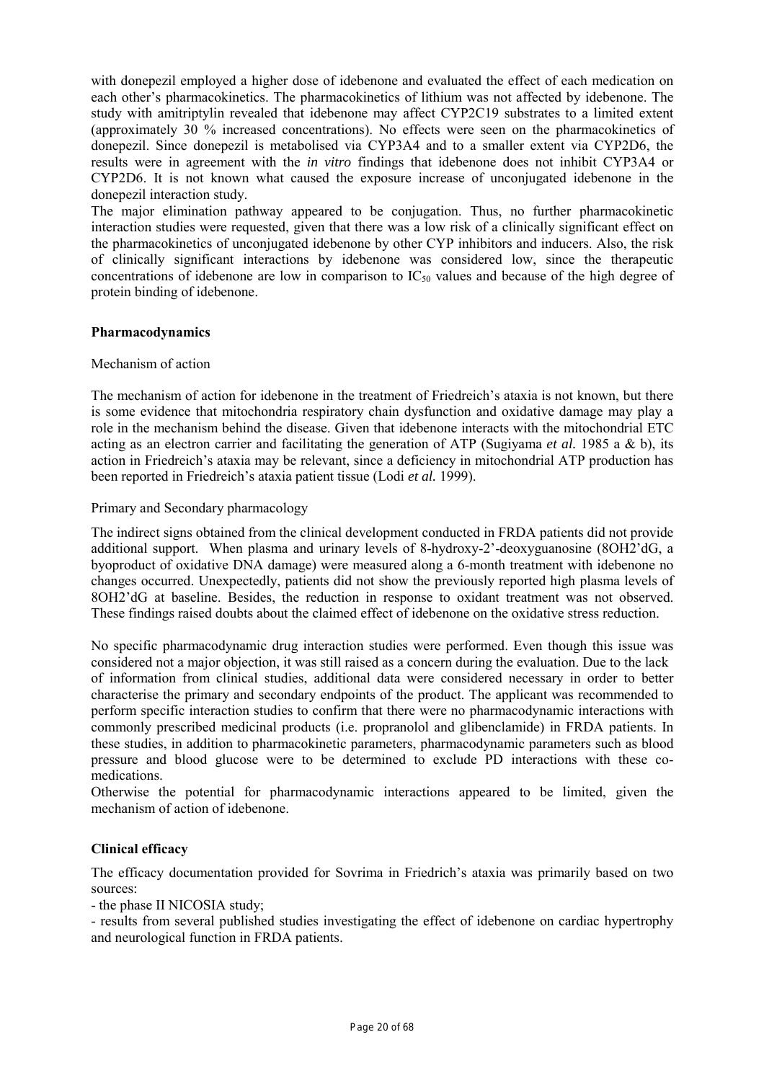with donepezil employed a higher dose of idebenone and evaluated the effect of each medication on each other's pharmacokinetics. The pharmacokinetics of lithium was not affected by idebenone. The study with amitriptylin revealed that idebenone may affect CYP2C19 substrates to a limited extent (approximately 30 % increased concentrations). No effects were seen on the pharmacokinetics of donepezil. Since donepezil is metabolised via CYP3A4 and to a smaller extent via CYP2D6, the results were in agreement with the *in vitro* findings that idebenone does not inhibit CYP3A4 or CYP2D6. It is not known what caused the exposure increase of unconjugated idebenone in the donepezil interaction study.

The major elimination pathway appeared to be conjugation. Thus, no further pharmacokinetic interaction studies were requested, given that there was a low risk of a clinically significant effect on the pharmacokinetics of unconjugated idebenone by other CYP inhibitors and inducers. Also, the risk of clinically significant interactions by idebenone was considered low, since the therapeutic concentrations of idebenone are low in comparison to  $IC_{50}$  values and because of the high degree of protein binding of idebenone.

# **Pharmacodynamics**

# Mechanism of action

The mechanism of action for idebenone in the treatment of Friedreich's ataxia is not known, but there is some evidence that mitochondria respiratory chain dysfunction and oxidative damage may play a role in the mechanism behind the disease. Given that idebenone interacts with the mitochondrial ETC acting as an electron carrier and facilitating the generation of ATP (Sugiyama *et al.* 1985 a & b), its action in Friedreich's ataxia may be relevant, since a deficiency in mitochondrial ATP production has been reported in Friedreich's ataxia patient tissue (Lodi *et al.* 1999).

# Primary and Secondary pharmacology

The indirect signs obtained from the clinical development conducted in FRDA patients did not provide additional support. When plasma and urinary levels of 8-hydroxy-2'-deoxyguanosine (8OH2'dG, a byoproduct of oxidative DNA damage) were measured along a 6-month treatment with idebenone no changes occurred. Unexpectedly, patients did not show the previously reported high plasma levels of 8OH2'dG at baseline. Besides, the reduction in response to oxidant treatment was not observed. These findings raised doubts about the claimed effect of idebenone on the oxidative stress reduction.

No specific pharmacodynamic drug interaction studies were performed. Even though this issue was considered not a major objection, it was still raised as a concern during the evaluation. Due to the lack of information from clinical studies, additional data were considered necessary in order to better characterise the primary and secondary endpoints of the product. The applicant was recommended to perform specific interaction studies to confirm that there were no pharmacodynamic interactions with commonly prescribed medicinal products (i.e. propranolol and glibenclamide) in FRDA patients. In these studies, in addition to pharmacokinetic parameters, pharmacodynamic parameters such as blood pressure and blood glucose were to be determined to exclude PD interactions with these comedications.

Otherwise the potential for pharmacodynamic interactions appeared to be limited, given the mechanism of action of idebenone.

# **Clinical efficacy**

The efficacy documentation provided for Sovrima in Friedrich's ataxia was primarily based on two sources:

- the phase II NICOSIA study;

- results from several published studies investigating the effect of idebenone on cardiac hypertrophy and neurological function in FRDA patients.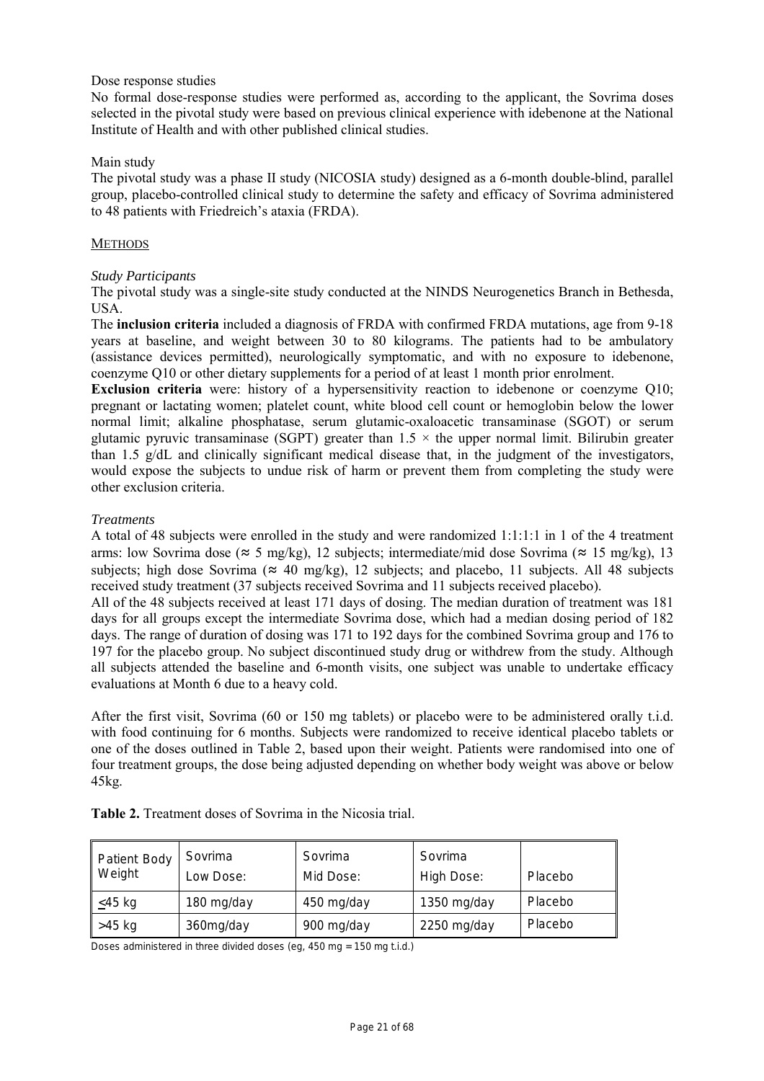# Dose response studies

No formal dose-response studies were performed as, according to the applicant, the Sovrima doses selected in the pivotal study were based on previous clinical experience with idebenone at the National Institute of Health and with other published clinical studies.

# Main study

The pivotal study was a phase II study (NICOSIA study) designed as a 6-month double-blind, parallel group, placebo-controlled clinical study to determine the safety and efficacy of Sovrima administered to 48 patients with Friedreich's ataxia (FRDA).

# **METHODS**

# *Study Participants*

The pivotal study was a single-site study conducted at the NINDS Neurogenetics Branch in Bethesda, USA.

The **inclusion criteria** included a diagnosis of FRDA with confirmed FRDA mutations, age from 9-18 years at baseline, and weight between 30 to 80 kilograms. The patients had to be ambulatory (assistance devices permitted), neurologically symptomatic, and with no exposure to idebenone, coenzyme Q10 or other dietary supplements for a period of at least 1 month prior enrolment.

**Exclusion criteria** were: history of a hypersensitivity reaction to idebenone or coenzyme Q10; pregnant or lactating women; platelet count, white blood cell count or hemoglobin below the lower normal limit; alkaline phosphatase, serum glutamic-oxaloacetic transaminase (SGOT) or serum glutamic pyruvic transaminase (SGPT) greater than  $1.5 \times$  the upper normal limit. Bilirubin greater than 1.5 g/dL and clinically significant medical disease that, in the judgment of the investigators, would expose the subjects to undue risk of harm or prevent them from completing the study were other exclusion criteria.

# *Treatments*

A total of 48 subjects were enrolled in the study and were randomized 1:1:1:1 in 1 of the 4 treatment arms: low Sovrima dose ( $\approx$  5 mg/kg), 12 subjects; intermediate/mid dose Sovrima ( $\approx$  15 mg/kg), 13 subjects; high dose Sovrima ( $\approx$  40 mg/kg), 12 subjects; and placebo, 11 subjects. All 48 subjects received study treatment (37 subjects received Sovrima and 11 subjects received placebo).

All of the 48 subjects received at least 171 days of dosing. The median duration of treatment was 181 days for all groups except the intermediate Sovrima dose, which had a median dosing period of 182 days. The range of duration of dosing was 171 to 192 days for the combined Sovrima group and 176 to 197 for the placebo group. No subject discontinued study drug or withdrew from the study. Although all subjects attended the baseline and 6-month visits, one subject was unable to undertake efficacy evaluations at Month 6 due to a heavy cold.

After the first visit, Sovrima (60 or 150 mg tablets) or placebo were to be administered orally t.i.d. with food continuing for 6 months. Subjects were randomized to receive identical placebo tablets or one of the doses outlined in Table 2, based upon their weight. Patients were randomised into one of four treatment groups, the dose being adjusted depending on whether body weight was above or below 45kg.

| Patient Body<br>Weight | Sovrima<br>Low Dose: | Sovrima<br>Mid Dose: | Sovrima<br>High Dose: | Placebo |
|------------------------|----------------------|----------------------|-----------------------|---------|
| <45 kg                 | 180 mg/day           | 450 mg/day           | 1350 mg/day           | Placebo |
| >45 kg                 | 360mg/day            | 900 mg/day           | $2250$ mg/day         | Placebo |

**Table 2.** Treatment doses of Sovrima in the Nicosia trial.

Doses administered in three divided doses (eg, 450 mg = 150 mg t.i.d.)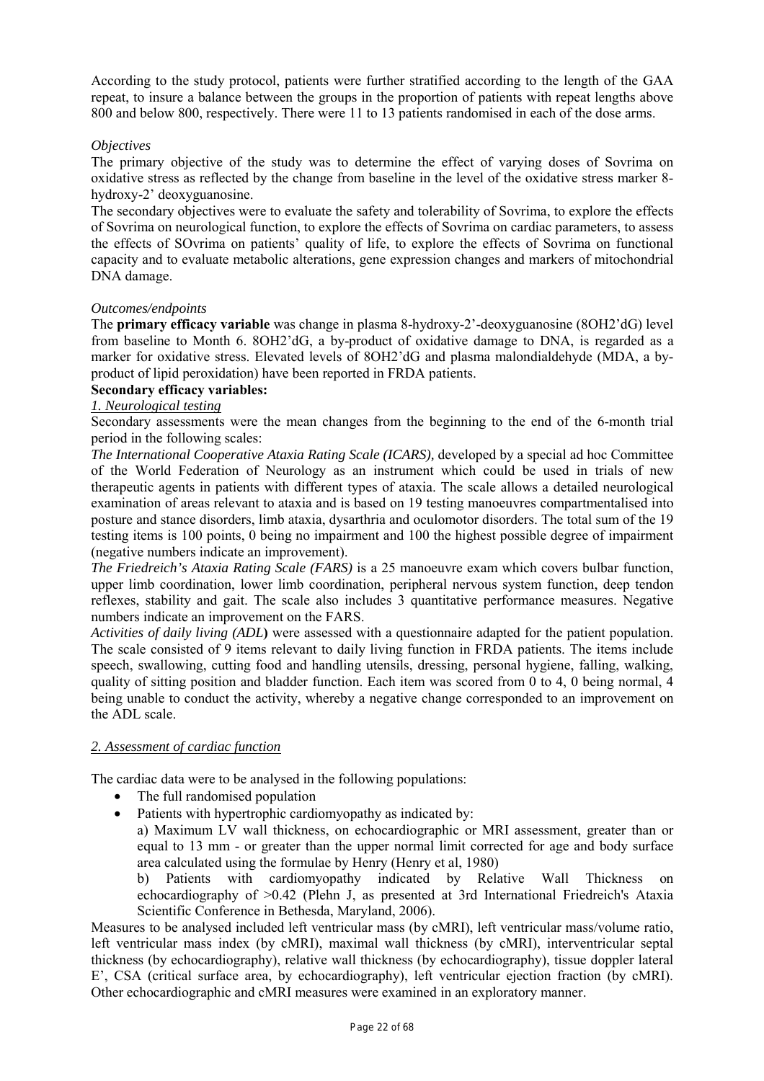According to the study protocol, patients were further stratified according to the length of the GAA repeat, to insure a balance between the groups in the proportion of patients with repeat lengths above 800 and below 800, respectively. There were 11 to 13 patients randomised in each of the dose arms.

# *Objectives*

The primary objective of the study was to determine the effect of varying doses of Sovrima on oxidative stress as reflected by the change from baseline in the level of the oxidative stress marker 8 hydroxy-2' deoxyguanosine.

The secondary objectives were to evaluate the safety and tolerability of Sovrima, to explore the effects of Sovrima on neurological function, to explore the effects of Sovrima on cardiac parameters, to assess the effects of SOvrima on patients' quality of life, to explore the effects of Sovrima on functional capacity and to evaluate metabolic alterations, gene expression changes and markers of mitochondrial DNA damage.

#### *Outcomes/endpoints*

The **primary efficacy variable** was change in plasma 8-hydroxy-2'-deoxyguanosine (8OH2'dG) level from baseline to Month 6. 8OH2'dG, a by-product of oxidative damage to DNA, is regarded as a marker for oxidative stress. Elevated levels of 8OH2'dG and plasma malondialdehyde (MDA, a byproduct of lipid peroxidation) have been reported in FRDA patients.

# **Secondary efficacy variables:**

# *1. Neurological testing*

Secondary assessments were the mean changes from the beginning to the end of the 6-month trial period in the following scales:

*The International Cooperative Ataxia Rating Scale (ICARS),* developed by a special ad hoc Committee of the World Federation of Neurology as an instrument which could be used in trials of new therapeutic agents in patients with different types of ataxia. The scale allows a detailed neurological examination of areas relevant to ataxia and is based on 19 testing manoeuvres compartmentalised into posture and stance disorders, limb ataxia, dysarthria and oculomotor disorders. The total sum of the 19 testing items is 100 points, 0 being no impairment and 100 the highest possible degree of impairment (negative numbers indicate an improvement).

*The Friedreich's Ataxia Rating Scale (FARS)* is a 25 manoeuvre exam which covers bulbar function, upper limb coordination, lower limb coordination, peripheral nervous system function, deep tendon reflexes, stability and gait. The scale also includes 3 quantitative performance measures. Negative numbers indicate an improvement on the FARS.

*Activities of daily living (ADL***)** were assessed with a questionnaire adapted for the patient population. The scale consisted of 9 items relevant to daily living function in FRDA patients. The items include speech, swallowing, cutting food and handling utensils, dressing, personal hygiene, falling, walking, quality of sitting position and bladder function. Each item was scored from 0 to 4, 0 being normal, 4 being unable to conduct the activity, whereby a negative change corresponded to an improvement on the ADL scale.

# *2. Assessment of cardiac function*

The cardiac data were to be analysed in the following populations:

- The full randomised population
- Patients with hypertrophic cardiomyopathy as indicated by:

 a) Maximum LV wall thickness, on echocardiographic or MRI assessment, greater than or equal to 13 mm - or greater than the upper normal limit corrected for age and body surface area calculated using the formulae by Henry (Henry et al, 1980)

b) Patients with cardiomyopathy indicated by Relative Wall Thickness echocardiography of >0.42 (Plehn J, as presented at 3rd International Friedreich's Ataxia Scientific Conference in Bethesda, Maryland, 2006).

Measures to be analysed included left ventricular mass (by cMRI), left ventricular mass/volume ratio, left ventricular mass index (by cMRI), maximal wall thickness (by cMRI), interventricular septal thickness (by echocardiography), relative wall thickness (by echocardiography), tissue doppler lateral E', CSA (critical surface area, by echocardiography), left ventricular ejection fraction (by cMRI). Other echocardiographic and cMRI measures were examined in an exploratory manner.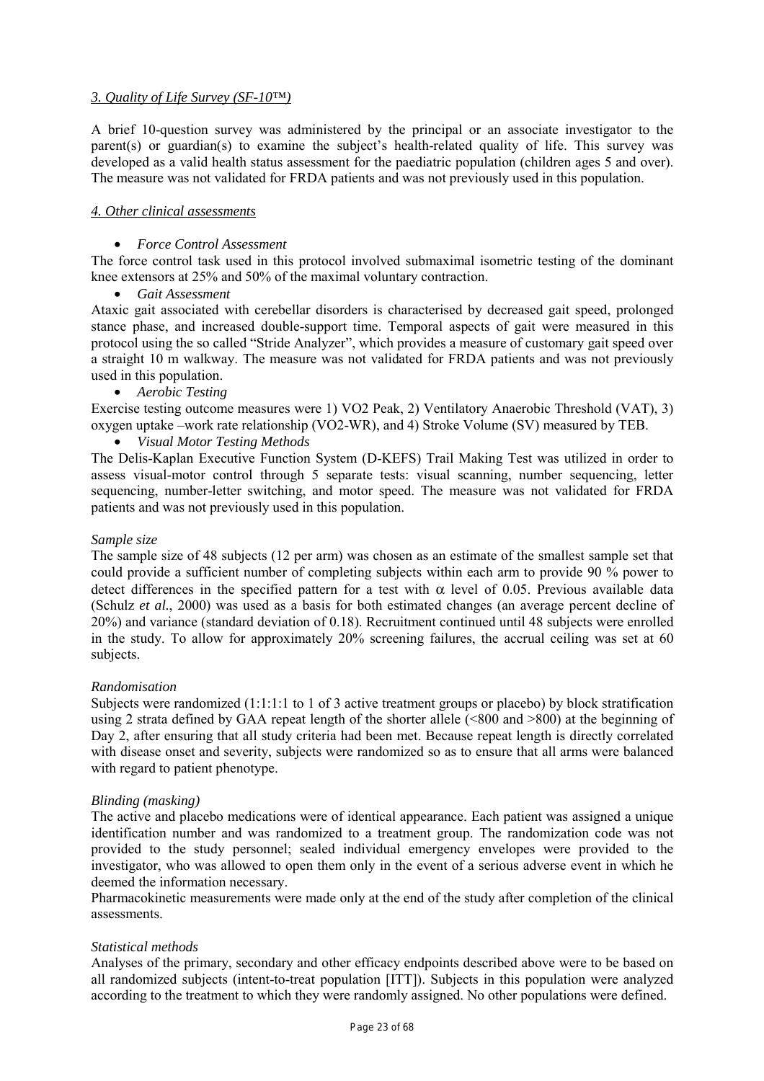# *3. Quality of Life Survey (SF-10™)*

A brief 10-question survey was administered by the principal or an associate investigator to the parent(s) or guardian(s) to examine the subject's health-related quality of life. This survey was developed as a valid health status assessment for the paediatric population (children ages 5 and over). The measure was not validated for FRDA patients and was not previously used in this population.

# *4. Other clinical assessments*

# • *Force Control Assessment*

The force control task used in this protocol involved submaximal isometric testing of the dominant knee extensors at 25% and 50% of the maximal voluntary contraction.

• *Gait Assessment* 

Ataxic gait associated with cerebellar disorders is characterised by decreased gait speed, prolonged stance phase, and increased double-support time. Temporal aspects of gait were measured in this protocol using the so called "Stride Analyzer", which provides a measure of customary gait speed over a straight 10 m walkway. The measure was not validated for FRDA patients and was not previously used in this population.

• *Aerobic Testing* 

Exercise testing outcome measures were 1) VO2 Peak, 2) Ventilatory Anaerobic Threshold (VAT), 3) oxygen uptake –work rate relationship (VO2-WR), and 4) Stroke Volume (SV) measured by TEB.

• *Visual Motor Testing Methods* 

The Delis-Kaplan Executive Function System (D-KEFS) Trail Making Test was utilized in order to assess visual-motor control through 5 separate tests: visual scanning, number sequencing, letter sequencing, number-letter switching, and motor speed. The measure was not validated for FRDA patients and was not previously used in this population.

# *Sample size*

The sample size of 48 subjects (12 per arm) was chosen as an estimate of the smallest sample set that could provide a sufficient number of completing subjects within each arm to provide 90 % power to detect differences in the specified pattern for a test with  $\alpha$  level of 0.05. Previous available data (Schulz *et al.*, 2000) was used as a basis for both estimated changes (an average percent decline of 20%) and variance (standard deviation of 0.18). Recruitment continued until 48 subjects were enrolled in the study. To allow for approximately 20% screening failures, the accrual ceiling was set at 60 subjects.

# *Randomisation*

Subjects were randomized (1:1:1:1 to 1 of 3 active treatment groups or placebo) by block stratification using 2 strata defined by GAA repeat length of the shorter allele  $(\leq 800$  and  $> 800)$  at the beginning of Day 2, after ensuring that all study criteria had been met. Because repeat length is directly correlated with disease onset and severity, subjects were randomized so as to ensure that all arms were balanced with regard to patient phenotype.

# *Blinding (masking)*

The active and placebo medications were of identical appearance. Each patient was assigned a unique identification number and was randomized to a treatment group. The randomization code was not provided to the study personnel; sealed individual emergency envelopes were provided to the investigator, who was allowed to open them only in the event of a serious adverse event in which he deemed the information necessary.

Pharmacokinetic measurements were made only at the end of the study after completion of the clinical assessments.

# *Statistical methods*

Analyses of the primary, secondary and other efficacy endpoints described above were to be based on all randomized subjects (intent-to-treat population [ITT]). Subjects in this population were analyzed according to the treatment to which they were randomly assigned. No other populations were defined.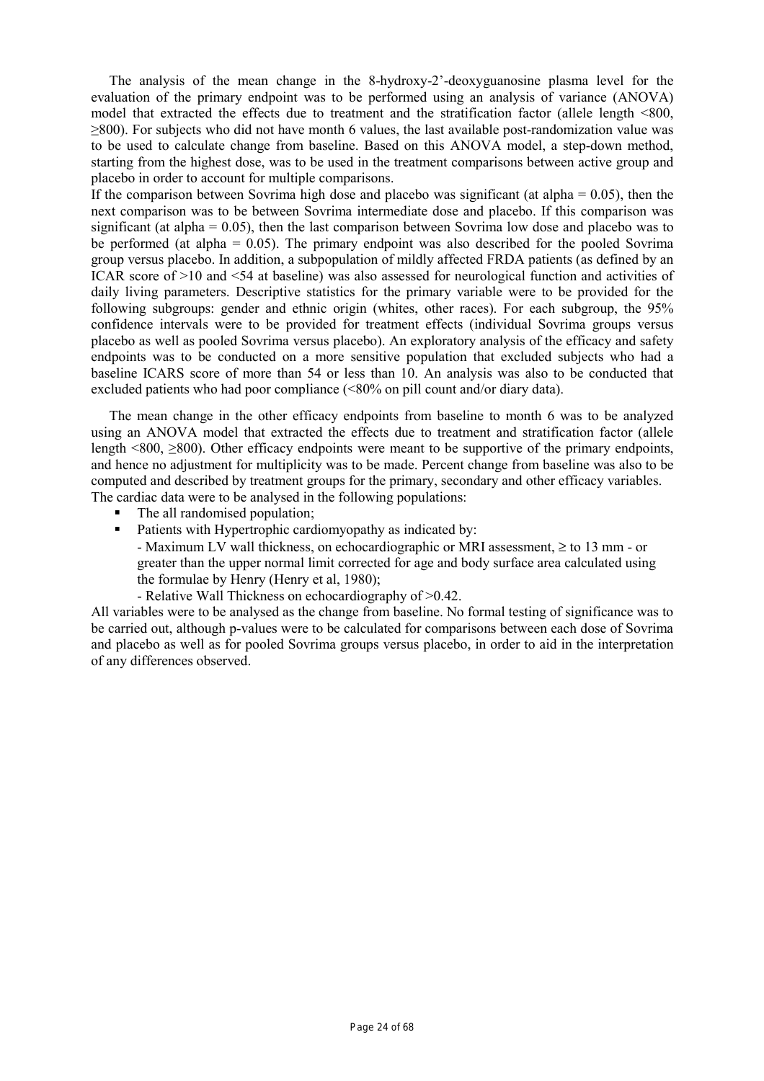The analysis of the mean change in the 8-hydroxy-2'-deoxyguanosine plasma level for the evaluation of the primary endpoint was to be performed using an analysis of variance (ANOVA) model that extracted the effects due to treatment and the stratification factor (allele length <800, ≥800). For subjects who did not have month 6 values, the last available post-randomization value was to be used to calculate change from baseline. Based on this ANOVA model, a step-down method, starting from the highest dose, was to be used in the treatment comparisons between active group and placebo in order to account for multiple comparisons.

If the comparison between Sovrima high dose and placebo was significant (at alpha  $= 0.05$ ), then the next comparison was to be between Sovrima intermediate dose and placebo. If this comparison was significant (at alpha =  $0.05$ ), then the last comparison between Sovrima low dose and placebo was to be performed (at alpha = 0.05). The primary endpoint was also described for the pooled Sovrima group versus placebo. In addition, a subpopulation of mildly affected FRDA patients (as defined by an ICAR score of >10 and <54 at baseline) was also assessed for neurological function and activities of daily living parameters. Descriptive statistics for the primary variable were to be provided for the following subgroups: gender and ethnic origin (whites, other races). For each subgroup, the 95% confidence intervals were to be provided for treatment effects (individual Sovrima groups versus placebo as well as pooled Sovrima versus placebo). An exploratory analysis of the efficacy and safety endpoints was to be conducted on a more sensitive population that excluded subjects who had a baseline ICARS score of more than 54 or less than 10. An analysis was also to be conducted that excluded patients who had poor compliance (<80% on pill count and/or diary data).

The mean change in the other efficacy endpoints from baseline to month 6 was to be analyzed using an ANOVA model that extracted the effects due to treatment and stratification factor (allele length  $\leq 800$ ,  $\geq 800$ ). Other efficacy endpoints were meant to be supportive of the primary endpoints, and hence no adjustment for multiplicity was to be made. Percent change from baseline was also to be computed and described by treatment groups for the primary, secondary and other efficacy variables. The cardiac data were to be analysed in the following populations:

- The all randomised population;
- **Patients with Hypertrophic cardiomyopathy as indicated by:** 
	- Maximum LV wall thickness, on echocardiographic or MRI assessment,  $\geq$  to 13 mm or greater than the upper normal limit corrected for age and body surface area calculated using the formulae by Henry (Henry et al, 1980);
	- Relative Wall Thickness on echocardiography of >0.42.

All variables were to be analysed as the change from baseline. No formal testing of significance was to be carried out, although p-values were to be calculated for comparisons between each dose of Sovrima and placebo as well as for pooled Sovrima groups versus placebo, in order to aid in the interpretation of any differences observed.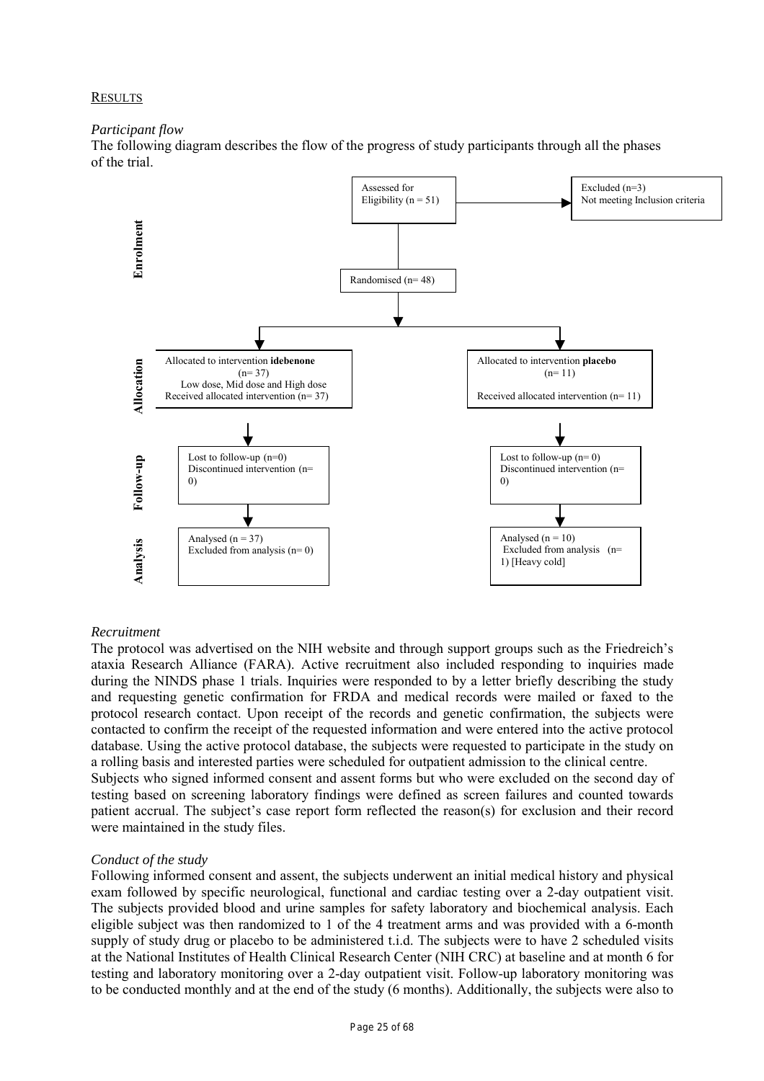#### **RESULTS**

#### *Participant flow*

The following diagram describes the flow of the progress of study participants through all the phases of the trial.



# *Recruitment*

The protocol was advertised on the NIH website and through support groups such as the Friedreich's ataxia Research Alliance (FARA). Active recruitment also included responding to inquiries made during the NINDS phase 1 trials. Inquiries were responded to by a letter briefly describing the study and requesting genetic confirmation for FRDA and medical records were mailed or faxed to the protocol research contact. Upon receipt of the records and genetic confirmation, the subjects were contacted to confirm the receipt of the requested information and were entered into the active protocol database. Using the active protocol database, the subjects were requested to participate in the study on a rolling basis and interested parties were scheduled for outpatient admission to the clinical centre. Subjects who signed informed consent and assent forms but who were excluded on the second day of testing based on screening laboratory findings were defined as screen failures and counted towards patient accrual. The subject's case report form reflected the reason(s) for exclusion and their record were maintained in the study files.

# *Conduct of the study*

Following informed consent and assent, the subjects underwent an initial medical history and physical exam followed by specific neurological, functional and cardiac testing over a 2-day outpatient visit. The subjects provided blood and urine samples for safety laboratory and biochemical analysis. Each eligible subject was then randomized to 1 of the 4 treatment arms and was provided with a 6-month supply of study drug or placebo to be administered t.i.d. The subjects were to have 2 scheduled visits at the National Institutes of Health Clinical Research Center (NIH CRC) at baseline and at month 6 for testing and laboratory monitoring over a 2-day outpatient visit. Follow-up laboratory monitoring was to be conducted monthly and at the end of the study (6 months). Additionally, the subjects were also to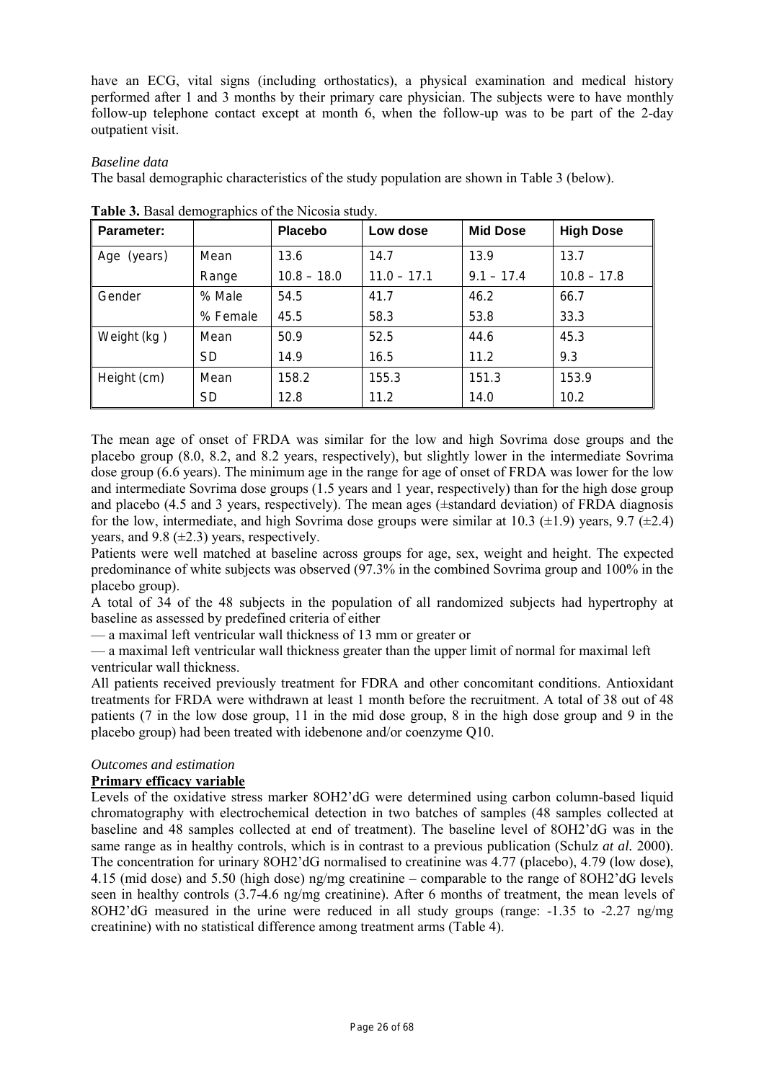have an ECG, vital signs (including orthostatics), a physical examination and medical history performed after 1 and 3 months by their primary care physician. The subjects were to have monthly follow-up telephone contact except at month 6, when the follow-up was to be part of the 2-day outpatient visit.

# *Baseline data*

The basal demographic characteristics of the study population are shown in Table 3 (below).

| <b>Parameter:</b> |           | <b>Placebo</b> | Low dose      | <b>Mid Dose</b> | <b>High Dose</b> |
|-------------------|-----------|----------------|---------------|-----------------|------------------|
| Age (years)       | Mean      | 13.6           | 14.7          | 13.9            | 13.7             |
|                   | Range     | $10.8 - 18.0$  | $11.0 - 17.1$ | $9.1 - 17.4$    | $10.8 - 17.8$    |
| Gender            | % Male    | 54.5           | 41.7          | 46.2            | 66.7             |
|                   | % Female  | 45.5           | 58.3          | 53.8            | 33.3             |
| Weight (kg)       | Mean      | 50.9           | 52.5          | 44.6            | 45.3             |
|                   | <b>SD</b> | 14.9           | 16.5          | 11.2            | 9.3              |
| Height (cm)       | Mean      | 158.2          | 155.3         | 151.3           | 153.9            |
|                   | <b>SD</b> | 12.8           | 11.2          | 14.0            | 10.2             |

**Table 3.** Basal demographics of the Nicosia study.

The mean age of onset of FRDA was similar for the low and high Sovrima dose groups and the placebo group (8.0, 8.2, and 8.2 years, respectively), but slightly lower in the intermediate Sovrima dose group (6.6 years). The minimum age in the range for age of onset of FRDA was lower for the low and intermediate Sovrima dose groups (1.5 years and 1 year, respectively) than for the high dose group and placebo (4.5 and 3 years, respectively). The mean ages (±standard deviation) of FRDA diagnosis for the low, intermediate, and high Sovrima dose groups were similar at 10.3  $(\pm 1.9)$  years, 9.7  $(\pm 2.4)$ years, and  $9.8 \ (\pm 2.3)$  years, respectively.

Patients were well matched at baseline across groups for age, sex, weight and height. The expected predominance of white subjects was observed (97.3% in the combined Sovrima group and 100% in the placebo group).

A total of 34 of the 48 subjects in the population of all randomized subjects had hypertrophy at baseline as assessed by predefined criteria of either

— a maximal left ventricular wall thickness of 13 mm or greater or

— a maximal left ventricular wall thickness greater than the upper limit of normal for maximal left ventricular wall thickness.

All patients received previously treatment for FDRA and other concomitant conditions. Antioxidant treatments for FRDA were withdrawn at least 1 month before the recruitment. A total of 38 out of 48 patients (7 in the low dose group, 11 in the mid dose group, 8 in the high dose group and 9 in the placebo group) had been treated with idebenone and/or coenzyme Q10.

# *Outcomes and estimation*

# **Primary efficacy variable**

Levels of the oxidative stress marker 8OH2'dG were determined using carbon column-based liquid chromatography with electrochemical detection in two batches of samples (48 samples collected at baseline and 48 samples collected at end of treatment). The baseline level of 8OH2'dG was in the same range as in healthy controls, which is in contrast to a previous publication (Schulz *at al.* 2000). The concentration for urinary 8OH2'dG normalised to creatinine was 4.77 (placebo), 4.79 (low dose), 4.15 (mid dose) and 5.50 (high dose) ng/mg creatinine – comparable to the range of 8OH2'dG levels seen in healthy controls (3.7-4.6 ng/mg creatinine). After 6 months of treatment, the mean levels of 8OH2'dG measured in the urine were reduced in all study groups (range: -1.35 to -2.27 ng/mg creatinine) with no statistical difference among treatment arms (Table 4).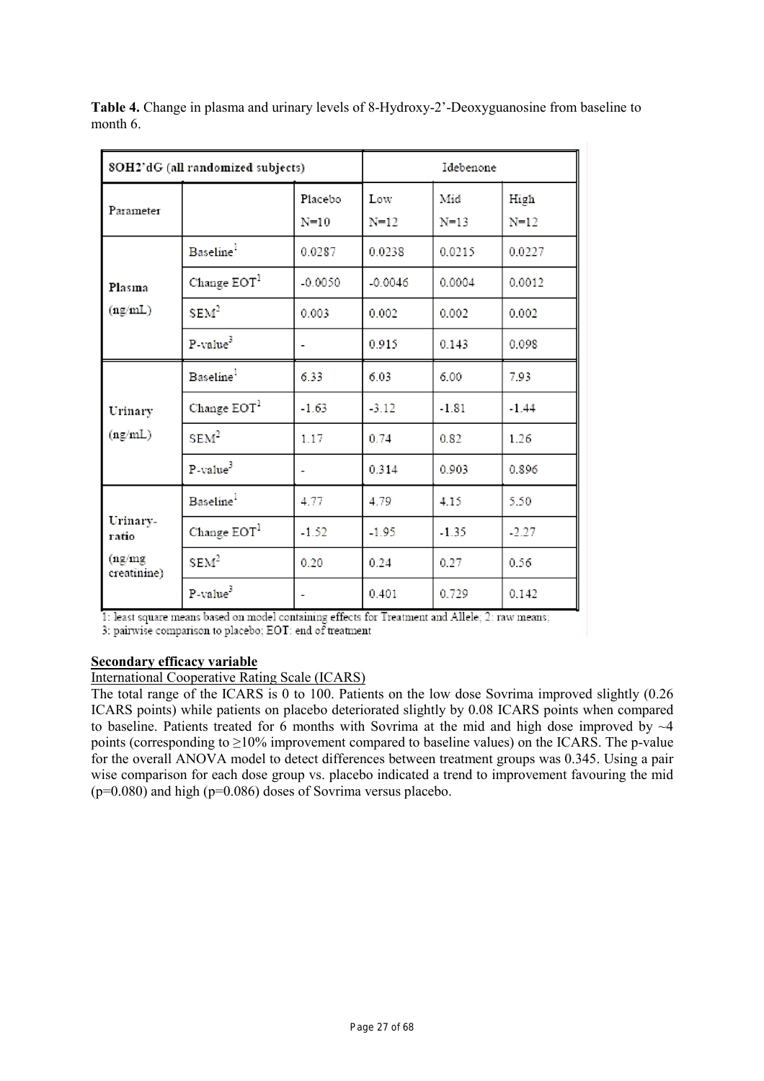|                        | 8OH2'dG (all randomized subjects) | Idebenone                |                 |                 |                  |
|------------------------|-----------------------------------|--------------------------|-----------------|-----------------|------------------|
| Parameter              |                                   | Placebo<br>$N=10$        | Low<br>$N = 12$ | Mid<br>$N = 13$ | High<br>$N = 12$ |
|                        | Baseline <sup>1</sup>             | 0.0287                   | 0.0238          | 0.0215          | 0.0227           |
| Plasma                 | Change $EOT1$                     | $-0.0050$                | $-0.0046$       | 0.0004          | 0.0012           |
| (ng/mL)                | SEM <sup>2</sup>                  | 0.003                    | 0.002           | 0.002           | 0.002            |
|                        | $P-value3$                        |                          | 0.915           | 0.143           | 0.098            |
|                        | Baseline <sup>1</sup>             | 6.33                     | 6.03            | 6.00            | 7.93             |
| Urinary                | Change EOT <sup>1</sup>           | $-1.63$                  | $-3.12$         | $-1.81$         | $-1.44$          |
| (ng/mL)                | SEM <sup>2</sup>                  | 1.17                     | 0.74            | 0.82            | 1.26             |
|                        | $P-value3$                        | $\overline{\phantom{a}}$ | 0.314           | 0.903           | 0.896            |
|                        | Baseline <sup>l</sup>             | 4.77                     | 4.79            | 4.15            | 5.50             |
| Urinary-<br>ratio      | Change EOT <sup>1</sup>           | $-1.52$                  | $-1.95$         | $-1.35$         | $-2.27$          |
| (ng/mg)<br>creatinine) | SEM <sup>2</sup>                  | 0.20                     | 0.24            | 0.27            | 0.56             |
|                        | P-value <sup>3</sup>              |                          | 0.401           | 0.729           | 0.142            |

**Table 4.** Change in plasma and urinary levels of 8-Hydroxy-2'-Deoxyguanosine from baseline to month 6.

1: least square means based on model containing effects for Treatment and Allele; 2: raw means;

3: pairwise comparison to placebo; EOT: end of treatment

# **Secondary efficacy variable**

# International Cooperative Rating Scale (ICARS)

The total range of the ICARS is 0 to 100. Patients on the low dose Sovrima improved slightly (0.26 ICARS points) while patients on placebo deteriorated slightly by 0.08 ICARS points when compared to baseline. Patients treated for 6 months with Sovrima at the mid and high dose improved by  $\sim$ 4 points (corresponding to  $\geq$ 10% improvement compared to baseline values) on the ICARS. The p-value for the overall ANOVA model to detect differences between treatment groups was 0.345. Using a pair wise comparison for each dose group vs. placebo indicated a trend to improvement favouring the mid  $(p=0.080)$  and high  $(p=0.086)$  doses of Sovrima versus placebo.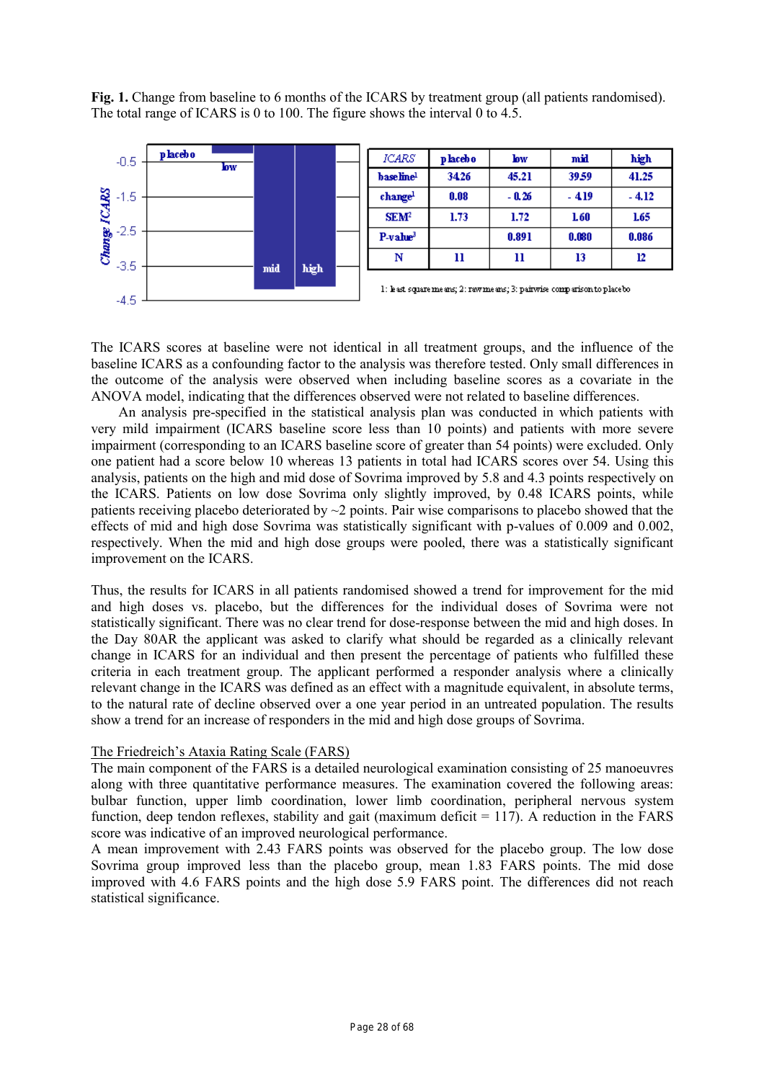**Fig. 1.** Change from baseline to 6 months of the ICARS by treatment group (all patients randomised). The total range of ICARS is 0 to 100. The figure shows the interval 0 to 4.5.



The ICARS scores at baseline were not identical in all treatment groups, and the influence of the baseline ICARS as a confounding factor to the analysis was therefore tested. Only small differences in the outcome of the analysis were observed when including baseline scores as a covariate in the ANOVA model, indicating that the differences observed were not related to baseline differences.

An analysis pre-specified in the statistical analysis plan was conducted in which patients with very mild impairment (ICARS baseline score less than 10 points) and patients with more severe impairment (corresponding to an ICARS baseline score of greater than 54 points) were excluded. Only one patient had a score below 10 whereas 13 patients in total had ICARS scores over 54. Using this analysis, patients on the high and mid dose of Sovrima improved by 5.8 and 4.3 points respectively on the ICARS. Patients on low dose Sovrima only slightly improved, by 0.48 ICARS points, while patients receiving placebo deteriorated by  $\sim$ 2 points. Pair wise comparisons to placebo showed that the effects of mid and high dose Sovrima was statistically significant with p-values of 0.009 and 0.002, respectively. When the mid and high dose groups were pooled, there was a statistically significant improvement on the ICARS.

Thus, the results for ICARS in all patients randomised showed a trend for improvement for the mid and high doses vs. placebo, but the differences for the individual doses of Sovrima were not statistically significant. There was no clear trend for dose-response between the mid and high doses. In the Day 80AR the applicant was asked to clarify what should be regarded as a clinically relevant change in ICARS for an individual and then present the percentage of patients who fulfilled these criteria in each treatment group. The applicant performed a responder analysis where a clinically relevant change in the ICARS was defined as an effect with a magnitude equivalent, in absolute terms, to the natural rate of decline observed over a one year period in an untreated population. The results show a trend for an increase of responders in the mid and high dose groups of Sovrima.

#### The Friedreich's Ataxia Rating Scale (FARS)

The main component of the FARS is a detailed neurological examination consisting of 25 manoeuvres along with three quantitative performance measures. The examination covered the following areas: bulbar function, upper limb coordination, lower limb coordination, peripheral nervous system function, deep tendon reflexes, stability and gait (maximum deficit  $= 117$ ). A reduction in the FARS score was indicative of an improved neurological performance.

A mean improvement with 2.43 FARS points was observed for the placebo group. The low dose Sovrima group improved less than the placebo group, mean 1.83 FARS points. The mid dose improved with 4.6 FARS points and the high dose 5.9 FARS point. The differences did not reach statistical significance.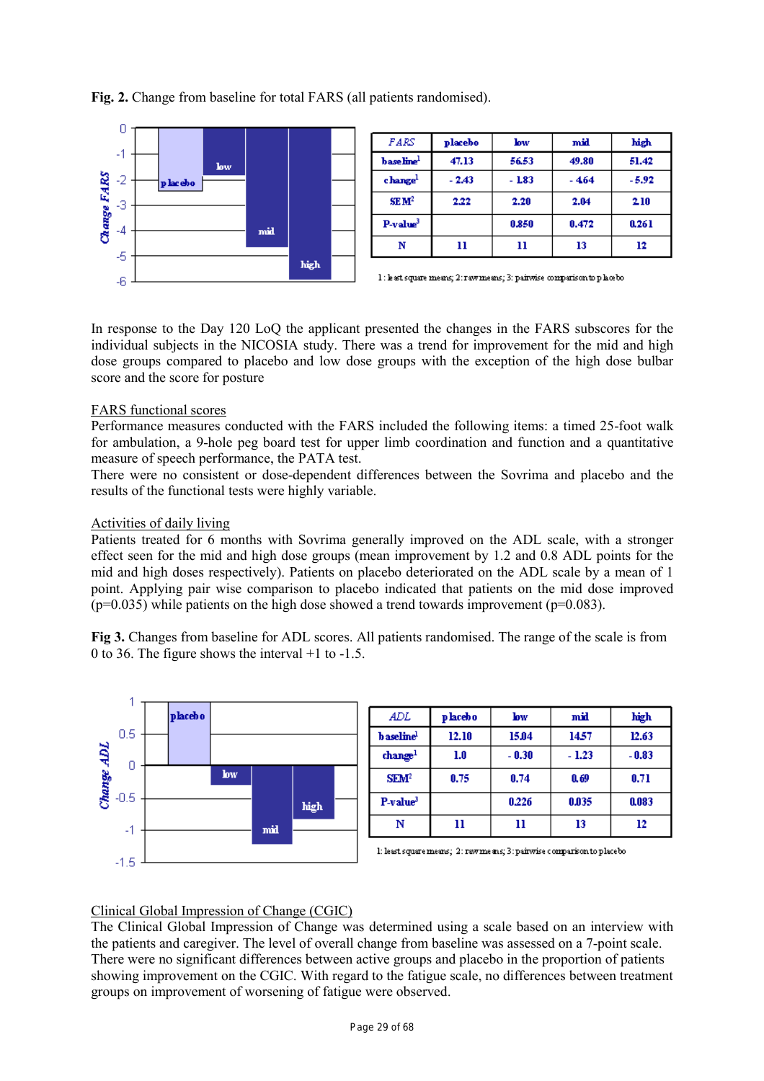**Fig. 2.** Change from baseline for total FARS (all patients randomised).



| FARS                   | placebo | low     | mid   | high    |
|------------------------|---------|---------|-------|---------|
| base line <sup>1</sup> | 47.13   | 56.53   | 49.80 | 51.42   |
| change <sup>1</sup>    | $-2.43$ | $-1.83$ | - 464 | $-5.92$ |
| SEM <sup>2</sup>       | 2.22    | 2.20    | 2.04  | 2.10    |
| $P-value3$             |         | 0.850   | 0.472 | 0.261   |
| N                      | 11      | 11      | 13    | 12      |



In response to the Day 120 LoQ the applicant presented the changes in the FARS subscores for the individual subjects in the NICOSIA study. There was a trend for improvement for the mid and high dose groups compared to placebo and low dose groups with the exception of the high dose bulbar score and the score for posture

# FARS functional scores

Performance measures conducted with the FARS included the following items: a timed 25-foot walk for ambulation, a 9-hole peg board test for upper limb coordination and function and a quantitative measure of speech performance, the PATA test.

There were no consistent or dose-dependent differences between the Sovrima and placebo and the results of the functional tests were highly variable.

# Activities of daily living

Patients treated for 6 months with Sovrima generally improved on the ADL scale, with a stronger effect seen for the mid and high dose groups (mean improvement by 1.2 and 0.8 ADL points for the mid and high doses respectively). Patients on placebo deteriorated on the ADL scale by a mean of 1 point. Applying pair wise comparison to placebo indicated that patients on the mid dose improved  $(p=0.035)$  while patients on the high dose showed a trend towards improvement  $(p=0.083)$ .

**Fig 3.** Changes from baseline for ADL scores. All patients randomised. The range of the scale is from 0 to 36. The figure shows the interval +1 to -1.5.



# Clinical Global Impression of Change (CGIC)

The Clinical Global Impression of Change was determined using a scale based on an interview with the patients and caregiver. The level of overall change from baseline was assessed on a 7-point scale. There were no significant differences between active groups and placebo in the proportion of patients showing improvement on the CGIC. With regard to the fatigue scale, no differences between treatment groups on improvement of worsening of fatigue were observed.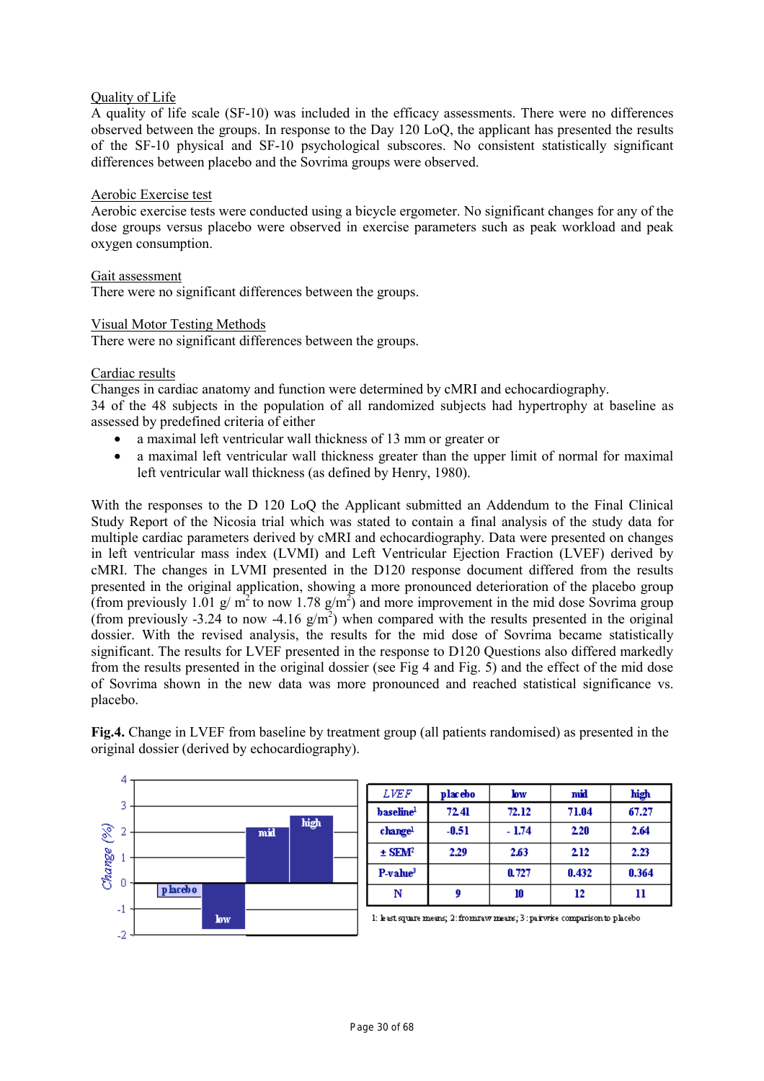# Quality of Life

A quality of life scale (SF-10) was included in the efficacy assessments. There were no differences observed between the groups. In response to the Day 120 LoQ, the applicant has presented the results of the SF-10 physical and SF-10 psychological subscores. No consistent statistically significant differences between placebo and the Sovrima groups were observed.

# Aerobic Exercise test

Aerobic exercise tests were conducted using a bicycle ergometer. No significant changes for any of the dose groups versus placebo were observed in exercise parameters such as peak workload and peak oxygen consumption.

## Gait assessment

There were no significant differences between the groups.

# Visual Motor Testing Methods

There were no significant differences between the groups.

#### Cardiac results

Changes in cardiac anatomy and function were determined by cMRI and echocardiography.

34 of the 48 subjects in the population of all randomized subjects had hypertrophy at baseline as assessed by predefined criteria of either

- a maximal left ventricular wall thickness of 13 mm or greater or
- a maximal left ventricular wall thickness greater than the upper limit of normal for maximal left ventricular wall thickness (as defined by Henry, 1980).

With the responses to the D 120 LoQ the Applicant submitted an Addendum to the Final Clinical Study Report of the Nicosia trial which was stated to contain a final analysis of the study data for multiple cardiac parameters derived by cMRI and echocardiography. Data were presented on changes in left ventricular mass index (LVMI) and Left Ventricular Ejection Fraction (LVEF) derived by cMRI. The changes in LVMI presented in the D120 response document differed from the results presented in the original application, showing a more pronounced deterioration of the placebo group (from previously 1.01 g/  $m^2$  to now 1.78 g/m<sup>2</sup>) and more improvement in the mid dose Sovrima group (from previously -3.24 to now -4.16  $g/m<sup>2</sup>$ ) when compared with the results presented in the original dossier. With the revised analysis, the results for the mid dose of Sovrima became statistically significant. The results for LVEF presented in the response to D120 Questions also differed markedly from the results presented in the original dossier (see Fig 4 and Fig. 5) and the effect of the mid dose of Sovrima shown in the new data was more pronounced and reached statistical significance vs. placebo.

**Fig.4.** Change in LVEF from baseline by treatment group (all patients randomised) as presented in the original dossier (derived by echocardiography).

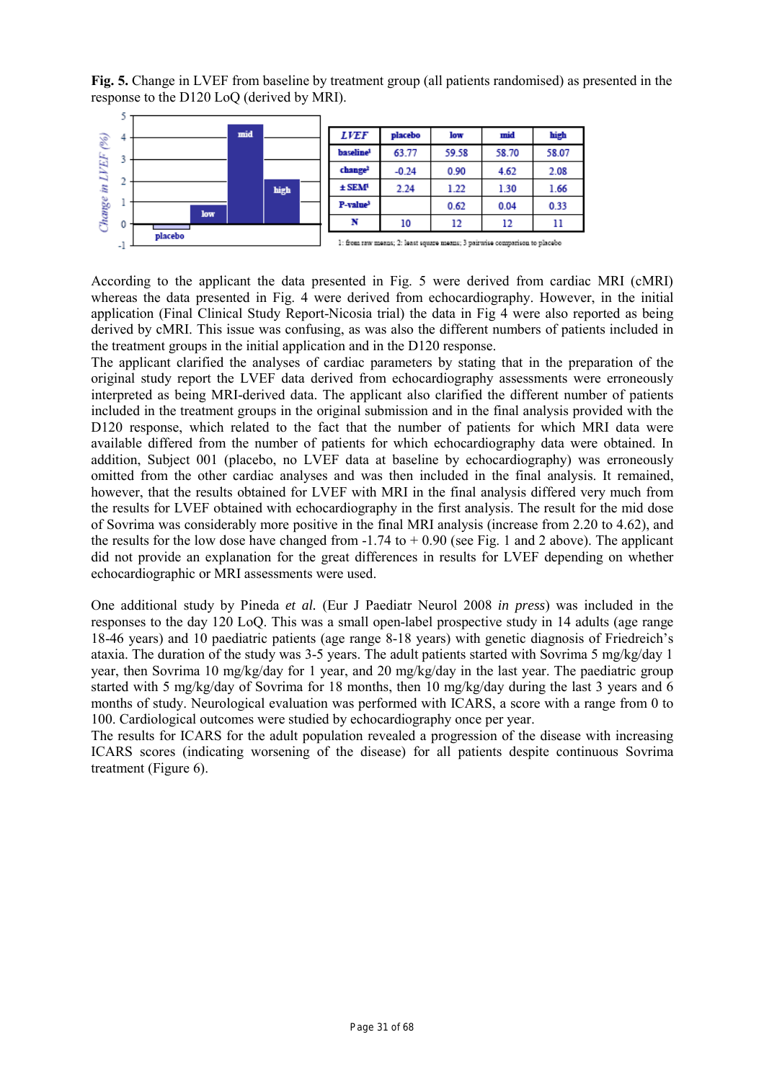**Fig. 5.** Change in LVEF from baseline by treatment group (all patients randomised) as presented in the response to the D120 LoQ (derived by MRI).



According to the applicant the data presented in Fig. 5 were derived from cardiac MRI (cMRI) whereas the data presented in Fig. 4 were derived from echocardiography. However, in the initial application (Final Clinical Study Report-Nicosia trial) the data in Fig 4 were also reported as being derived by cMRI. This issue was confusing, as was also the different numbers of patients included in the treatment groups in the initial application and in the D120 response.

The applicant clarified the analyses of cardiac parameters by stating that in the preparation of the original study report the LVEF data derived from echocardiography assessments were erroneously interpreted as being MRI-derived data. The applicant also clarified the different number of patients included in the treatment groups in the original submission and in the final analysis provided with the D120 response, which related to the fact that the number of patients for which MRI data were available differed from the number of patients for which echocardiography data were obtained. In addition, Subject 001 (placebo, no LVEF data at baseline by echocardiography) was erroneously omitted from the other cardiac analyses and was then included in the final analysis. It remained, however, that the results obtained for LVEF with MRI in the final analysis differed very much from the results for LVEF obtained with echocardiography in the first analysis. The result for the mid dose of Sovrima was considerably more positive in the final MRI analysis (increase from 2.20 to 4.62), and the results for the low dose have changed from  $-1.74$  to  $+0.90$  (see Fig. 1 and 2 above). The applicant did not provide an explanation for the great differences in results for LVEF depending on whether echocardiographic or MRI assessments were used.

One additional study by Pineda *et al.* (Eur J Paediatr Neurol 2008 *in press*) was included in the responses to the day 120 LoQ. This was a small open-label prospective study in 14 adults (age range 18-46 years) and 10 paediatric patients (age range 8-18 years) with genetic diagnosis of Friedreich's ataxia. The duration of the study was 3-5 years. The adult patients started with Sovrima 5 mg/kg/day 1 year, then Sovrima 10 mg/kg/day for 1 year, and 20 mg/kg/day in the last year. The paediatric group started with 5 mg/kg/day of Sovrima for 18 months, then 10 mg/kg/day during the last 3 years and 6 months of study. Neurological evaluation was performed with ICARS, a score with a range from 0 to 100. Cardiological outcomes were studied by echocardiography once per year.

The results for ICARS for the adult population revealed a progression of the disease with increasing ICARS scores (indicating worsening of the disease) for all patients despite continuous Sovrima treatment (Figure 6).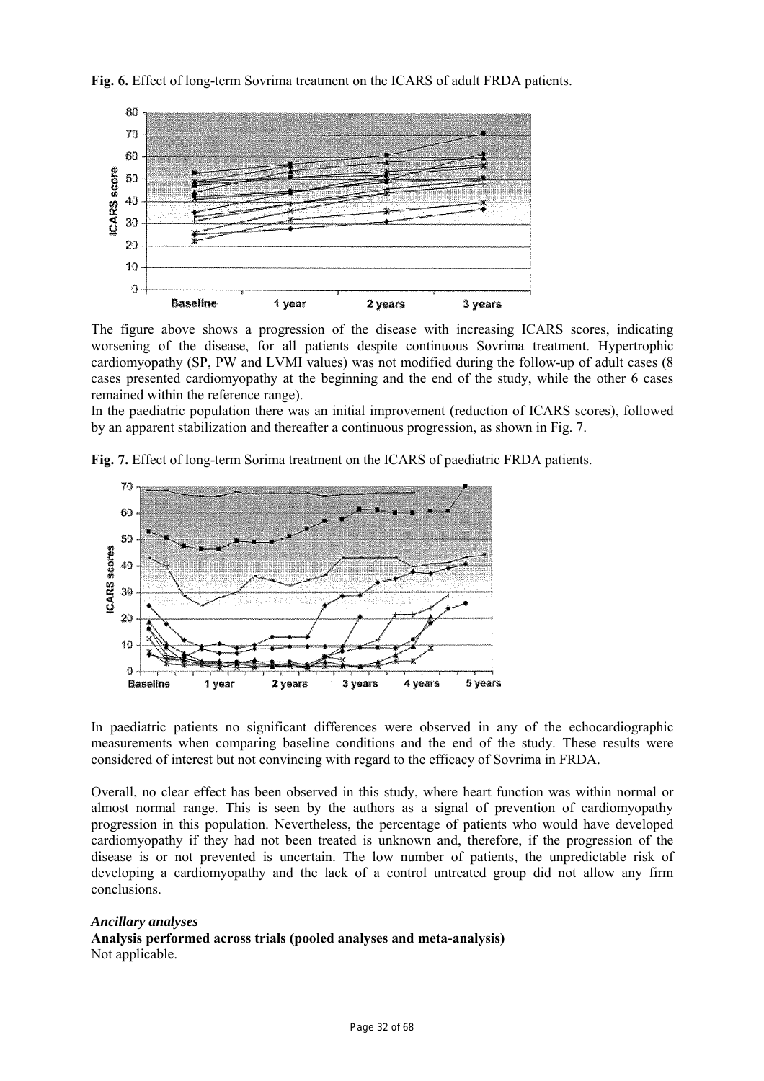



The figure above shows a progression of the disease with increasing ICARS scores, indicating worsening of the disease, for all patients despite continuous Sovrima treatment. Hypertrophic cardiomyopathy (SP, PW and LVMI values) was not modified during the follow-up of adult cases (8 cases presented cardiomyopathy at the beginning and the end of the study, while the other 6 cases remained within the reference range).

In the paediatric population there was an initial improvement (reduction of ICARS scores), followed by an apparent stabilization and thereafter a continuous progression, as shown in Fig. 7.



**Fig. 7.** Effect of long-term Sorima treatment on the ICARS of paediatric FRDA patients.

In paediatric patients no significant differences were observed in any of the echocardiographic measurements when comparing baseline conditions and the end of the study. These results were considered of interest but not convincing with regard to the efficacy of Sovrima in FRDA.

Overall, no clear effect has been observed in this study, where heart function was within normal or almost normal range. This is seen by the authors as a signal of prevention of cardiomyopathy progression in this population. Nevertheless, the percentage of patients who would have developed cardiomyopathy if they had not been treated is unknown and, therefore, if the progression of the disease is or not prevented is uncertain. The low number of patients, the unpredictable risk of developing a cardiomyopathy and the lack of a control untreated group did not allow any firm conclusions.

# *Ancillary analyses*

**Analysis performed across trials (pooled analyses and meta-analysis)**  Not applicable.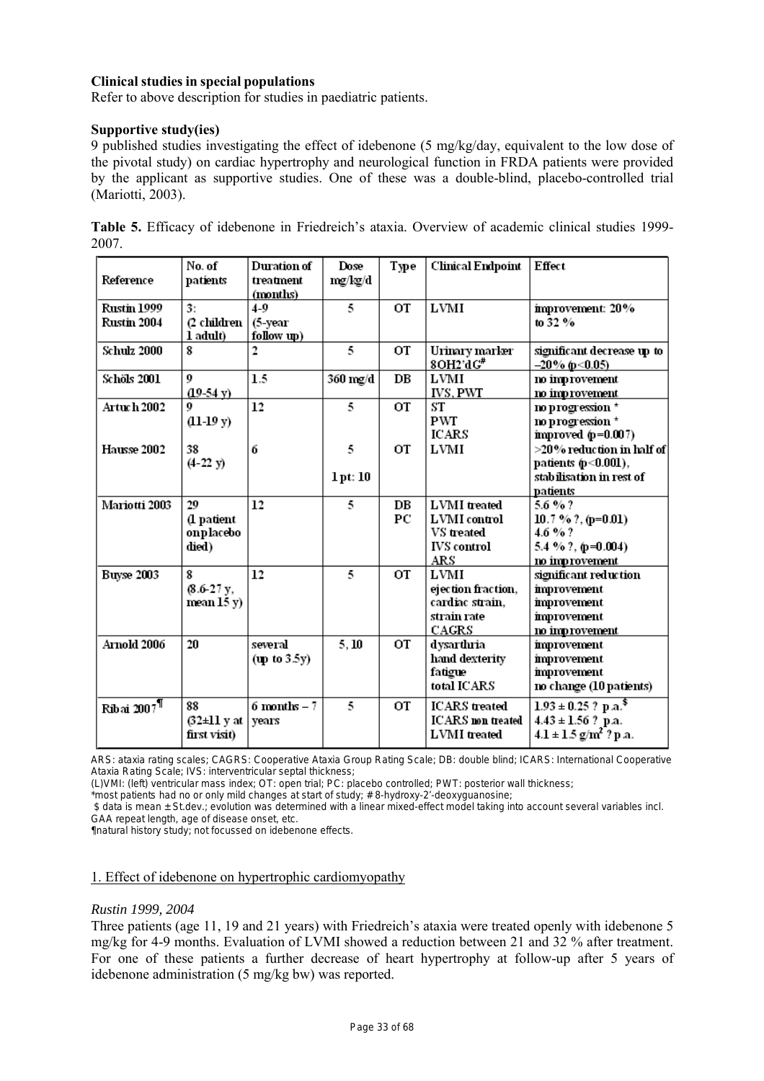# **Clinical studies in special populations**

Refer to above description for studies in paediatric patients.

#### **Supportive study(ies)**

9 published studies investigating the effect of idebenone (5 mg/kg/day, equivalent to the low dose of the pivotal study) on cardiac hypertrophy and neurological function in FRDA patients were provided by the applicant as supportive studies. One of these was a double-blind, placebo-controlled trial (Mariotti, 2003).

| Reference                  | No. of<br>patients                     | Duration of<br>treatment<br>(months) | Dose<br>mg/kg/d | Type        | Clinical Endpoint                                                                     | Effect                                                                                                  |
|----------------------------|----------------------------------------|--------------------------------------|-----------------|-------------|---------------------------------------------------------------------------------------|---------------------------------------------------------------------------------------------------------|
| Rustin 1999<br>Rustin 2004 | 3:<br>(2 children-<br>1 adult)         | $4-9$<br>(5-year<br>follow up)       | 5               | <b>OT</b>   | LVMI                                                                                  | improvement: 20%<br>to 32 $%$                                                                           |
| <b>Schulz 2000</b>         | 8                                      | 2                                    | 5               | OT          | Urinary marker<br>8OH2'dG''                                                           | significant decrease up to<br>$-20\%$ (p < 0.05)                                                        |
| Schöls 2001                | 9<br>$(19-54 \text{ y})$               | 1.5                                  | 360 mg/d        | $_{\rm DE}$ | LVMI<br><b>IVS, PWT</b>                                                               | no improvement<br>no improvement                                                                        |
| <b>Artuch 2002</b>         | 0<br>$(11-19y)$                        | 12                                   | 5               | OT          | ST<br><b>PWT</b><br>ICARS                                                             | no progression *<br>no progression *<br>improved $(p=0.007)$                                            |
| Hausse 2002                | 38<br>$(4-22 y)$                       | 6                                    | 5<br>1pt:10     | ОT          | LVMI                                                                                  | >20% reduction in half of<br>patients (p<0.001),<br>stabilisation in rest of                            |
| Mariotti 2003              | 29<br>(1 patient<br>onplacebo<br>died) | 12                                   | 5               | DB<br>РC    | <b>LVMI</b> treated<br>LVMI control<br><b>VS</b> treated<br><b>IVS</b> control<br>ARS | patients<br>5.6%?<br>10.7 % ?, ( $p=0.01$ )<br>$4.6 \%$ ?<br>5.4 % ?, $(p=0.004)$<br>no improvement     |
| Buyse 2003                 | 8<br>$(8.6-27)$ y,<br>mean 15 y)       | 12                                   | 5               | OT          | LVMI<br>ejection fraction,<br>cardiac strain,<br>strain rate<br>CAGRS                 | significant reduction<br>improvement<br>improvement<br>improvement<br>no improvement                    |
| Arnold 2006                | 20                                     | several<br>(np to 3.5y)              | 5.10            | OT          | dysarthria<br>hand dexterity<br>fatigue<br>total ICARS                                | improvement<br>improvement<br>improvement<br>no change (10 patients)                                    |
| Ribai 2007 <sup>¶</sup>    | 88<br>(32±11 y at  <br>first visit)    | $6$ months $-7$<br>years             | 5               | ОT          | <b>ICARS</b> treated<br><b>ICARS</b> non treated<br><b>LVMI</b> treated               | $1.93 \pm 0.25$ ? p.a. <sup>\$</sup><br>$4.43 \pm 1.56$ ? p.a.<br>$4.1 \pm 1.5$ g/m <sup>2</sup> ? p.a. |

**Table 5.** Efficacy of idebenone in Friedreich's ataxia. Overview of academic clinical studies 1999- 2007.

ARS: ataxia rating scales; CAGRS: Cooperative Ataxia Group Rating Scale; DB: double blind; ICARS: International Cooperative Ataxia Rating Scale; IVS: interventricular septal thickness;

(L)VMI: (left) ventricular mass index; OT: open trial; PC: placebo controlled; PWT: posterior wall thickness;

\*most patients had no or only mild changes at start of study; # 8-hydroxy-2'-deoxyguanosine;

 \$ data is mean ± St.dev.; evolution was determined with a linear mixed-effect model taking into account several variables incl. GAA repeat length, age of disease onset, etc.

¶natural history study; not focussed on idebenone effects.

# 1. Effect of idebenone on hypertrophic cardiomyopathy

#### *Rustin 1999, 2004*

Three patients (age 11, 19 and 21 years) with Friedreich's ataxia were treated openly with idebenone 5 mg/kg for 4-9 months. Evaluation of LVMI showed a reduction between 21 and 32 % after treatment. For one of these patients a further decrease of heart hypertrophy at follow-up after 5 years of idebenone administration (5 mg/kg bw) was reported.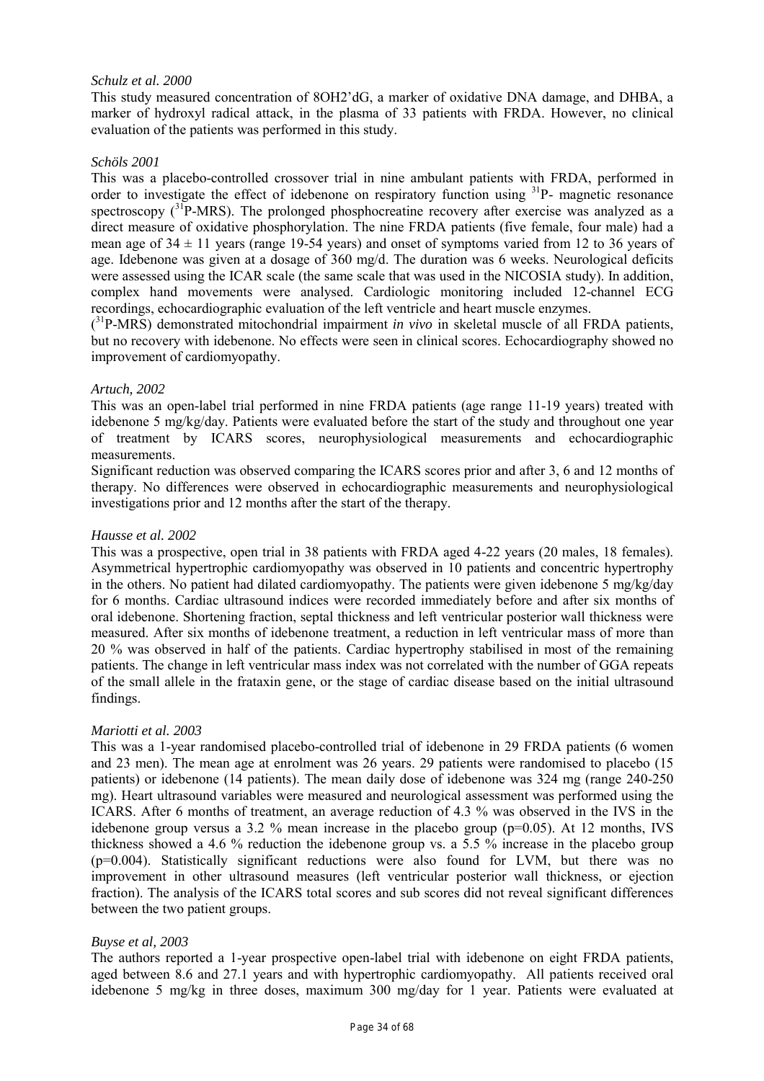# *Schulz et al. 2000*

This study measured concentration of 8OH2'dG, a marker of oxidative DNA damage, and DHBA, a marker of hydroxyl radical attack, in the plasma of 33 patients with FRDA. However, no clinical evaluation of the patients was performed in this study.

# *Schöls 2001*

This was a placebo-controlled crossover trial in nine ambulant patients with FRDA, performed in order to investigate the effect of idebenone on respiratory function using <sup>31</sup>P- magnetic resonance spectroscopy  $(3^{3}P-MRS)$ . The prolonged phosphocreatine recovery after exercise was analyzed as a direct measure of oxidative phosphorylation. The nine FRDA patients (five female, four male) had a mean age of  $34 \pm 11$  years (range 19-54 years) and onset of symptoms varied from 12 to 36 years of age. Idebenone was given at a dosage of 360 mg/d. The duration was 6 weeks. Neurological deficits were assessed using the ICAR scale (the same scale that was used in the NICOSIA study). In addition, complex hand movements were analysed. Cardiologic monitoring included 12-channel ECG recordings, echocardiographic evaluation of the left ventricle and heart muscle enzymes.

(<sup>31</sup>P-MRS) demonstrated mitochondrial impairment *in vivo* in skeletal muscle of all FRDA patients, but no recovery with idebenone. No effects were seen in clinical scores. Echocardiography showed no improvement of cardiomyopathy.

# *Artuch, 2002*

This was an open-label trial performed in nine FRDA patients (age range 11-19 years) treated with idebenone 5 mg/kg/day. Patients were evaluated before the start of the study and throughout one year of treatment by ICARS scores, neurophysiological measurements and echocardiographic measurements.

Significant reduction was observed comparing the ICARS scores prior and after 3, 6 and 12 months of therapy. No differences were observed in echocardiographic measurements and neurophysiological investigations prior and 12 months after the start of the therapy.

# *Hausse et al. 2002*

This was a prospective, open trial in 38 patients with FRDA aged 4-22 years (20 males, 18 females). Asymmetrical hypertrophic cardiomyopathy was observed in 10 patients and concentric hypertrophy in the others. No patient had dilated cardiomyopathy. The patients were given idebenone 5 mg/kg/day for 6 months. Cardiac ultrasound indices were recorded immediately before and after six months of oral idebenone. Shortening fraction, septal thickness and left ventricular posterior wall thickness were measured. After six months of idebenone treatment, a reduction in left ventricular mass of more than 20 % was observed in half of the patients. Cardiac hypertrophy stabilised in most of the remaining patients. The change in left ventricular mass index was not correlated with the number of GGA repeats of the small allele in the frataxin gene, or the stage of cardiac disease based on the initial ultrasound findings.

# *Mariotti et al. 2003*

This was a 1-year randomised placebo-controlled trial of idebenone in 29 FRDA patients (6 women and 23 men). The mean age at enrolment was 26 years. 29 patients were randomised to placebo (15 patients) or idebenone (14 patients). The mean daily dose of idebenone was 324 mg (range 240-250 mg). Heart ultrasound variables were measured and neurological assessment was performed using the ICARS. After 6 months of treatment, an average reduction of 4.3 % was observed in the IVS in the idebenone group versus a 3.2 % mean increase in the placebo group ( $p=0.05$ ). At 12 months, IVS thickness showed a 4.6 % reduction the idebenone group vs. a 5.5 % increase in the placebo group (p=0.004). Statistically significant reductions were also found for LVM, but there was no improvement in other ultrasound measures (left ventricular posterior wall thickness, or ejection fraction). The analysis of the ICARS total scores and sub scores did not reveal significant differences between the two patient groups.

# *Buyse et al, 2003*

The authors reported a 1-year prospective open-label trial with idebenone on eight FRDA patients, aged between 8.6 and 27.1 years and with hypertrophic cardiomyopathy. All patients received oral idebenone 5 mg/kg in three doses, maximum 300 mg/day for 1 year. Patients were evaluated at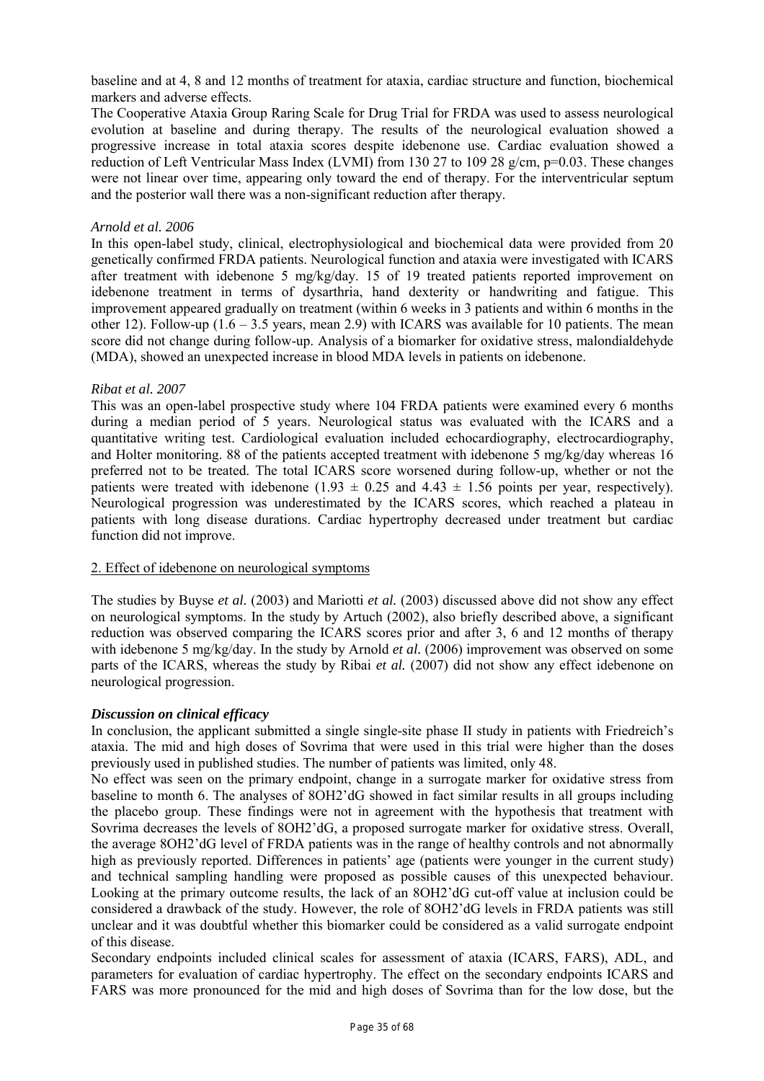baseline and at 4, 8 and 12 months of treatment for ataxia, cardiac structure and function, biochemical markers and adverse effects.

The Cooperative Ataxia Group Raring Scale for Drug Trial for FRDA was used to assess neurological evolution at baseline and during therapy. The results of the neurological evaluation showed a progressive increase in total ataxia scores despite idebenone use. Cardiac evaluation showed a reduction of Left Ventricular Mass Index (LVMI) from 130 27 to 109 28 g/cm, p=0.03. These changes were not linear over time, appearing only toward the end of therapy. For the interventricular septum and the posterior wall there was a non-significant reduction after therapy.

# *Arnold et al. 2006*

In this open-label study, clinical, electrophysiological and biochemical data were provided from 20 genetically confirmed FRDA patients. Neurological function and ataxia were investigated with ICARS after treatment with idebenone 5 mg/kg/day. 15 of 19 treated patients reported improvement on idebenone treatment in terms of dysarthria, hand dexterity or handwriting and fatigue. This improvement appeared gradually on treatment (within 6 weeks in 3 patients and within 6 months in the other 12). Follow-up  $(1.6 - 3.5$  years, mean 2.9) with ICARS was available for 10 patients. The mean score did not change during follow-up. Analysis of a biomarker for oxidative stress, malondialdehyde (MDA), showed an unexpected increase in blood MDA levels in patients on idebenone.

#### *Ribat et al. 2007*

This was an open-label prospective study where 104 FRDA patients were examined every 6 months during a median period of 5 years. Neurological status was evaluated with the ICARS and a quantitative writing test. Cardiological evaluation included echocardiography, electrocardiography, and Holter monitoring. 88 of the patients accepted treatment with idebenone 5 mg/kg/day whereas 16 preferred not to be treated. The total ICARS score worsened during follow-up, whether or not the patients were treated with idebenone (1.93  $\pm$  0.25 and 4.43  $\pm$  1.56 points per year, respectively). Neurological progression was underestimated by the ICARS scores, which reached a plateau in patients with long disease durations. Cardiac hypertrophy decreased under treatment but cardiac function did not improve.

# 2. Effect of idebenone on neurological symptoms

The studies by Buyse *et al.* (2003) and Mariotti *et al.* (2003) discussed above did not show any effect on neurological symptoms. In the study by Artuch (2002), also briefly described above, a significant reduction was observed comparing the ICARS scores prior and after 3, 6 and 12 months of therapy with idebenone 5 mg/kg/day. In the study by Arnold *et al.* (2006) improvement was observed on some parts of the ICARS, whereas the study by Ribai *et al.* (2007) did not show any effect idebenone on neurological progression.

# *Discussion on clinical efficacy*

In conclusion, the applicant submitted a single single-site phase II study in patients with Friedreich's ataxia. The mid and high doses of Sovrima that were used in this trial were higher than the doses previously used in published studies. The number of patients was limited, only 48.

No effect was seen on the primary endpoint, change in a surrogate marker for oxidative stress from baseline to month 6. The analyses of 8OH2'dG showed in fact similar results in all groups including the placebo group. These findings were not in agreement with the hypothesis that treatment with Sovrima decreases the levels of 8OH2'dG, a proposed surrogate marker for oxidative stress. Overall, the average 8OH2'dG level of FRDA patients was in the range of healthy controls and not abnormally high as previously reported. Differences in patients' age (patients were younger in the current study) and technical sampling handling were proposed as possible causes of this unexpected behaviour. Looking at the primary outcome results, the lack of an 8OH2'dG cut-off value at inclusion could be considered a drawback of the study. However, the role of 8OH2'dG levels in FRDA patients was still unclear and it was doubtful whether this biomarker could be considered as a valid surrogate endpoint of this disease.

Secondary endpoints included clinical scales for assessment of ataxia (ICARS, FARS), ADL, and parameters for evaluation of cardiac hypertrophy. The effect on the secondary endpoints ICARS and FARS was more pronounced for the mid and high doses of Sovrima than for the low dose, but the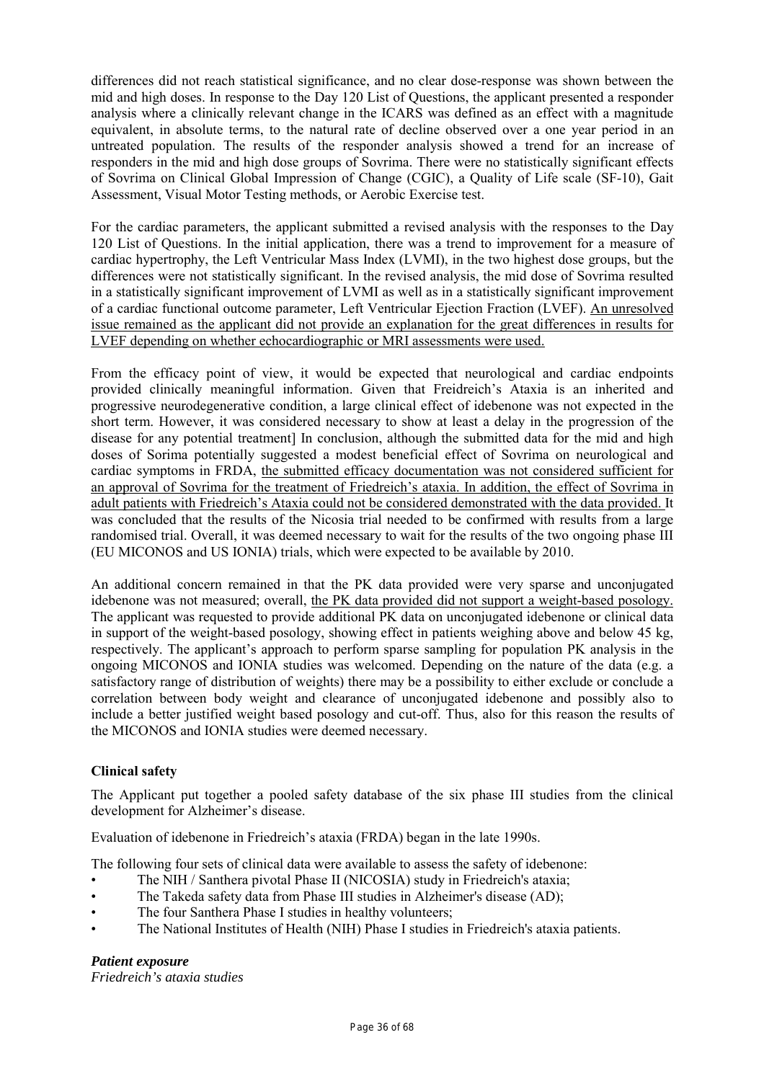differences did not reach statistical significance, and no clear dose-response was shown between the mid and high doses. In response to the Day 120 List of Questions, the applicant presented a responder analysis where a clinically relevant change in the ICARS was defined as an effect with a magnitude equivalent, in absolute terms, to the natural rate of decline observed over a one year period in an untreated population. The results of the responder analysis showed a trend for an increase of responders in the mid and high dose groups of Sovrima. There were no statistically significant effects of Sovrima on Clinical Global Impression of Change (CGIC), a Quality of Life scale (SF-10), Gait Assessment, Visual Motor Testing methods, or Aerobic Exercise test.

For the cardiac parameters, the applicant submitted a revised analysis with the responses to the Day 120 List of Questions. In the initial application, there was a trend to improvement for a measure of cardiac hypertrophy, the Left Ventricular Mass Index (LVMI), in the two highest dose groups, but the differences were not statistically significant. In the revised analysis, the mid dose of Sovrima resulted in a statistically significant improvement of LVMI as well as in a statistically significant improvement of a cardiac functional outcome parameter, Left Ventricular Ejection Fraction (LVEF). An unresolved issue remained as the applicant did not provide an explanation for the great differences in results for LVEF depending on whether echocardiographic or MRI assessments were used.

From the efficacy point of view, it would be expected that neurological and cardiac endpoints provided clinically meaningful information. Given that Freidreich's Ataxia is an inherited and progressive neurodegenerative condition, a large clinical effect of idebenone was not expected in the short term. However, it was considered necessary to show at least a delay in the progression of the disease for any potential treatment] In conclusion, although the submitted data for the mid and high doses of Sorima potentially suggested a modest beneficial effect of Sovrima on neurological and cardiac symptoms in FRDA, the submitted efficacy documentation was not considered sufficient for an approval of Sovrima for the treatment of Friedreich's ataxia. In addition, the effect of Sovrima in adult patients with Friedreich's Ataxia could not be considered demonstrated with the data provided. It was concluded that the results of the Nicosia trial needed to be confirmed with results from a large randomised trial. Overall, it was deemed necessary to wait for the results of the two ongoing phase III (EU MICONOS and US IONIA) trials, which were expected to be available by 2010.

An additional concern remained in that the PK data provided were very sparse and unconjugated idebenone was not measured; overall, the PK data provided did not support a weight-based posology. The applicant was requested to provide additional PK data on unconjugated idebenone or clinical data in support of the weight-based posology, showing effect in patients weighing above and below 45 kg, respectively. The applicant's approach to perform sparse sampling for population PK analysis in the ongoing MICONOS and IONIA studies was welcomed. Depending on the nature of the data (e.g. a satisfactory range of distribution of weights) there may be a possibility to either exclude or conclude a correlation between body weight and clearance of unconjugated idebenone and possibly also to include a better justified weight based posology and cut-off. Thus, also for this reason the results of the MICONOS and IONIA studies were deemed necessary.

# **Clinical safety**

The Applicant put together a pooled safety database of the six phase III studies from the clinical development for Alzheimer's disease.

Evaluation of idebenone in Friedreich's ataxia (FRDA) began in the late 1990s.

The following four sets of clinical data were available to assess the safety of idebenone:

- The NIH / Santhera pivotal Phase II (NICOSIA) study in Friedreich's ataxia;
- The Takeda safety data from Phase III studies in Alzheimer's disease (AD);
- The four Santhera Phase I studies in healthy volunteers;
- The National Institutes of Health (NIH) Phase I studies in Friedreich's ataxia patients.

# *Patient exposure*

*Friedreich's ataxia studies*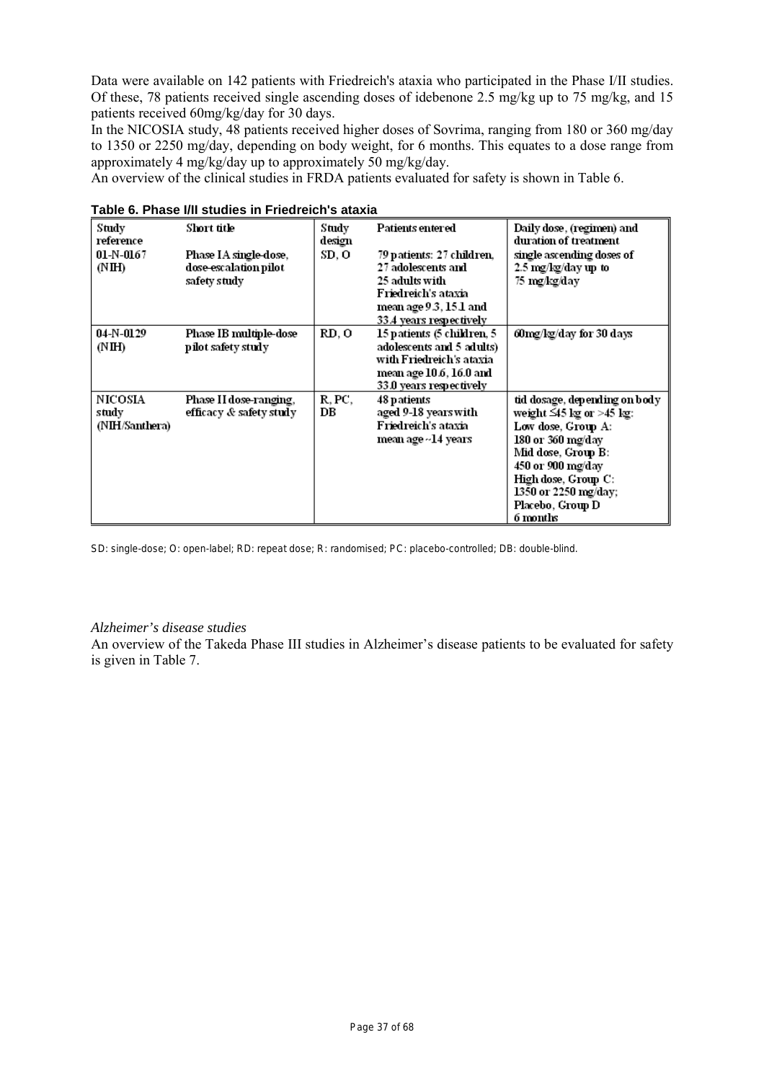Data were available on 142 patients with Friedreich's ataxia who participated in the Phase I/II studies. Of these, 78 patients received single ascending doses of idebenone 2.5 mg/kg up to 75 mg/kg, and 15 patients received 60mg/kg/day for 30 days.

In the NICOSIA study, 48 patients received higher doses of Sovrima, ranging from 180 or 360 mg/day to 1350 or 2250 mg/day, depending on body weight, for 6 months. This equates to a dose range from approximately 4 mg/kg/day up to approximately 50 mg/kg/day.

An overview of the clinical studies in FRDA patients evaluated for safety is shown in Table 6.

| Study<br>reference                 | Short title                                                    | Study<br>design | Patients entered                                                                                                                              | Daily dose, (regimen) and<br>duration of treatment                                                                                                                                                                                   |
|------------------------------------|----------------------------------------------------------------|-----------------|-----------------------------------------------------------------------------------------------------------------------------------------------|--------------------------------------------------------------------------------------------------------------------------------------------------------------------------------------------------------------------------------------|
| $01-N-0167$<br>(NH)                | Phase IA single-dose,<br>dose-escalation pilot<br>safety study | SD. O           | 79 patients: 27 children,<br>27 adolescents and<br>25 adults with<br>Friedreich's ataxia<br>mean age 9.3, 15.1 and<br>33.4 years respectively | single ascending doses of<br>2.5 mg/kg/day up to<br>75 mg/kg/day                                                                                                                                                                     |
| 04-N-0129<br>(NH)                  | Phase IB multiple-dose<br>pilot safety study                   | RD. O           | 15 patients (5 children, 5 )<br>adolescents and 5 adults)<br>with Friedreich's ataxia<br>mean age 10.6, 16.0 and<br>33.0 years respectively   | 60mg/kg/day for 30 days                                                                                                                                                                                                              |
| NICOSIA<br>study<br>(NIH/Santhera) | Phase II dose-ranging,<br>efficacy & safety study              | R. PC.<br>DВ    | 48 patients<br>aged 9-18 years with<br>Friedreich's ataxia<br>mean age ~14 years                                                              | tid dosage, depending on body<br>weight $\leq$ 45 kg or >45 kg:<br>Low dose, Group A:<br>180 or 360 mg/day<br>Mid dose, Group B:<br>450 or 900 mg/day<br>High dose, Group C:<br>1350 or 2250 mg/day;<br>Placebo, Group D<br>6 months |

SD: single-dose; O: open-label; RD: repeat dose; R: randomised; PC: placebo-controlled; DB: double-blind.

# *Alzheimer's disease studies*

An overview of the Takeda Phase III studies in Alzheimer's disease patients to be evaluated for safety is given in Table 7.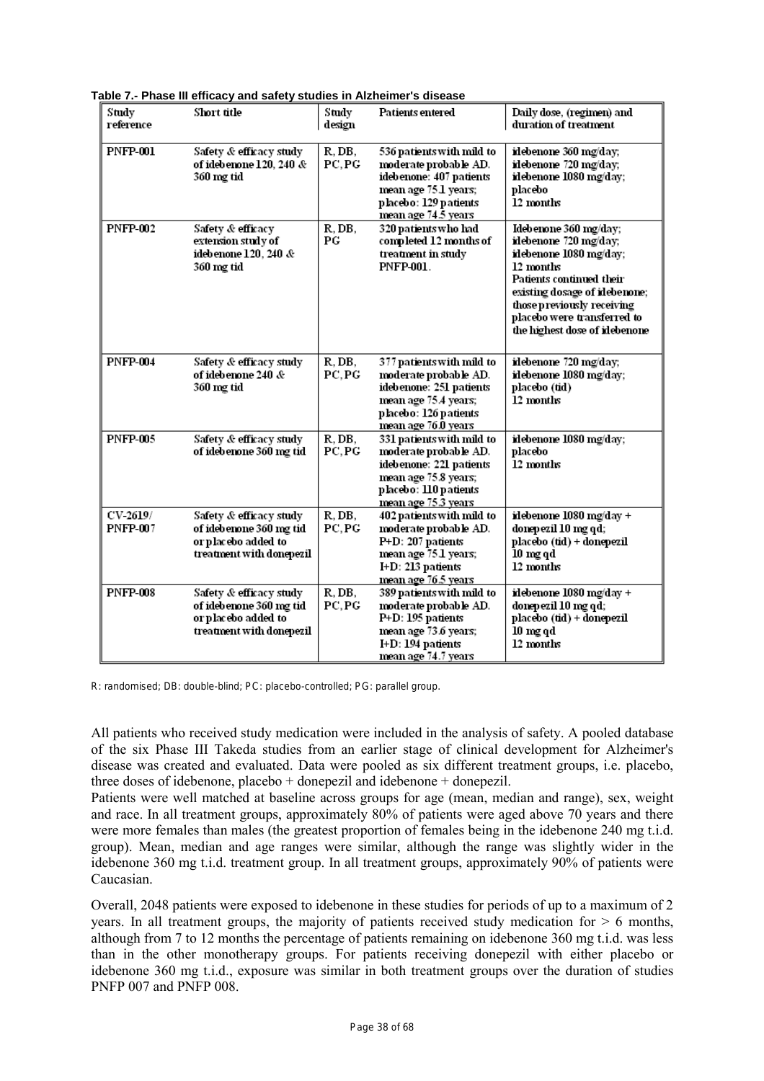| Study<br>reference          | Short title                                                                                           | Study<br>design  | <b>Patients entered</b>                                                                                                                               | Daily dose, (regimen) and<br>duration of treatment                                                                                                                                                                                                |
|-----------------------------|-------------------------------------------------------------------------------------------------------|------------------|-------------------------------------------------------------------------------------------------------------------------------------------------------|---------------------------------------------------------------------------------------------------------------------------------------------------------------------------------------------------------------------------------------------------|
| <b>PNFP-001</b>             | Safety & efficacy study<br>of idebenone $120, 240$ &<br>360 mg tid                                    | R, DB,<br>PC, PG | 536 patients with mild to<br>moderate probable AD.<br>idebenone: 407 patients<br>mean age 75.1 years;<br>placebo: 129 patients<br>mean age 74.5 years | idebenone 360 mg/day;<br>idebenone 720 mg/day;<br>idebenone 1080 mg/day;<br>placebo<br>12 months                                                                                                                                                  |
| <b>PNFP-002</b>             | Safety & efficacy<br>extension study of<br>idebenone 120, 240 &<br>360 mg tid                         | R, DB,<br>PG     | 320 patients who had<br>completed 12 months of<br>treatment in study<br>PNFP-001.                                                                     | Idebenone 360 mg/day;<br>idebenone 720 mg/day;<br>idebenone 1080 mg/day;<br>12 months<br>Patients continued their<br>existing dosage of idebenone;<br>those p reviously receiving<br>placebo were transferred to<br>the highest dose of idebenone |
| <b>PNFP-004</b>             | Safety & efficacy study<br>of idebenone 240 &<br>360 mg tid                                           | R, DB,<br>PC, PG | 377 patients with mild to<br>moderate probable AD.<br>idebenone: 251 patients<br>mean age 75.4 years;<br>placebo: 126 patients<br>mean age 76.0 years | idebenone 720 mg/day;<br>idebenone 1080 mg/day;<br>placebo (tid)<br>12 months                                                                                                                                                                     |
| <b>PNFP-005</b>             | Safety & efficacy study<br>of idebenone 360 mg tid                                                    | R, DB,<br>PC, PG | 331 patients with mild to<br>moderate probable AD.<br>idebenone: 221 patients<br>mean age 75.8 years;<br>placebo: 110 patients<br>mean age 75.3 years | idebenone 1080 mg/day;<br>placebo<br>12 months                                                                                                                                                                                                    |
| CV-2619/<br><b>PNFP-007</b> | Safety & efficacy study<br>of idebenone 360 mg tid<br>or placebo added to<br>treatment with donepezil | R, DB,<br>PC, PG | 402 patients with mild to<br>moderate probable AD.<br>P+D: 207 patients<br>mean age 75.1 years;<br>I+D: 213 patients<br>mean age 76.5 years           | idebenone 1080 mg/day +<br>donepezil 10 mg qd;<br>placebo (tid) + donepezil<br>$10 \text{ mg}$ qd<br>12 months                                                                                                                                    |
| <b>PNFP-008</b>             | Safety & efficacy study<br>of idebenone 360 mg tid<br>or placebo added to<br>treatment with donepezil | R, DB,<br>PC, PG | 389 patients with mild to<br>moderate probable AD.<br>P+D: 195 patients<br>mean age 73.6 years;<br>I+D: 194 patients<br>mean age 74.7 years           | idebenone 1080 mg/day +<br>donepezil 10 mg qd;<br>placebo (tid) + donepezil<br>$10 \text{ mg}$ qd<br>12 months                                                                                                                                    |

**Table 7.- Phase III efficacy and safety studies in Alzheimer's disease**

R: randomised; DB: double-blind; PC: placebo-controlled; PG: parallel group.

All patients who received study medication were included in the analysis of safety. A pooled database of the six Phase III Takeda studies from an earlier stage of clinical development for Alzheimer's disease was created and evaluated. Data were pooled as six different treatment groups, i.e. placebo, three doses of idebenone, placebo + donepezil and idebenone + donepezil.

Patients were well matched at baseline across groups for age (mean, median and range), sex, weight and race. In all treatment groups, approximately 80% of patients were aged above 70 years and there were more females than males (the greatest proportion of females being in the idebenone 240 mg t.i.d. group). Mean, median and age ranges were similar, although the range was slightly wider in the idebenone 360 mg t.i.d. treatment group. In all treatment groups, approximately 90% of patients were Caucasian.

Overall, 2048 patients were exposed to idebenone in these studies for periods of up to a maximum of 2 years. In all treatment groups, the majority of patients received study medication for  $> 6$  months, although from 7 to 12 months the percentage of patients remaining on idebenone 360 mg t.i.d. was less than in the other monotherapy groups. For patients receiving donepezil with either placebo or idebenone 360 mg t.i.d., exposure was similar in both treatment groups over the duration of studies PNFP 007 and PNFP 008.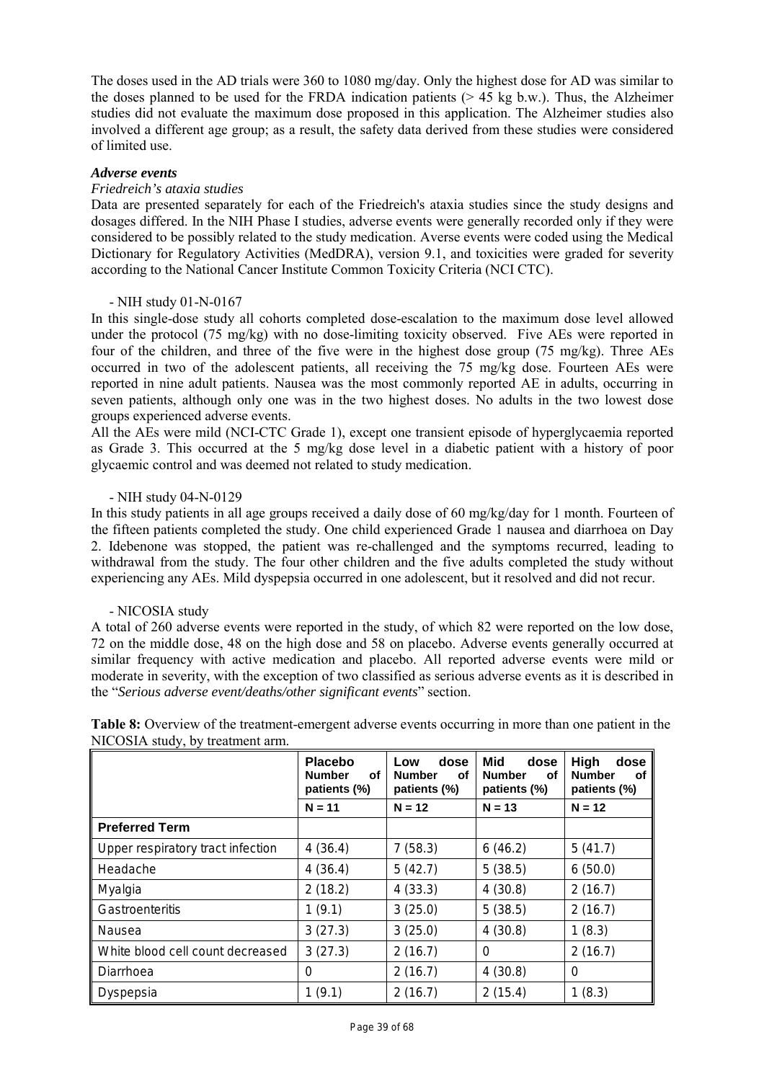The doses used in the AD trials were 360 to 1080 mg/day. Only the highest dose for AD was similar to the doses planned to be used for the FRDA indication patients  $(> 45 \text{ kg b.w.})$ . Thus, the Alzheimer studies did not evaluate the maximum dose proposed in this application. The Alzheimer studies also involved a different age group; as a result, the safety data derived from these studies were considered of limited use.

# *Adverse events*

# *Friedreich's ataxia studies*

Data are presented separately for each of the Friedreich's ataxia studies since the study designs and dosages differed. In the NIH Phase I studies, adverse events were generally recorded only if they were considered to be possibly related to the study medication. Averse events were coded using the Medical Dictionary for Regulatory Activities (MedDRA), version 9.1, and toxicities were graded for severity according to the National Cancer Institute Common Toxicity Criteria (NCI CTC).

# - NIH study 01-N-0167

In this single-dose study all cohorts completed dose-escalation to the maximum dose level allowed under the protocol (75 mg/kg) with no dose-limiting toxicity observed. Five AEs were reported in four of the children, and three of the five were in the highest dose group (75 mg/kg). Three AEs occurred in two of the adolescent patients, all receiving the 75 mg/kg dose. Fourteen AEs were reported in nine adult patients. Nausea was the most commonly reported AE in adults, occurring in seven patients, although only one was in the two highest doses. No adults in the two lowest dose groups experienced adverse events.

All the AEs were mild (NCI-CTC Grade 1), except one transient episode of hyperglycaemia reported as Grade 3. This occurred at the 5 mg/kg dose level in a diabetic patient with a history of poor glycaemic control and was deemed not related to study medication.

#### - NIH study 04-N-0129

In this study patients in all age groups received a daily dose of 60 mg/kg/day for 1 month. Fourteen of the fifteen patients completed the study. One child experienced Grade 1 nausea and diarrhoea on Day 2. Idebenone was stopped, the patient was re-challenged and the symptoms recurred, leading to withdrawal from the study. The four other children and the five adults completed the study without experiencing any AEs. Mild dyspepsia occurred in one adolescent, but it resolved and did not recur.

# - NICOSIA study

A total of 260 adverse events were reported in the study, of which 82 were reported on the low dose, 72 on the middle dose, 48 on the high dose and 58 on placebo. Adverse events generally occurred at similar frequency with active medication and placebo. All reported adverse events were mild or moderate in severity, with the exception of two classified as serious adverse events as it is described in the "*Serious adverse event/deaths/other significant events*" section.

|                                   | <b>Placebo</b><br><b>Number</b><br>оf<br>patients (%) | dose<br>Low<br><b>Number</b><br>оf<br>patients (%) | Mid<br>dose<br><b>Number</b><br>оf<br>patients (%) | High<br>dose<br><b>Number</b><br>оf<br>patients (%) |
|-----------------------------------|-------------------------------------------------------|----------------------------------------------------|----------------------------------------------------|-----------------------------------------------------|
|                                   | $N = 11$                                              | $N = 12$                                           | $N = 13$                                           | $N = 12$                                            |
| <b>Preferred Term</b>             |                                                       |                                                    |                                                    |                                                     |
| Upper respiratory tract infection | 4(36.4)                                               | 7(58.3)                                            | 6(46.2)                                            | 5(41.7)                                             |
| Headache                          | 4(36.4)                                               | 5(42.7)                                            | 5(38.5)                                            | 6(50.0)                                             |
| Myalgia                           | 2(18.2)                                               | 4(33.3)                                            | 4(30.8)                                            | 2(16.7)                                             |
| Gastroenteritis                   | 1(9.1)                                                | 3(25.0)                                            | 5(38.5)                                            | 2(16.7)                                             |
| Nausea                            | 3(27.3)                                               | 3(25.0)                                            | 4(30.8)                                            | 1(8.3)                                              |
| White blood cell count decreased  | 3(27.3)                                               | 2(16.7)                                            | 0                                                  | 2(16.7)                                             |
| Diarrhoea                         | 0                                                     | 2(16.7)                                            | 4(30.8)                                            | 0                                                   |
| Dyspepsia                         | 1(9.1)                                                | 2(16.7)                                            | 2(15.4)                                            | 1(8.3)                                              |

**Table 8:** Overview of the treatment-emergent adverse events occurring in more than one patient in the NICOSIA study, by treatment arm.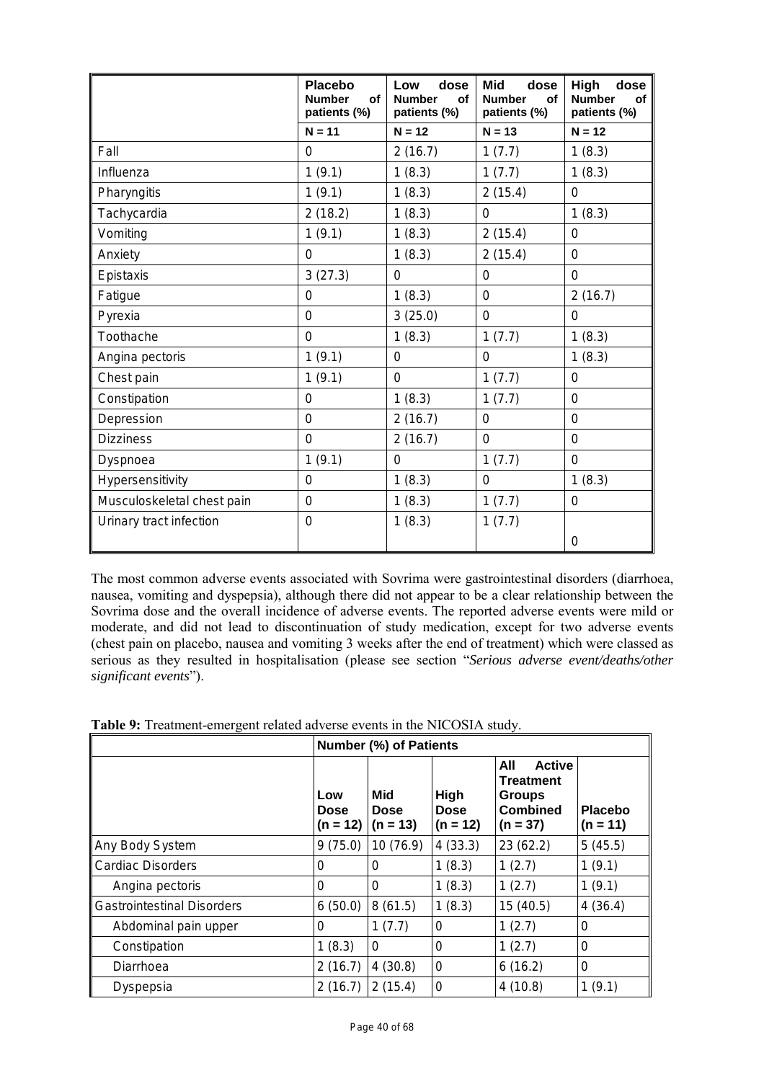|                            | <b>Placebo</b><br><b>Number</b><br>of<br>patients (%) | dose<br>Low<br><b>Number</b><br>of<br>patients (%) | <b>Mid</b><br>dose<br><b>Number</b><br>of<br>patients (%) | High<br>dose<br><b>Number</b><br>of<br>patients (%) |
|----------------------------|-------------------------------------------------------|----------------------------------------------------|-----------------------------------------------------------|-----------------------------------------------------|
|                            | $N = 11$                                              | $N = 12$                                           | $N = 13$                                                  | $N = 12$                                            |
| Fall                       | 0                                                     | 2(16.7)                                            | 1(7.7)                                                    | 1(8.3)                                              |
| Influenza                  | 1(9.1)                                                | 1(8.3)                                             | 1(7.7)                                                    | 1(8.3)                                              |
| Pharyngitis                | 1(9.1)                                                | 1(8.3)                                             | 2(15.4)                                                   | 0                                                   |
| Tachycardia                | 2(18.2)                                               | 1(8.3)                                             | 0                                                         | 1(8.3)                                              |
| Vomiting                   | 1(9.1)                                                | 1(8.3)                                             | 2(15.4)                                                   | 0                                                   |
| Anxiety                    | 0                                                     | 1(8.3)                                             | 2(15.4)                                                   | $\mathbf 0$                                         |
| Epistaxis                  | 3(27.3)                                               | 0                                                  | 0                                                         | $\mathbf 0$                                         |
| Fatigue                    | 0                                                     | 1(8.3)                                             | 0                                                         | 2(16.7)                                             |
| Pyrexia                    | $\overline{0}$                                        | 3(25.0)                                            | $\overline{0}$                                            | $\mathbf 0$                                         |
| Toothache                  | 0                                                     | 1(8.3)                                             | 1(7.7)                                                    | 1(8.3)                                              |
| Angina pectoris            | 1(9.1)                                                | 0                                                  | 0                                                         | 1(8.3)                                              |
| Chest pain                 | 1(9.1)                                                | 0                                                  | 1(7.7)                                                    | 0                                                   |
| Constipation               | 0                                                     | 1(8.3)                                             | 1(7.7)                                                    | 0                                                   |
| Depression                 | 0                                                     | 2(16.7)                                            | 0                                                         | $\mathbf 0$                                         |
| <b>Dizziness</b>           | 0                                                     | 2(16.7)                                            | $\mathbf 0$                                               | $\mathbf 0$                                         |
| Dyspnoea                   | 1(9.1)                                                | $\mathbf 0$                                        | 1(7.7)                                                    | $\overline{0}$                                      |
| Hypersensitivity           | 0                                                     | 1(8.3)                                             | 0                                                         | 1(8.3)                                              |
| Musculoskeletal chest pain | 0                                                     | 1(8.3)                                             | 1(7.7)                                                    | 0                                                   |
| Urinary tract infection    | 0                                                     | 1(8.3)                                             | 1(7.7)                                                    |                                                     |
|                            |                                                       |                                                    |                                                           | 0                                                   |

The most common adverse events associated with Sovrima were gastrointestinal disorders (diarrhoea, nausea, vomiting and dyspepsia), although there did not appear to be a clear relationship between the Sovrima dose and the overall incidence of adverse events. The reported adverse events were mild or moderate, and did not lead to discontinuation of study medication, except for two adverse events (chest pain on placebo, nausea and vomiting 3 weeks after the end of treatment) which were classed as serious as they resulted in hospitalisation (please see section "*Serious adverse event/deaths/other significant events*").

**Table 9:** Treatment-emergent related adverse events in the NICOSIA study.

|                                   | <b>Number (%) of Patients</b> |                                  |                            |                                                                                     |                              |  |
|-----------------------------------|-------------------------------|----------------------------------|----------------------------|-------------------------------------------------------------------------------------|------------------------------|--|
|                                   | Low<br>Dose<br>$(n = 12)$     | Mid<br><b>Dose</b><br>$(n = 13)$ | High<br>Dose<br>$(n = 12)$ | All<br><b>Active</b><br>Treatment<br><b>Groups</b><br><b>Combined</b><br>$(n = 37)$ | <b>Placebo</b><br>$(n = 11)$ |  |
| Any Body System                   | 9(75.0)                       | 10(76.9)                         | 4(33.3)                    | 23(62.2)                                                                            | 5(45.5)                      |  |
| Cardiac Disorders                 | 0                             | 0                                | 1(8.3)                     | 1(2.7)                                                                              | 1(9.1)                       |  |
| Angina pectoris                   | 0                             | 0                                | 1(8.3)                     | 1(2.7)                                                                              | 1(9.1)                       |  |
| <b>Gastrointestinal Disorders</b> | 6(50.0)                       | 8(61.5)                          | 1(8.3)                     | 15(40.5)                                                                            | 4(36.4)                      |  |
| Abdominal pain upper              | 0                             | 1(7.7)                           | 0                          | 1(2.7)                                                                              | 0                            |  |
| Constipation                      | 1(8.3)                        | 0                                | 0                          | 1(2.7)                                                                              | 0                            |  |
| Diarrhoea                         | 2(16.7)                       | 4(30.8)                          | 0                          | 6(16.2)                                                                             | 0                            |  |
| Dyspepsia                         | 2(16.7)                       | 2(15.4)                          | 0                          | 4(10.8)                                                                             | 1(9.1)                       |  |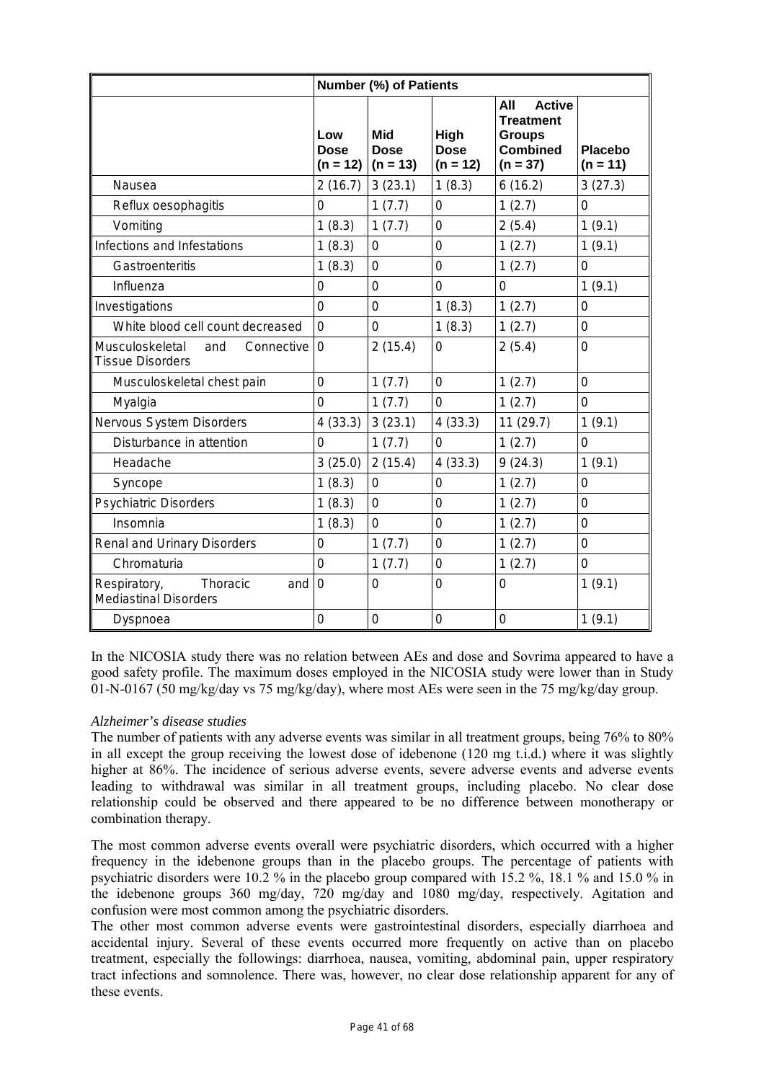|                                                                 | Number (%) of Patients           |                                  |                                   |                                                                                            |                              |  |
|-----------------------------------------------------------------|----------------------------------|----------------------------------|-----------------------------------|--------------------------------------------------------------------------------------------|------------------------------|--|
|                                                                 | Low<br><b>Dose</b><br>$(n = 12)$ | Mid<br><b>Dose</b><br>$(n = 13)$ | High<br><b>Dose</b><br>$(n = 12)$ | All<br><b>Active</b><br><b>Treatment</b><br><b>Groups</b><br><b>Combined</b><br>$(n = 37)$ | <b>Placebo</b><br>$(n = 11)$ |  |
| Nausea                                                          | 2(16.7)                          | 3(23.1)                          | 1(8.3)                            | 6(16.2)                                                                                    | 3(27.3)                      |  |
| Reflux oesophagitis                                             | 0                                | 1(7.7)                           | $\mathbf 0$                       | 1(2.7)                                                                                     | 0                            |  |
| Vomiting                                                        | 1(8.3)                           | 1(7.7)                           | $\mathbf 0$                       | 2(5.4)                                                                                     | 1(9.1)                       |  |
| Infections and Infestations                                     | 1(8.3)                           | 0                                | 0                                 | 1(2.7)                                                                                     | 1(9.1)                       |  |
| Gastroenteritis                                                 | 1(8.3)                           | $\overline{0}$                   | $\overline{0}$                    | 1(2.7)                                                                                     | 0                            |  |
| Influenza                                                       | $\overline{0}$                   | $\overline{0}$                   | $\overline{0}$                    | 0                                                                                          | 1(9.1)                       |  |
| Investigations                                                  | 0                                | $\overline{0}$                   | 1(8.3)                            | 1(2.7)                                                                                     | 0                            |  |
| White blood cell count decreased                                | $\overline{0}$                   | $\overline{0}$                   | 1(8.3)                            | 1(2.7)                                                                                     | 0                            |  |
| Musculoskeletal<br>Connective<br>and<br><b>Tissue Disorders</b> | 0                                | 2(15.4)                          | 0                                 | 2(5.4)                                                                                     | 0                            |  |
| Musculoskeletal chest pain                                      | 0                                | 1(7.7)                           | $\mathbf 0$                       | 1(2.7)                                                                                     | 0                            |  |
| Myalgia                                                         | 0                                | 1(7.7)                           | $\Omega$                          | 1(2.7)                                                                                     | 0                            |  |
| Nervous System Disorders                                        | 4(33.3)                          | 3(23.1)                          | 4(33.3)                           | 11(29.7)                                                                                   | 1(9.1)                       |  |
| Disturbance in attention                                        | $\mathbf 0$                      | 1(7.7)                           | $\overline{0}$                    | 1(2.7)                                                                                     | 0                            |  |
| Headache                                                        | 3(25.0)                          | 2(15.4)                          | 4(33.3)                           | 9(24.3)                                                                                    | 1(9.1)                       |  |
| Syncope                                                         | 1(8.3)                           | 0                                | 0                                 | 1(2.7)                                                                                     | 0                            |  |
| <b>Psychiatric Disorders</b>                                    | 1(8.3)                           | $\overline{0}$                   | $\overline{0}$                    | 1(2.7)                                                                                     | 0                            |  |
| Insomnia                                                        | 1(8.3)                           | $\overline{0}$                   | $\mathbf 0$                       | 1(2.7)                                                                                     | 0                            |  |
| <b>Renal and Urinary Disorders</b>                              | 0                                | 1(7.7)                           | $\mathbf 0$                       | 1(2.7)                                                                                     | 0                            |  |
| Chromaturia                                                     | 0                                | 1(7.7)                           | $\mathbf 0$                       | 1(2.7)                                                                                     | 0                            |  |
| Respiratory,<br>Thoracic<br>and<br>Mediastinal Disorders        | $\mathbf 0$                      | $\overline{0}$                   | $\overline{0}$                    | 0                                                                                          | 1(9.1)                       |  |
| Dyspnoea                                                        | 0                                | 0                                | 0                                 | 0                                                                                          | 1(9.1)                       |  |

In the NICOSIA study there was no relation between AEs and dose and Sovrima appeared to have a good safety profile. The maximum doses employed in the NICOSIA study were lower than in Study 01-N-0167 (50 mg/kg/day vs 75 mg/kg/day), where most AEs were seen in the 75 mg/kg/day group.

# *Alzheimer's disease studies*

The number of patients with any adverse events was similar in all treatment groups, being 76% to 80% in all except the group receiving the lowest dose of idebenone (120 mg t.i.d.) where it was slightly higher at 86%. The incidence of serious adverse events, severe adverse events and adverse events leading to withdrawal was similar in all treatment groups, including placebo. No clear dose relationship could be observed and there appeared to be no difference between monotherapy or combination therapy.

The most common adverse events overall were psychiatric disorders, which occurred with a higher frequency in the idebenone groups than in the placebo groups. The percentage of patients with psychiatric disorders were 10.2 % in the placebo group compared with 15.2 %, 18.1 % and 15.0 % in the idebenone groups 360 mg/day, 720 mg/day and 1080 mg/day, respectively. Agitation and confusion were most common among the psychiatric disorders.

The other most common adverse events were gastrointestinal disorders, especially diarrhoea and accidental injury. Several of these events occurred more frequently on active than on placebo treatment, especially the followings: diarrhoea, nausea, vomiting, abdominal pain, upper respiratory tract infections and somnolence. There was, however, no clear dose relationship apparent for any of these events.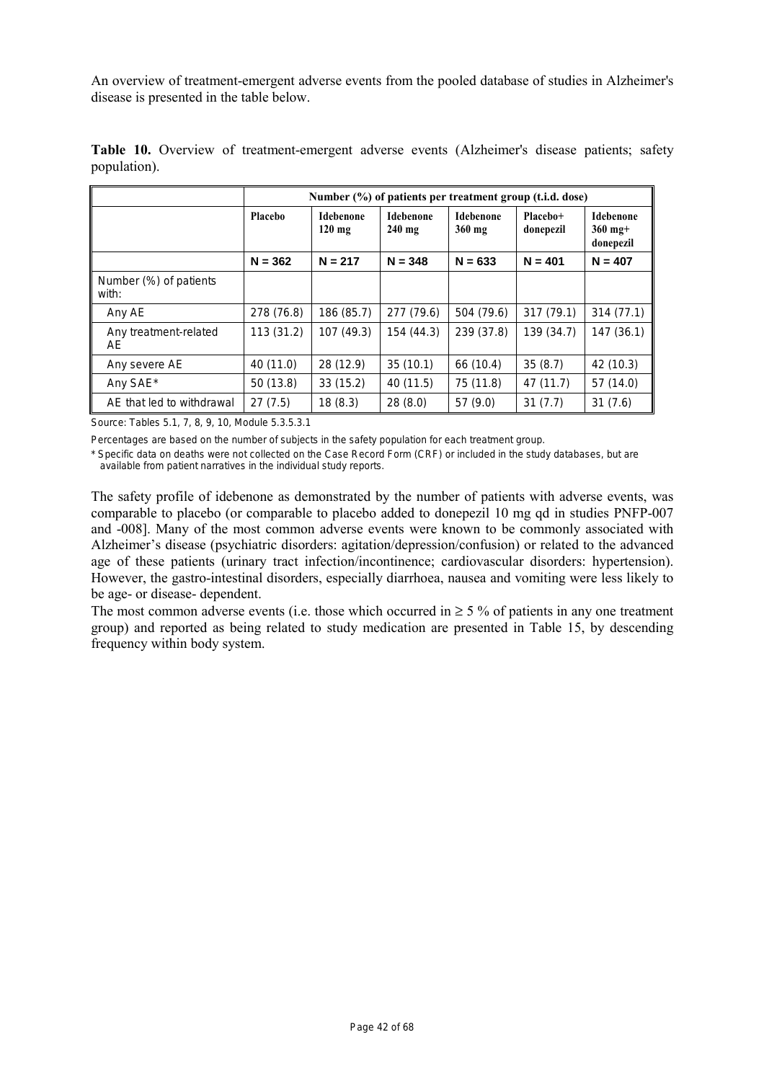An overview of treatment-emergent adverse events from the pooled database of studies in Alzheimer's disease is presented in the table below.

|                                 | Number (%) of patients per treatment group (t.i.d. dose) |                              |                              |                     |                       |                                            |  |  |
|---------------------------------|----------------------------------------------------------|------------------------------|------------------------------|---------------------|-----------------------|--------------------------------------------|--|--|
|                                 | Placebo                                                  | <b>Idebenone</b><br>$120$ mg | <b>Idebenone</b><br>$240$ mg | Idebenone<br>360 mg | Placebo+<br>donepezil | <b>Idebenone</b><br>$360$ mg+<br>donepezil |  |  |
|                                 | $N = 362$                                                | $N = 217$                    | $N = 348$                    | $N = 633$           | $N = 401$             | $N = 407$                                  |  |  |
| Number (%) of patients<br>with: |                                                          |                              |                              |                     |                       |                                            |  |  |
| Any AE                          | 278 (76.8)                                               | 186 (85.7)                   | 277 (79.6)                   | 504 (79.6)          | 317(79.1)             | 314(77.1)                                  |  |  |
| Any treatment-related<br>AE.    | 113 (31.2)                                               | 107 (49.3)                   | 154 (44.3)                   | 239 (37.8)          | 139 (34.7)            | 147(36.1)                                  |  |  |
| Any severe AE                   | 40 (11.0)                                                | 28 (12.9)                    | 35(10.1)                     | 66 (10.4)           | 35(8.7)               | 42 (10.3)                                  |  |  |
| Any SAE*                        | 50(13.8)                                                 | 33(15.2)                     | 40 (11.5)                    | 75 (11.8)           | 47 (11.7)             | 57 (14.0)                                  |  |  |
| AE that led to withdrawal       | 27(7.5)                                                  | 18(8.3)                      | 28(8.0)                      | 57 (9.0)            | 31(7.7)               | 31(7.6)                                    |  |  |

**Table 10.** Overview of treatment-emergent adverse events (Alzheimer's disease patients; safety population).

Source: Tables 5.1, 7, 8, 9, 10, Module 5.3.5.3.1

Percentages are based on the number of subjects in the safety population for each treatment group.

\* Specific data on deaths were not collected on the Case Record Form (CRF) or included in the study databases, but are available from patient narratives in the individual study reports.

The safety profile of idebenone as demonstrated by the number of patients with adverse events, was comparable to placebo (or comparable to placebo added to donepezil 10 mg qd in studies PNFP-007 and -008]. Many of the most common adverse events were known to be commonly associated with Alzheimer's disease (psychiatric disorders: agitation/depression/confusion) or related to the advanced age of these patients (urinary tract infection/incontinence; cardiovascular disorders: hypertension). However, the gastro-intestinal disorders, especially diarrhoea, nausea and vomiting were less likely to be age- or disease- dependent.

The most common adverse events (i.e. those which occurred in  $\geq$  5 % of patients in any one treatment group) and reported as being related to study medication are presented in Table 15, by descending frequency within body system.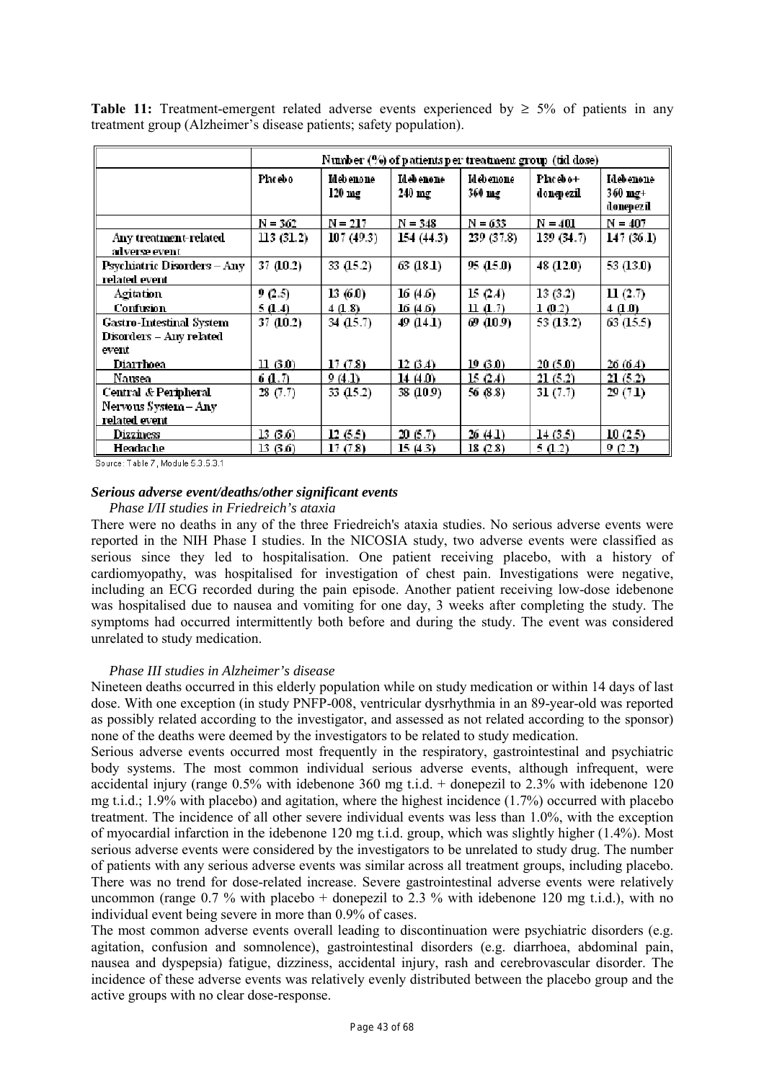|                                              | Number $(%)$ of patients per treatment group (tid dose) |                         |                       |                            |                        |                                              |  |  |
|----------------------------------------------|---------------------------------------------------------|-------------------------|-----------------------|----------------------------|------------------------|----------------------------------------------|--|--|
|                                              | Placebo                                                 | Id eb enone<br>$120$ mg | Idebenone<br>$240$ mg | <b>Idebenone</b><br>360 mg | Placebo+<br>donepezil. | Idebenone<br>$360 \text{ mg} +$<br>donepezil |  |  |
|                                              | $N = 362$                                               | $N = 217$               | $N = 348$             | $N = 633$                  | $N = 401$              | $N = 407$                                    |  |  |
| Any treatment-related<br>adverse event       | 113(31.2)                                               | 107(49.3)               | 154 (44.3)            | 239 (37.8)                 | 139(34.7)              | 147(36.1)                                    |  |  |
| Psychiatric Disorders – Any<br>related event | 37 (10.2)                                               | 33 (15.2)               | 63 (181)              | 95 (15.0)                  | 48 (12.0)              | 53 (13.0)                                    |  |  |
| <b>Agitation</b>                             | 9 (2.5)                                                 | 13(6.0)                 | 16 (4.6)              | 15(24)                     | 13(3.2)                | 11 $(2.7)$                                   |  |  |
| Confusion                                    | 5(1.4)                                                  | 4(1.8)                  | 16(4.6)               | 11 (1.7)                   | $1 \, 0.2$             | 4(1,0)                                       |  |  |
| Gastro-Intestinal System                     | 37 (10.2)                                               | 34 $(15.7)$             | 49 (14.1)             | 69 (10.9)                  | 53 (13.2)              | 63 (15.5)                                    |  |  |
| Disorders – Any related<br>event             |                                                         |                         |                       |                            |                        |                                              |  |  |
| Diarrhoea                                    | $\vert 100\rangle$                                      | 17(7.8)                 | 12(3.4)               | 19 (3.0).                  | 20(5.0)                | 26(6.4)                                      |  |  |
| <b>Nausea</b>                                | 6 A.D                                                   | 9(4.1)                  | 14 (4.0).             | 15 (2.4).                  | 21(5.2)                | 21(5.2)                                      |  |  |
| Central & Peripheral                         | 28 (7.7)                                                | 33 (15.2)               | 38 (10.9)             | 56 (8.8)                   | 31(7.7)                | 29 (7.1)                                     |  |  |
| Nervous System – Any                         |                                                         |                         |                       |                            |                        |                                              |  |  |
| related event                                |                                                         |                         |                       |                            |                        |                                              |  |  |
| Dizziness                                    | 13(3.6)                                                 | 12(5.5)                 | 20(5.7)               | 26 (4.1)                   | 14(3.5)                | 10(2.5)                                      |  |  |
| Headache                                     | 13 (3.6)                                                | 17(7.8)                 | 15 (4.3)              | 18 (2.8)                   | 5 (1.2)                | 9 (2.2)                                      |  |  |

**Table 11:** Treatment-emergent related adverse events experienced by  $\geq$  5% of patients in any treatment group (Alzheimer's disease patients; safety population).

Source: Table 7, Module 5.3.5.3.1

#### *Serious adverse event/deaths/other significant events*

*Phase I/II studies in Friedreich's ataxia* 

There were no deaths in any of the three Friedreich's ataxia studies. No serious adverse events were reported in the NIH Phase I studies. In the NICOSIA study, two adverse events were classified as serious since they led to hospitalisation. One patient receiving placebo, with a history of cardiomyopathy, was hospitalised for investigation of chest pain. Investigations were negative, including an ECG recorded during the pain episode. Another patient receiving low-dose idebenone was hospitalised due to nausea and vomiting for one day, 3 weeks after completing the study. The symptoms had occurred intermittently both before and during the study. The event was considered unrelated to study medication.

#### *Phase III studies in Alzheimer's disease*

Nineteen deaths occurred in this elderly population while on study medication or within 14 days of last dose. With one exception (in study PNFP-008, ventricular dysrhythmia in an 89-year-old was reported as possibly related according to the investigator, and assessed as not related according to the sponsor) none of the deaths were deemed by the investigators to be related to study medication.

Serious adverse events occurred most frequently in the respiratory, gastrointestinal and psychiatric body systems. The most common individual serious adverse events, although infrequent, were accidental injury (range 0.5% with idebenone 360 mg t.i.d. + donepezil to 2.3% with idebenone 120 mg t.i.d.; 1.9% with placebo) and agitation, where the highest incidence (1.7%) occurred with placebo treatment. The incidence of all other severe individual events was less than 1.0%, with the exception of myocardial infarction in the idebenone 120 mg t.i.d. group, which was slightly higher (1.4%). Most serious adverse events were considered by the investigators to be unrelated to study drug. The number of patients with any serious adverse events was similar across all treatment groups, including placebo. There was no trend for dose-related increase. Severe gastrointestinal adverse events were relatively uncommon (range  $0.7\%$  with placebo + donepezil to 2.3 % with idebenone 120 mg t.i.d.), with no individual event being severe in more than 0.9% of cases.

The most common adverse events overall leading to discontinuation were psychiatric disorders (e.g. agitation, confusion and somnolence), gastrointestinal disorders (e.g. diarrhoea, abdominal pain, nausea and dyspepsia) fatigue, dizziness, accidental injury, rash and cerebrovascular disorder. The incidence of these adverse events was relatively evenly distributed between the placebo group and the active groups with no clear dose-response.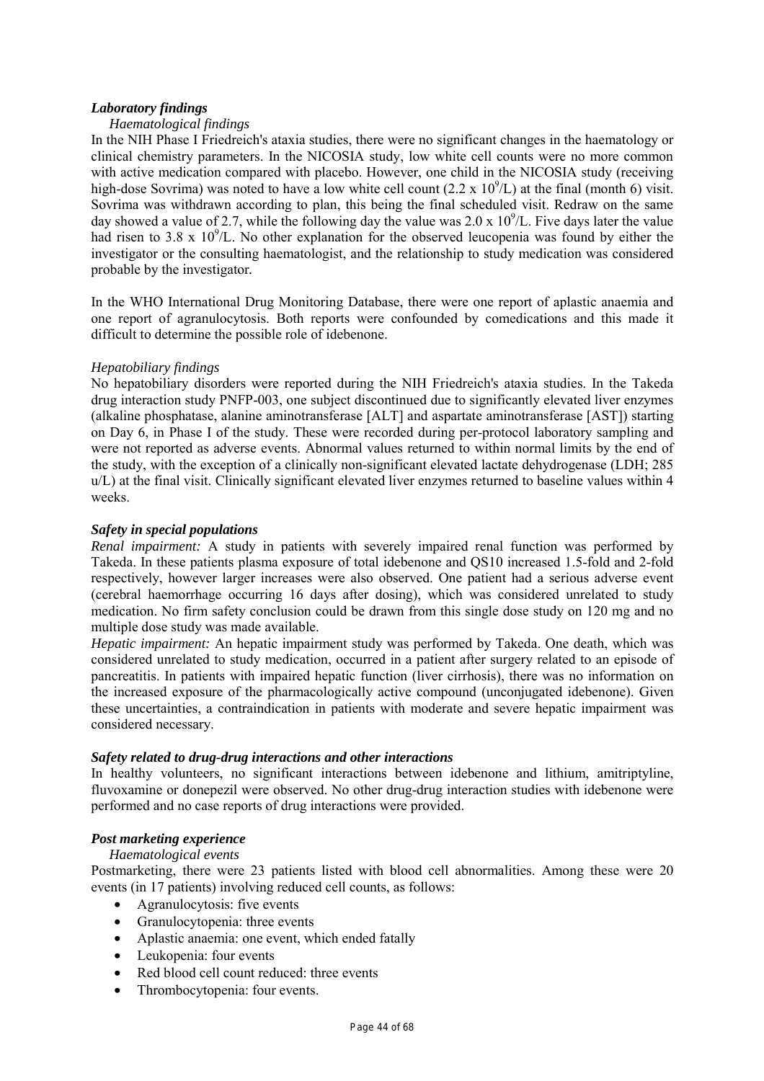# *Laboratory findings*

# *Haematological findings*

In the NIH Phase I Friedreich's ataxia studies, there were no significant changes in the haematology or clinical chemistry parameters. In the NICOSIA study, low white cell counts were no more common with active medication compared with placebo. However, one child in the NICOSIA study (receiving high-dose Sovrima) was noted to have a low white cell count  $(2.2 \times 10^9$ /L) at the final (month 6) visit. Sovrima was withdrawn according to plan, this being the final scheduled visit. Redraw on the same day showed a value of 2.7, while the following day the value was  $2.0 \times 10^9$ /L. Five days later the value had risen to 3.8 x  $10^9$ /L. No other explanation for the observed leucopenia was found by either the investigator or the consulting haematologist, and the relationship to study medication was considered probable by the investigator*.* 

In the WHO International Drug Monitoring Database, there were one report of aplastic anaemia and one report of agranulocytosis. Both reports were confounded by comedications and this made it difficult to determine the possible role of idebenone.

# *Hepatobiliary findings*

No hepatobiliary disorders were reported during the NIH Friedreich's ataxia studies. In the Takeda drug interaction study PNFP-003, one subject discontinued due to significantly elevated liver enzymes (alkaline phosphatase, alanine aminotransferase [ALT] and aspartate aminotransferase [AST]) starting on Day 6, in Phase I of the study. These were recorded during per-protocol laboratory sampling and were not reported as adverse events. Abnormal values returned to within normal limits by the end of the study, with the exception of a clinically non-significant elevated lactate dehydrogenase (LDH; 285 u/L) at the final visit. Clinically significant elevated liver enzymes returned to baseline values within 4 weeks.

# *Safety in special populations*

*Renal impairment:* A study in patients with severely impaired renal function was performed by Takeda. In these patients plasma exposure of total idebenone and QS10 increased 1.5-fold and 2-fold respectively, however larger increases were also observed. One patient had a serious adverse event (cerebral haemorrhage occurring 16 days after dosing), which was considered unrelated to study medication. No firm safety conclusion could be drawn from this single dose study on 120 mg and no multiple dose study was made available.

*Hepatic impairment:* An hepatic impairment study was performed by Takeda. One death, which was considered unrelated to study medication, occurred in a patient after surgery related to an episode of pancreatitis. In patients with impaired hepatic function (liver cirrhosis), there was no information on the increased exposure of the pharmacologically active compound (unconjugated idebenone). Given these uncertainties, a contraindication in patients with moderate and severe hepatic impairment was considered necessary.

# *Safety related to drug-drug interactions and other interactions*

In healthy volunteers, no significant interactions between idebenone and lithium, amitriptyline, fluvoxamine or donepezil were observed. No other drug-drug interaction studies with idebenone were performed and no case reports of drug interactions were provided.

# *Post marketing experience*

# *Haematological events*

Postmarketing, there were 23 patients listed with blood cell abnormalities. Among these were 20 events (in 17 patients) involving reduced cell counts, as follows:

- Agranulocytosis: five events
- Granulocytopenia: three events
- Aplastic anaemia: one event, which ended fatally
- Leukopenia: four events
- Red blood cell count reduced: three events
- Thrombocytopenia: four events.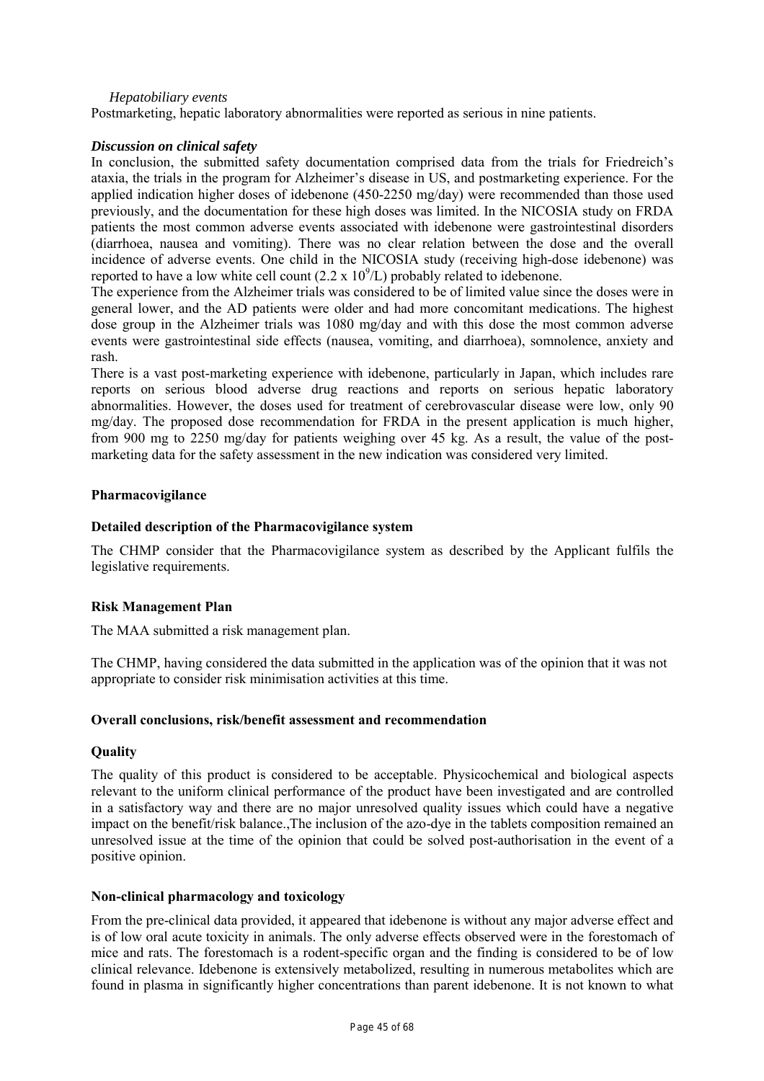# *Hepatobiliary events*

Postmarketing, hepatic laboratory abnormalities were reported as serious in nine patients.

# *Discussion on clinical safety*

In conclusion, the submitted safety documentation comprised data from the trials for Friedreich's ataxia, the trials in the program for Alzheimer's disease in US, and postmarketing experience. For the applied indication higher doses of idebenone (450-2250 mg/day) were recommended than those used previously, and the documentation for these high doses was limited. In the NICOSIA study on FRDA patients the most common adverse events associated with idebenone were gastrointestinal disorders (diarrhoea, nausea and vomiting). There was no clear relation between the dose and the overall incidence of adverse events. One child in the NICOSIA study (receiving high-dose idebenone) was reported to have a low white cell count (2.2 x  $10^9$ /L) probably related to idebenone.

The experience from the Alzheimer trials was considered to be of limited value since the doses were in general lower, and the AD patients were older and had more concomitant medications. The highest dose group in the Alzheimer trials was 1080 mg/day and with this dose the most common adverse events were gastrointestinal side effects (nausea, vomiting, and diarrhoea), somnolence, anxiety and rash.

There is a vast post-marketing experience with idebenone, particularly in Japan, which includes rare reports on serious blood adverse drug reactions and reports on serious hepatic laboratory abnormalities. However, the doses used for treatment of cerebrovascular disease were low, only 90 mg/day. The proposed dose recommendation for FRDA in the present application is much higher, from 900 mg to 2250 mg/day for patients weighing over 45 kg. As a result, the value of the postmarketing data for the safety assessment in the new indication was considered very limited.

# **Pharmacovigilance**

# **Detailed description of the Pharmacovigilance system**

The CHMP consider that the Pharmacovigilance system as described by the Applicant fulfils the legislative requirements.

# **Risk Management Plan**

The MAA submitted a risk management plan.

The CHMP, having considered the data submitted in the application was of the opinion that it was not appropriate to consider risk minimisation activities at this time.

# **Overall conclusions, risk/benefit assessment and recommendation**

# **Quality**

The quality of this product is considered to be acceptable. Physicochemical and biological aspects relevant to the uniform clinical performance of the product have been investigated and are controlled in a satisfactory way and there are no major unresolved quality issues which could have a negative impact on the benefit/risk balance.,The inclusion of the azo-dye in the tablets composition remained an unresolved issue at the time of the opinion that could be solved post-authorisation in the event of a positive opinion.

# **Non-clinical pharmacology and toxicology**

From the pre-clinical data provided, it appeared that idebenone is without any major adverse effect and is of low oral acute toxicity in animals. The only adverse effects observed were in the forestomach of mice and rats. The forestomach is a rodent-specific organ and the finding is considered to be of low clinical relevance. Idebenone is extensively metabolized, resulting in numerous metabolites which are found in plasma in significantly higher concentrations than parent idebenone. It is not known to what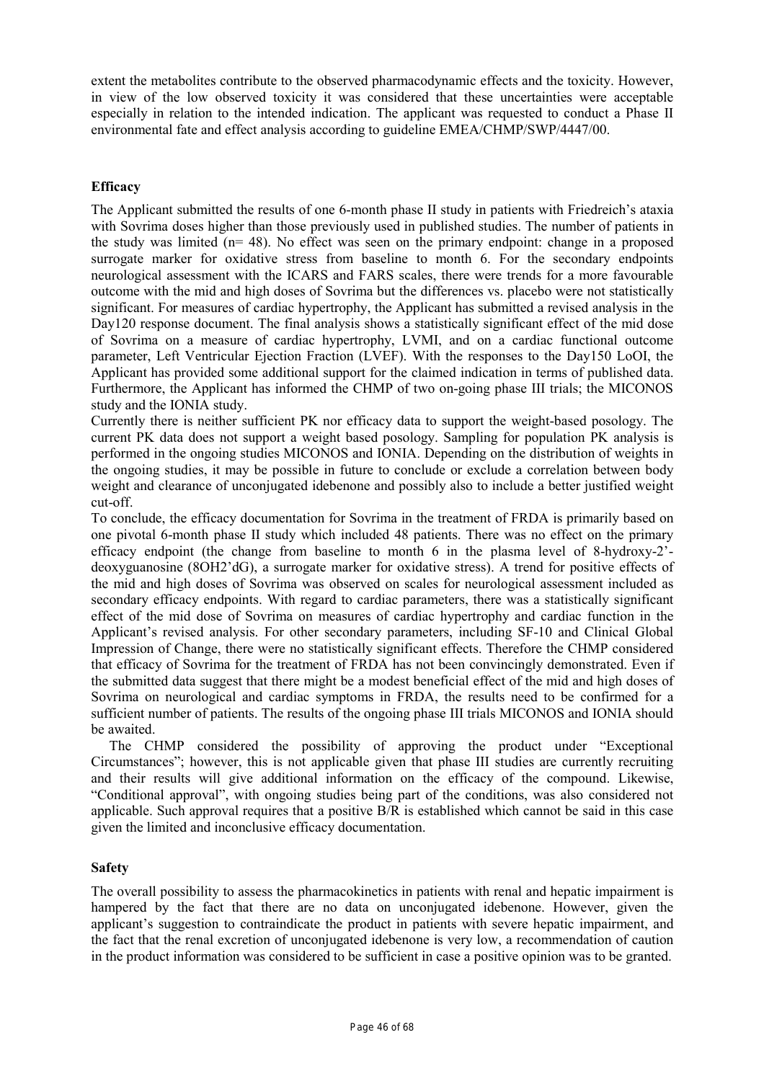extent the metabolites contribute to the observed pharmacodynamic effects and the toxicity. However, in view of the low observed toxicity it was considered that these uncertainties were acceptable especially in relation to the intended indication. The applicant was requested to conduct a Phase II environmental fate and effect analysis according to guideline EMEA/CHMP/SWP/4447/00.

# **Efficacy**

The Applicant submitted the results of one 6-month phase II study in patients with Friedreich's ataxia with Sovrima doses higher than those previously used in published studies. The number of patients in the study was limited (n= 48). No effect was seen on the primary endpoint: change in a proposed surrogate marker for oxidative stress from baseline to month 6. For the secondary endpoints neurological assessment with the ICARS and FARS scales, there were trends for a more favourable outcome with the mid and high doses of Sovrima but the differences vs. placebo were not statistically significant. For measures of cardiac hypertrophy, the Applicant has submitted a revised analysis in the Day120 response document. The final analysis shows a statistically significant effect of the mid dose of Sovrima on a measure of cardiac hypertrophy, LVMI, and on a cardiac functional outcome parameter, Left Ventricular Ejection Fraction (LVEF). With the responses to the Day150 LoOI, the Applicant has provided some additional support for the claimed indication in terms of published data. Furthermore, the Applicant has informed the CHMP of two on-going phase III trials; the MICONOS study and the IONIA study.

Currently there is neither sufficient PK nor efficacy data to support the weight-based posology. The current PK data does not support a weight based posology. Sampling for population PK analysis is performed in the ongoing studies MICONOS and IONIA. Depending on the distribution of weights in the ongoing studies, it may be possible in future to conclude or exclude a correlation between body weight and clearance of unconjugated idebenone and possibly also to include a better justified weight cut-off.

To conclude, the efficacy documentation for Sovrima in the treatment of FRDA is primarily based on one pivotal 6-month phase II study which included 48 patients. There was no effect on the primary efficacy endpoint (the change from baseline to month 6 in the plasma level of 8-hydroxy-2' deoxyguanosine (8OH2'dG), a surrogate marker for oxidative stress). A trend for positive effects of the mid and high doses of Sovrima was observed on scales for neurological assessment included as secondary efficacy endpoints. With regard to cardiac parameters, there was a statistically significant effect of the mid dose of Sovrima on measures of cardiac hypertrophy and cardiac function in the Applicant's revised analysis. For other secondary parameters, including SF-10 and Clinical Global Impression of Change, there were no statistically significant effects. Therefore the CHMP considered that efficacy of Sovrima for the treatment of FRDA has not been convincingly demonstrated. Even if the submitted data suggest that there might be a modest beneficial effect of the mid and high doses of Sovrima on neurological and cardiac symptoms in FRDA, the results need to be confirmed for a sufficient number of patients. The results of the ongoing phase III trials MICONOS and IONIA should be awaited.

The CHMP considered the possibility of approving the product under "Exceptional Circumstances"; however, this is not applicable given that phase III studies are currently recruiting and their results will give additional information on the efficacy of the compound. Likewise, "Conditional approval", with ongoing studies being part of the conditions, was also considered not applicable. Such approval requires that a positive B/R is established which cannot be said in this case given the limited and inconclusive efficacy documentation.

# **Safety**

The overall possibility to assess the pharmacokinetics in patients with renal and hepatic impairment is hampered by the fact that there are no data on unconjugated idebenone. However, given the applicant's suggestion to contraindicate the product in patients with severe hepatic impairment, and the fact that the renal excretion of unconjugated idebenone is very low, a recommendation of caution in the product information was considered to be sufficient in case a positive opinion was to be granted.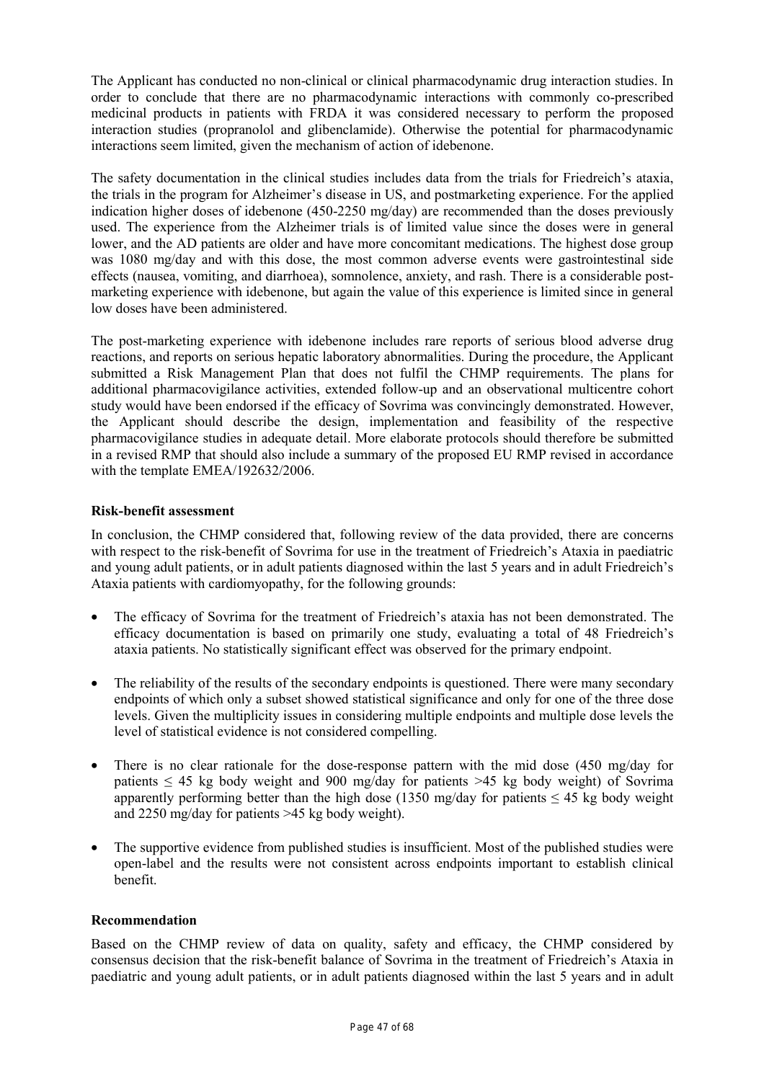The Applicant has conducted no non-clinical or clinical pharmacodynamic drug interaction studies. In order to conclude that there are no pharmacodynamic interactions with commonly co-prescribed medicinal products in patients with FRDA it was considered necessary to perform the proposed interaction studies (propranolol and glibenclamide). Otherwise the potential for pharmacodynamic interactions seem limited, given the mechanism of action of idebenone.

The safety documentation in the clinical studies includes data from the trials for Friedreich's ataxia, the trials in the program for Alzheimer's disease in US, and postmarketing experience. For the applied indication higher doses of idebenone (450-2250 mg/day) are recommended than the doses previously used. The experience from the Alzheimer trials is of limited value since the doses were in general lower, and the AD patients are older and have more concomitant medications. The highest dose group was 1080 mg/day and with this dose, the most common adverse events were gastrointestinal side effects (nausea, vomiting, and diarrhoea), somnolence, anxiety, and rash. There is a considerable postmarketing experience with idebenone, but again the value of this experience is limited since in general low doses have been administered.

The post-marketing experience with idebenone includes rare reports of serious blood adverse drug reactions, and reports on serious hepatic laboratory abnormalities. During the procedure, the Applicant submitted a Risk Management Plan that does not fulfil the CHMP requirements. The plans for additional pharmacovigilance activities, extended follow-up and an observational multicentre cohort study would have been endorsed if the efficacy of Sovrima was convincingly demonstrated. However, the Applicant should describe the design, implementation and feasibility of the respective pharmacovigilance studies in adequate detail. More elaborate protocols should therefore be submitted in a revised RMP that should also include a summary of the proposed EU RMP revised in accordance with the template EMEA/192632/2006.

# **Risk-benefit assessment**

In conclusion, the CHMP considered that, following review of the data provided, there are concerns with respect to the risk-benefit of Sovrima for use in the treatment of Friedreich's Ataxia in paediatric and young adult patients, or in adult patients diagnosed within the last 5 years and in adult Friedreich's Ataxia patients with cardiomyopathy, for the following grounds:

- The efficacy of Sovrima for the treatment of Friedreich's ataxia has not been demonstrated. The efficacy documentation is based on primarily one study, evaluating a total of 48 Friedreich's ataxia patients. No statistically significant effect was observed for the primary endpoint.
- The reliability of the results of the secondary endpoints is questioned. There were many secondary endpoints of which only a subset showed statistical significance and only for one of the three dose levels. Given the multiplicity issues in considering multiple endpoints and multiple dose levels the level of statistical evidence is not considered compelling.
- There is no clear rationale for the dose-response pattern with the mid dose (450 mg/day for patients  $\leq$  45 kg body weight and 900 mg/day for patients  $\geq$  45 kg body weight) of Sovrima apparently performing better than the high dose (1350 mg/day for patients  $\leq 45$  kg body weight and 2250 mg/day for patients >45 kg body weight).
- The supportive evidence from published studies is insufficient. Most of the published studies were open-label and the results were not consistent across endpoints important to establish clinical benefit.

# **Recommendation**

Based on the CHMP review of data on quality, safety and efficacy, the CHMP considered by consensus decision that the risk-benefit balance of Sovrima in the treatment of Friedreich's Ataxia in paediatric and young adult patients, or in adult patients diagnosed within the last 5 years and in adult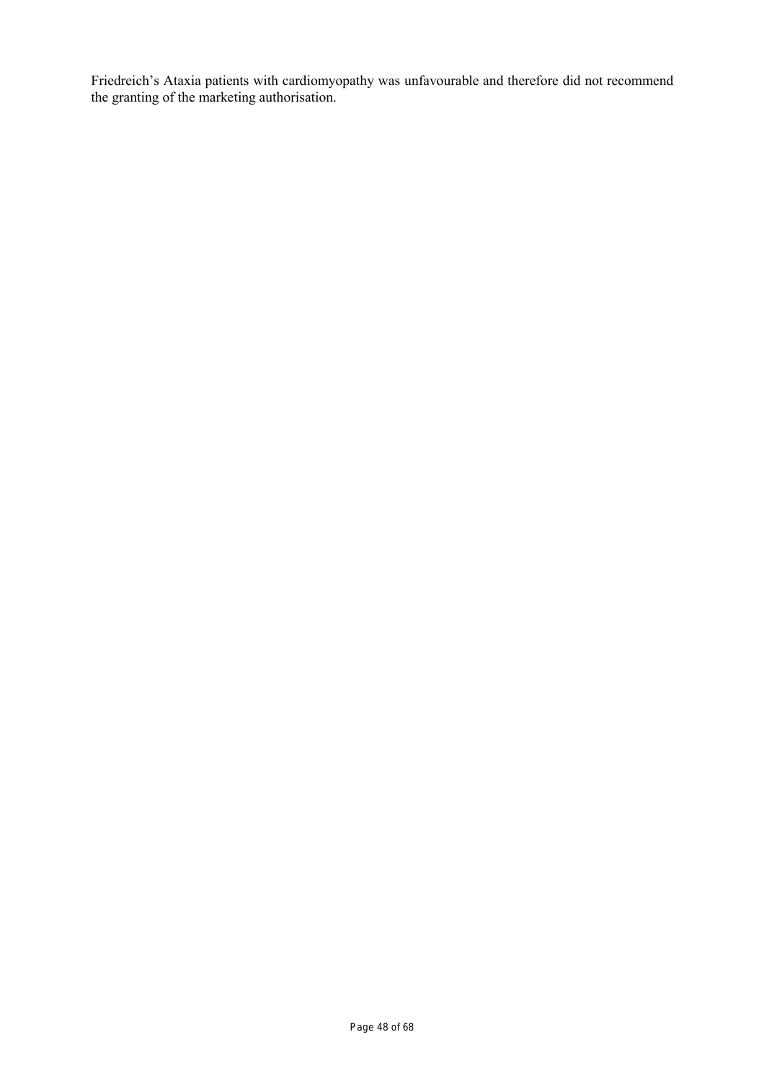Friedreich's Ataxia patients with cardiomyopathy was unfavourable and therefore did not recommend the granting of the marketing authorisation.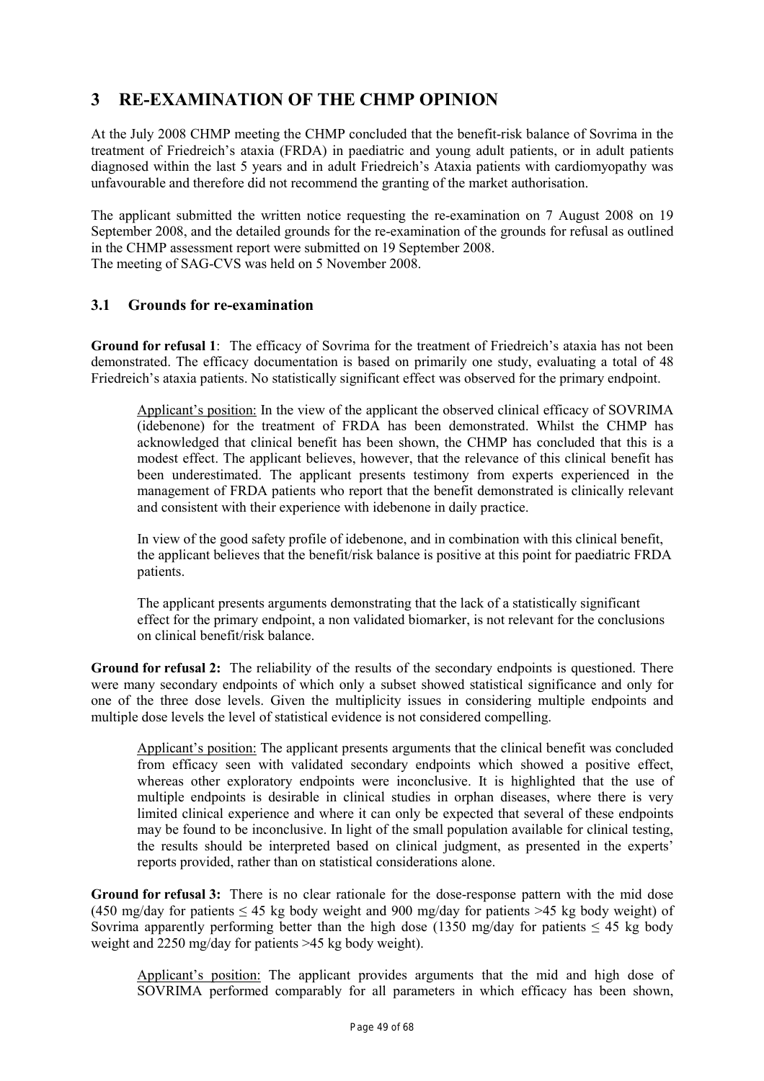# **3 RE-EXAMINATION OF THE CHMP OPINION**

At the July 2008 CHMP meeting the CHMP concluded that the benefit-risk balance of Sovrima in the treatment of Friedreich's ataxia (FRDA) in paediatric and young adult patients, or in adult patients diagnosed within the last 5 years and in adult Friedreich's Ataxia patients with cardiomyopathy was unfavourable and therefore did not recommend the granting of the market authorisation.

The applicant submitted the written notice requesting the re-examination on 7 August 2008 on 19 September 2008, and the detailed grounds for the re-examination of the grounds for refusal as outlined in the CHMP assessment report were submitted on 19 September 2008. The meeting of SAG-CVS was held on 5 November 2008.

# **3.1 Grounds for re-examination**

**Ground for refusal 1**: The efficacy of Sovrima for the treatment of Friedreich's ataxia has not been demonstrated. The efficacy documentation is based on primarily one study, evaluating a total of 48 Friedreich's ataxia patients. No statistically significant effect was observed for the primary endpoint.

Applicant's position: In the view of the applicant the observed clinical efficacy of SOVRIMA (idebenone) for the treatment of FRDA has been demonstrated. Whilst the CHMP has acknowledged that clinical benefit has been shown, the CHMP has concluded that this is a modest effect. The applicant believes, however, that the relevance of this clinical benefit has been underestimated. The applicant presents testimony from experts experienced in the management of FRDA patients who report that the benefit demonstrated is clinically relevant and consistent with their experience with idebenone in daily practice.

In view of the good safety profile of idebenone, and in combination with this clinical benefit, the applicant believes that the benefit/risk balance is positive at this point for paediatric FRDA patients.

The applicant presents arguments demonstrating that the lack of a statistically significant effect for the primary endpoint, a non validated biomarker, is not relevant for the conclusions on clinical benefit/risk balance.

**Ground for refusal 2:** The reliability of the results of the secondary endpoints is questioned. There were many secondary endpoints of which only a subset showed statistical significance and only for one of the three dose levels. Given the multiplicity issues in considering multiple endpoints and multiple dose levels the level of statistical evidence is not considered compelling.

Applicant's position: The applicant presents arguments that the clinical benefit was concluded from efficacy seen with validated secondary endpoints which showed a positive effect, whereas other exploratory endpoints were inconclusive. It is highlighted that the use of multiple endpoints is desirable in clinical studies in orphan diseases, where there is very limited clinical experience and where it can only be expected that several of these endpoints may be found to be inconclusive. In light of the small population available for clinical testing, the results should be interpreted based on clinical judgment, as presented in the experts' reports provided, rather than on statistical considerations alone.

**Ground for refusal 3:** There is no clear rationale for the dose-response pattern with the mid dose (450 mg/day for patients  $\leq 45$  kg body weight and 900 mg/day for patients  $\geq 45$  kg body weight) of Sovrima apparently performing better than the high dose (1350 mg/day for patients  $\leq 45$  kg body weight and 2250 mg/day for patients >45 kg body weight).

Applicant's position: The applicant provides arguments that the mid and high dose of SOVRIMA performed comparably for all parameters in which efficacy has been shown,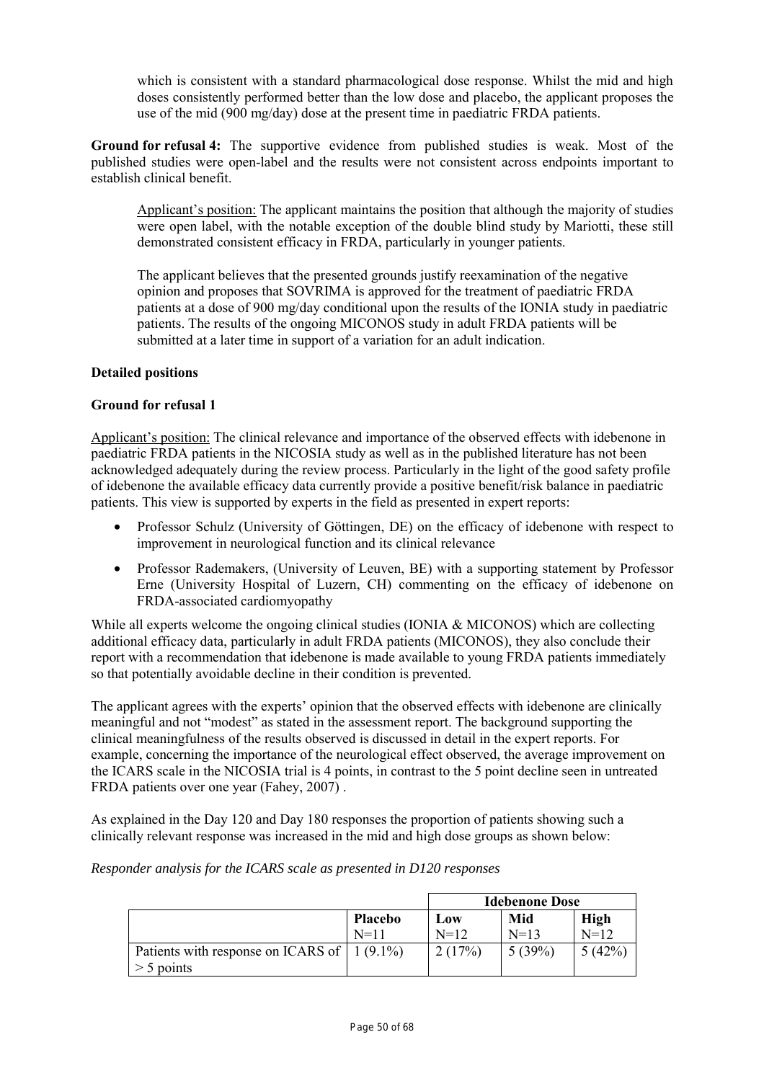which is consistent with a standard pharmacological dose response. Whilst the mid and high doses consistently performed better than the low dose and placebo, the applicant proposes the use of the mid (900 mg/day) dose at the present time in paediatric FRDA patients.

**Ground for refusal 4:** The supportive evidence from published studies is weak. Most of the published studies were open-label and the results were not consistent across endpoints important to establish clinical benefit.

Applicant's position: The applicant maintains the position that although the majority of studies were open label, with the notable exception of the double blind study by Mariotti, these still demonstrated consistent efficacy in FRDA, particularly in younger patients.

The applicant believes that the presented grounds justify reexamination of the negative opinion and proposes that SOVRIMA is approved for the treatment of paediatric FRDA patients at a dose of 900 mg/day conditional upon the results of the IONIA study in paediatric patients. The results of the ongoing MICONOS study in adult FRDA patients will be submitted at a later time in support of a variation for an adult indication.

# **Detailed positions**

# **Ground for refusal 1**

Applicant's position: The clinical relevance and importance of the observed effects with idebenone in paediatric FRDA patients in the NICOSIA study as well as in the published literature has not been acknowledged adequately during the review process. Particularly in the light of the good safety profile of idebenone the available efficacy data currently provide a positive benefit/risk balance in paediatric patients. This view is supported by experts in the field as presented in expert reports:

- Professor Schulz (University of Göttingen, DE) on the efficacy of idebenone with respect to improvement in neurological function and its clinical relevance
- Professor Rademakers, (University of Leuven, BE) with a supporting statement by Professor Erne (University Hospital of Luzern, CH) commenting on the efficacy of idebenone on FRDA-associated cardiomyopathy

While all experts welcome the ongoing clinical studies (IONIA & MICONOS) which are collecting additional efficacy data, particularly in adult FRDA patients (MICONOS), they also conclude their report with a recommendation that idebenone is made available to young FRDA patients immediately so that potentially avoidable decline in their condition is prevented.

The applicant agrees with the experts' opinion that the observed effects with idebenone are clinically meaningful and not "modest" as stated in the assessment report. The background supporting the clinical meaningfulness of the results observed is discussed in detail in the expert reports. For example, concerning the importance of the neurological effect observed, the average improvement on the ICARS scale in the NICOSIA trial is 4 points, in contrast to the 5 point decline seen in untreated FRDA patients over one year (Fahey, 2007) .

As explained in the Day 120 and Day 180 responses the proportion of patients showing such a clinically relevant response was increased in the mid and high dose groups as shown below:

*Responder analysis for the ICARS scale as presented in D120 responses* 

|                                                    |          |        | <b>Idebenone Dose</b> |             |
|----------------------------------------------------|----------|--------|-----------------------|-------------|
|                                                    | Placebo  | Low    | Mid                   | <b>High</b> |
|                                                    | $N = 11$ | $N=12$ | $N=13$                | $N=12$      |
| Patients with response on ICARS of $\mid$ 1 (9.1%) |          | 2(17%) | 5(39%)                | 5(42%)      |
| $>$ 5 points                                       |          |        |                       |             |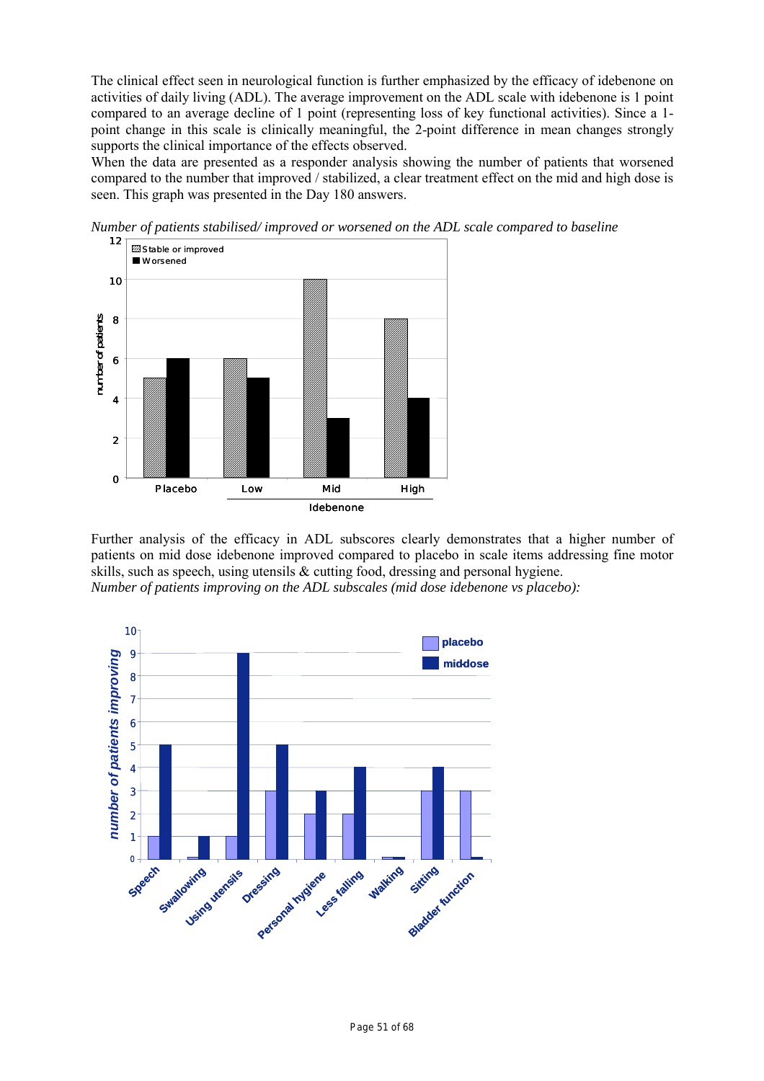The clinical effect seen in neurological function is further emphasized by the efficacy of idebenone on activities of daily living (ADL). The average improvement on the ADL scale with idebenone is 1 point compared to an average decline of 1 point (representing loss of key functional activities). Since a 1 point change in this scale is clinically meaningful, the 2-point difference in mean changes strongly supports the clinical importance of the effects observed.

When the data are presented as a responder analysis showing the number of patients that worsened compared to the number that improved / stabilized, a clear treatment effect on the mid and high dose is seen. This graph was presented in the Day 180 answers.



*Number of patients stabilised/ improved or worsened on the ADL scale compared to baseline* 

Further analysis of the efficacy in ADL subscores clearly demonstrates that a higher number of patients on mid dose idebenone improved compared to placebo in scale items addressing fine motor skills, such as speech, using utensils & cutting food, dressing and personal hygiene. *Number of patients improving on the ADL subscales (mid dose idebenone vs placebo):* 

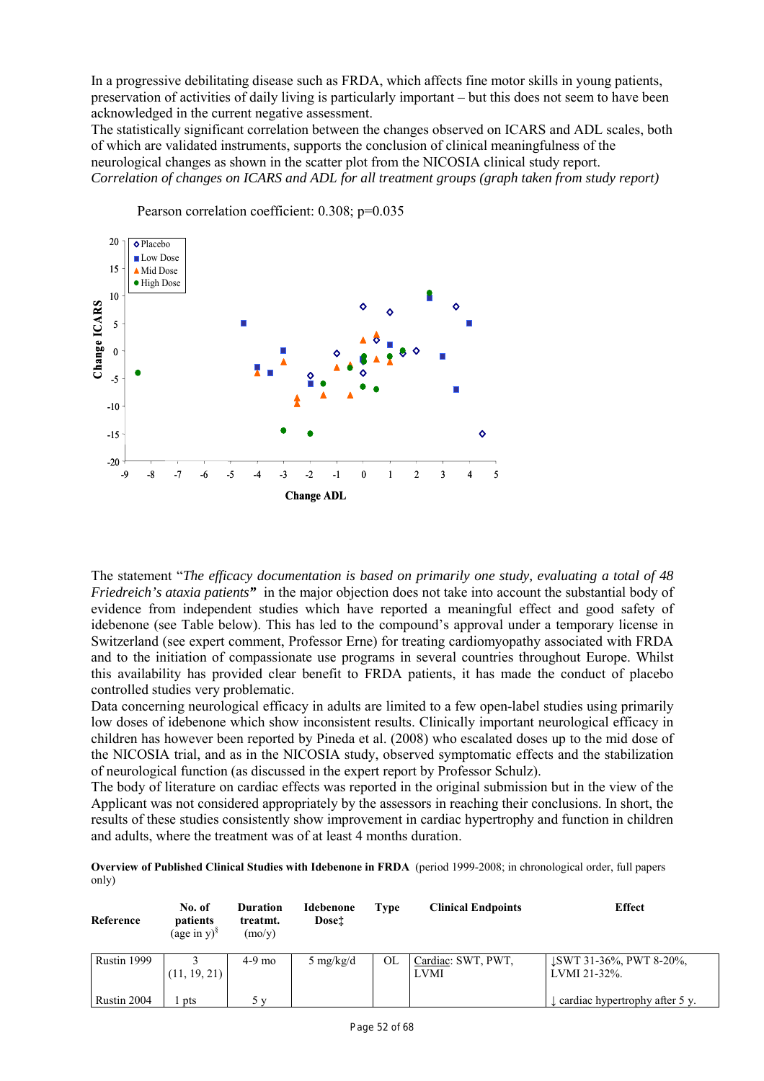In a progressive debilitating disease such as FRDA, which affects fine motor skills in young patients, preservation of activities of daily living is particularly important – but this does not seem to have been acknowledged in the current negative assessment.

The statistically significant correlation between the changes observed on ICARS and ADL scales, both of which are validated instruments, supports the conclusion of clinical meaningfulness of the neurological changes as shown in the scatter plot from the NICOSIA clinical study report. *Correlation of changes on ICARS and ADL for all treatment groups (graph taken from study report)* 



Pearson correlation coefficient: 0.308; p=0.035

The statement "*The efficacy documentation is based on primarily one study, evaluating a total of 48 Friedreich's ataxia patients"* in the major objection does not take into account the substantial body of evidence from independent studies which have reported a meaningful effect and good safety of idebenone (see Table below). This has led to the compound's approval under a temporary license in Switzerland (see expert comment, Professor Erne) for treating cardiomyopathy associated with FRDA and to the initiation of compassionate use programs in several countries throughout Europe. Whilst this availability has provided clear benefit to FRDA patients, it has made the conduct of placebo controlled studies very problematic.

Data concerning neurological efficacy in adults are limited to a few open-label studies using primarily low doses of idebenone which show inconsistent results. Clinically important neurological efficacy in children has however been reported by Pineda et al. (2008) who escalated doses up to the mid dose of the NICOSIA trial, and as in the NICOSIA study, observed symptomatic effects and the stabilization of neurological function (as discussed in the expert report by Professor Schulz).

The body of literature on cardiac effects was reported in the original submission but in the view of the Applicant was not considered appropriately by the assessors in reaching their conclusions. In short, the results of these studies consistently show improvement in cardiac hypertrophy and function in children and adults, where the treatment was of at least 4 months duration.

**Overview of Published Clinical Studies with Idebenone in FRDA** (period 1999-2008; in chronological order, full papers only)

| Reference   | No. of<br>patients<br>(age in $y$ ) <sup>§</sup> | <b>Duration</b><br>treatmt.<br>(mo/v) | <b>Idebenone</b><br>Dose <sup>†</sup> | <b>Type</b> | <b>Clinical Endpoints</b>  | <b>Effect</b>                           |
|-------------|--------------------------------------------------|---------------------------------------|---------------------------------------|-------------|----------------------------|-----------------------------------------|
| Rustin 1999 | (11, 19, 21)                                     | $4-9$ mo                              | 5 mg/kg/d                             | OL          | Cardiac: SWT, PWT,<br>LVMI | LSWT 31-36%, PWT 8-20%,<br>LVMI 21-32%. |
| Rustin 2004 | pts                                              | $\mathbf{v}$                          |                                       |             |                            | eardiac hypertrophy after 5 y.          |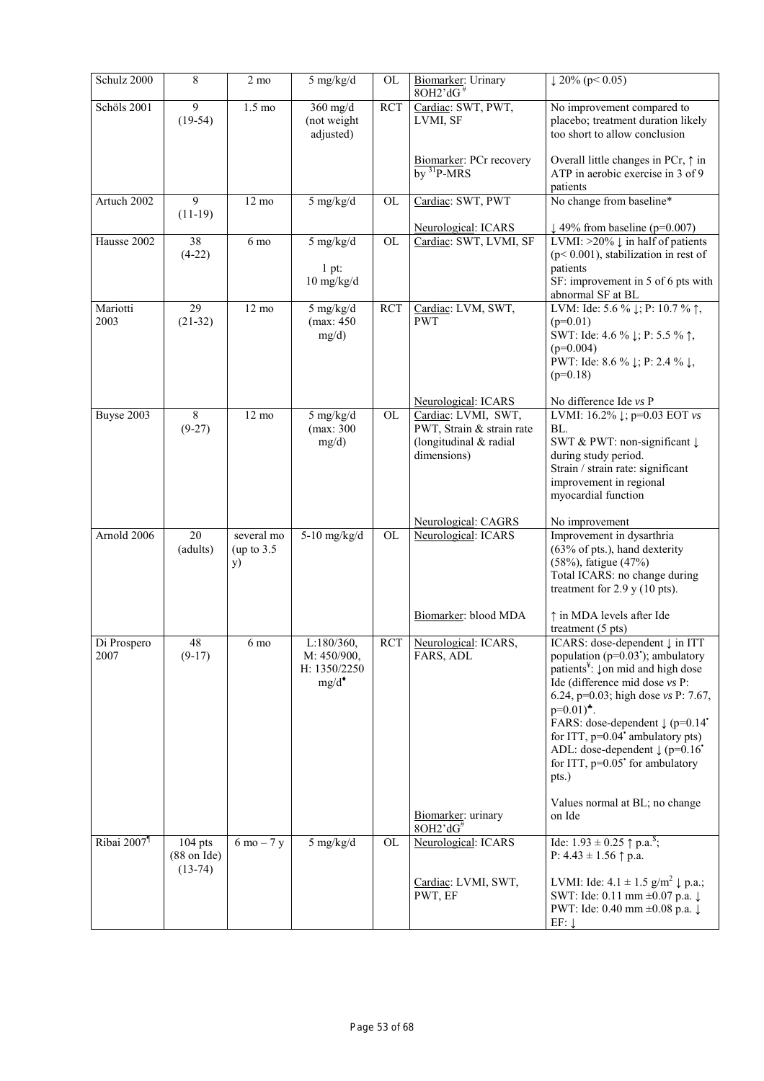| Schulz 2000             | $\,$ 8 $\,$                                     | $2 \text{ mo}$                           | $5$ mg/kg/d                                           | OL         | Biomarker: Urinary<br>$8OH2^{\prime}dG^{\#}$                                              | $\sqrt{20\% (p \le 0.05)}$                                                                                                                                                                                                                                                                                                                                                                                                                                  |
|-------------------------|-------------------------------------------------|------------------------------------------|-------------------------------------------------------|------------|-------------------------------------------------------------------------------------------|-------------------------------------------------------------------------------------------------------------------------------------------------------------------------------------------------------------------------------------------------------------------------------------------------------------------------------------------------------------------------------------------------------------------------------------------------------------|
| Schöls 2001             | $\overline{9}$<br>$(19-54)$                     | $1.5 \text{ mo}$                         | $360$ mg/d<br>(not weight<br>adjusted)                | <b>RCT</b> | Cardiac: SWT, PWT,<br>LVMI, SF                                                            | No improvement compared to<br>placebo; treatment duration likely<br>too short to allow conclusion                                                                                                                                                                                                                                                                                                                                                           |
|                         |                                                 |                                          |                                                       |            | Biomarker: PCr recovery<br>$by$ <sup>31</sup> P-MRS                                       | Overall little changes in PCr, $\uparrow$ in<br>ATP in aerobic exercise in 3 of 9<br>patients                                                                                                                                                                                                                                                                                                                                                               |
| Artuch 2002             | $\overline{9}$<br>$(11-19)$                     | $12 \text{ mo}$                          | $5$ mg/kg/d                                           | OL         | Cardiac: SWT, PWT                                                                         | No change from baseline*                                                                                                                                                                                                                                                                                                                                                                                                                                    |
|                         |                                                 |                                          |                                                       |            | Neurological: ICARS                                                                       | $\downarrow$ 49% from baseline (p=0.007)                                                                                                                                                                                                                                                                                                                                                                                                                    |
| Hausse 2002             | 38<br>$(4-22)$                                  | 6 mo                                     | $5$ mg/kg/d<br>$1$ pt:<br>$10$ mg/kg/d                | OL         | Cardiac: SWT, LVMI, SF                                                                    | LVMI: $>20\% \downarrow$ in half of patients<br>$(p<0.001)$ , stabilization in rest of<br>patients<br>SF: improvement in 5 of 6 pts with                                                                                                                                                                                                                                                                                                                    |
| Mariotti<br>2003        | 29<br>$(21-32)$                                 | $12 \text{ mo}$                          | 5 mg/kg/d<br>(max: 450<br>mg/d)                       | <b>RCT</b> | Cardiac: LVM, SWT,<br><b>PWT</b>                                                          | abnormal SF at BL<br>LVM: Ide: 5.6 % $\downarrow$ ; P: 10.7 % $\uparrow$ ,<br>$(p=0.01)$<br>SWT: Ide: 4.6 % $\downarrow$ ; P: 5.5 % $\uparrow$ ,<br>$(p=0.004)$<br>PWT: Ide: 8.6 % $\downarrow$ ; P: 2.4 % $\downarrow$ ,<br>$(p=0.18)$                                                                                                                                                                                                                     |
|                         |                                                 |                                          |                                                       |            | Neurological: ICARS                                                                       | No difference Ide vs P                                                                                                                                                                                                                                                                                                                                                                                                                                      |
| Buyse 2003              | 8<br>$(9-27)$                                   | $12 \text{ mo}$                          | 5 mg/kg/d<br>(max: 300<br>mg/d)                       | <b>OL</b>  | Cardiac: LVMI, SWT,<br>PWT, Strain & strain rate<br>(longitudinal & radial<br>dimensions) | LVMI: $16.2\% \downarrow$ ; p=0.03 EOT vs<br>BL.<br>SWT & PWT: non-significant ↓<br>during study period.<br>Strain / strain rate: significant<br>improvement in regional<br>myocardial function                                                                                                                                                                                                                                                             |
|                         |                                                 |                                          |                                                       |            | Neurological: CAGRS                                                                       | No improvement                                                                                                                                                                                                                                                                                                                                                                                                                                              |
| Arnold 2006             | 20<br>(adults)                                  | several mo<br>(up to $3.5$<br><b>y</b> ) | $5-10$ mg/kg/d                                        | <b>OL</b>  | Neurological: ICARS                                                                       | Improvement in dysarthria<br>(63% of pts.), hand dexterity<br>(58%), fatigue (47%)<br>Total ICARS: no change during<br>treatment for $2.9$ y (10 pts).                                                                                                                                                                                                                                                                                                      |
|                         |                                                 |                                          |                                                       |            | Biomarker: blood MDA                                                                      | ↑ in MDA levels after Ide<br>treatment (5 pts)                                                                                                                                                                                                                                                                                                                                                                                                              |
| Di Prospero<br>2007     | $\sqrt{48}$<br>$(9-17)$                         | 6 mo                                     | L:180/360,<br>M: 450/900,<br>H: 1350/2250<br>$mg/d^*$ |            | RCT Neurological: ICARS,<br>FARS, ADL                                                     | ICARS: dose-dependent ↓ in ITT<br>population ( $p=0.03$ <sup>*</sup> ); ambulatory<br>patients <sup>¥</sup> : $\downarrow$ on mid and high dose<br>Ide (difference mid dose vs P:<br>6.24, p=0.03; high dose $vs P: 7.67$ ,<br>$p=0.01$ <sup>*</sup> .<br>FARS: dose-dependent $\downarrow$ (p=0.14 <sup>*</sup><br>for ITT, $p=0.04$ ambulatory pts)<br>ADL: dose-dependent $\downarrow$ (p=0.16 <sup>*</sup><br>for ITT, $p=0.05$ for ambulatory<br>pts.) |
|                         |                                                 |                                          |                                                       |            | Biomarker: urinary<br>8OH2'dG#                                                            | Values normal at BL; no change<br>on Ide                                                                                                                                                                                                                                                                                                                                                                                                                    |
| Ribai 2007 <sup>¶</sup> | $104$ pts<br>$(88 \text{ on Ide})$<br>$(13-74)$ | $6 \text{ mo} - 7 \text{ y}$             | $5$ mg/kg/d                                           | <b>OL</b>  | Neurological: ICARS                                                                       | Ide: $1.93 \pm 0.25$ $\uparrow$ p.a. <sup>\$</sup> ;<br>P: $4.43 \pm 1.56$ $\uparrow$ p.a.                                                                                                                                                                                                                                                                                                                                                                  |
|                         |                                                 |                                          |                                                       |            | Cardiac: LVMI, SWT,<br>PWT, EF                                                            | LVMI: Ide: $4.1 \pm 1.5$ g/m <sup>2</sup> $\downarrow$ p.a.;<br>SWT: Ide: 0.11 mm ±0.07 p.a. ↓<br>PWT: Ide: 0.40 mm ±0.08 p.a. ↓<br>$EF: \downarrow$                                                                                                                                                                                                                                                                                                        |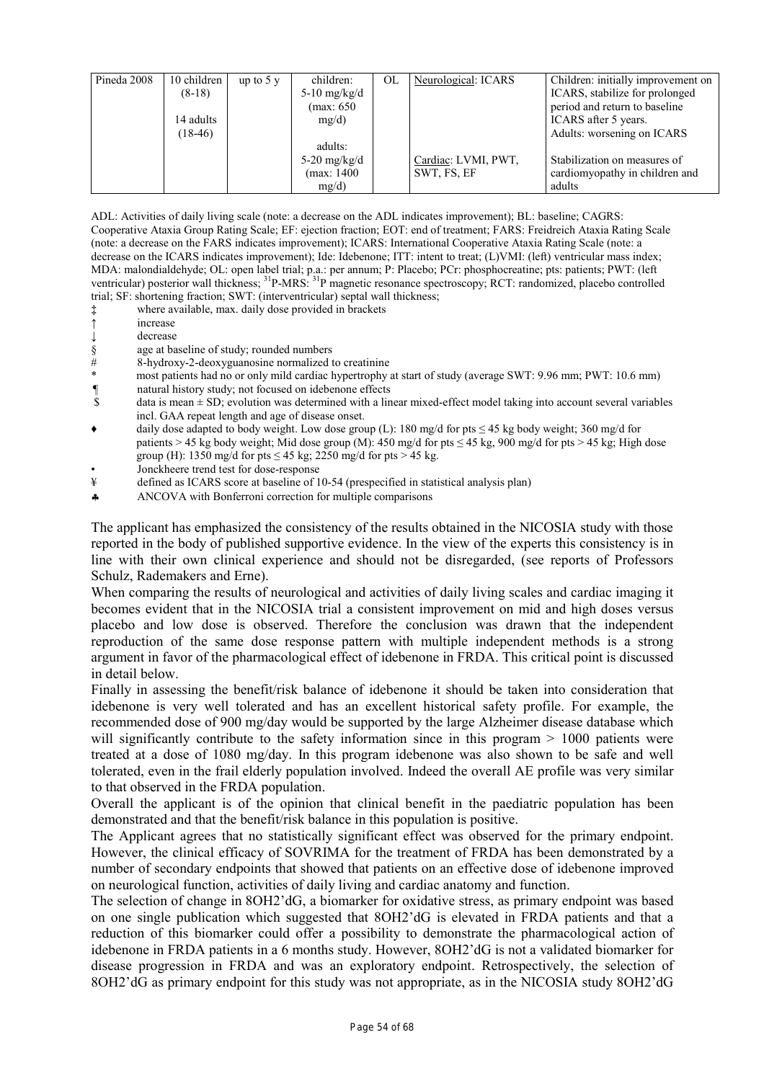| Pineda 2008 | 10 children | up to $5y$ | children:      | OL | Neurological: ICARS | Children: initially improvement on |
|-------------|-------------|------------|----------------|----|---------------------|------------------------------------|
|             | $(8-18)$    |            | 5-10 $mg/kg/d$ |    |                     | ICARS, stabilize for prolonged     |
|             |             |            | (max: 650      |    |                     | period and return to baseline      |
|             | 14 adults   |            | mg/d)          |    |                     | ICARS after 5 years.               |
|             | $(18-46)$   |            |                |    |                     | Adults: worsening on ICARS         |
|             |             |            | adults:        |    |                     |                                    |
|             |             |            | 5-20 $mg/kg/d$ |    | Cardiac: LVMI, PWT, | Stabilization on measures of       |
|             |             |            | (max: 1400     |    | SWT, FS, EF         | cardiomyopathy in children and     |
|             |             |            | mg/d)          |    |                     | adults                             |

ADL: Activities of daily living scale (note: a decrease on the ADL indicates improvement); BL: baseline; CAGRS: Cooperative Ataxia Group Rating Scale; EF: ejection fraction; EOT: end of treatment; FARS: Freidreich Ataxia Rating Scale (note: a decrease on the FARS indicates improvement); ICARS: International Cooperative Ataxia Rating Scale (note: a decrease on the ICARS indicates improvement); Ide: Idebenone; ITT: intent to treat; (L)VMI: (left) ventricular mass index; MDA: malondialdehyde; OL: open label trial; p.a.: per annum; P: Placebo; PCr: phosphocreatine; pts: patients; PWT: (left ventricular) posterior wall thickness; <sup>31</sup>P-MRS: <sup>31</sup>P magnetic resonance spectroscopy; RCT: randomized, placebo controlled trial; SF: shortening fraction; SWT: (interventricular) septal wall thickness;

- **‡** where available, max. daily dose provided in brackets
- **↑** increase
- **↓** decrease
- 
- §age at baseline of study; rounded numbers # 8-hydroxy-2-deoxyguanosine normalized to creatinine
- most patients had no or only mild cardiac hypertrophy at start of study (average SWT: 9.96 mm; PWT: 10.6 mm)
- $\parallel$  natural history study; not focused on idebenone effects<br>  $\text{a}$  s data is mean  $\pm$  SD: evolution was determined with a lin
- $data$  is mean  $\pm$  SD; evolution was determined with a linear mixed-effect model taking into account several variables incl. GAA repeat length and age of disease onset.
- ♦ daily dose adapted to body weight. Low dose group (L): 180 mg/d for pts ≤ 45 kg body weight; 360 mg/d for patients > 45 kg body weight; Mid dose group (M): 450 mg/d for pts  $\leq$  45 kg, 900 mg/d for pts > 45 kg; High dose group (H): 1350 mg/d for pts  $\leq$  45 kg; 2250 mg/d for pts  $>$  45 kg.
- Jonckheere trend test for dose-response
- ¥ defined as ICARS score at baseline of 10-54 (prespecified in statistical analysis plan)
- ♣ ANCOVA with Bonferroni correction for multiple comparisons

The applicant has emphasized the consistency of the results obtained in the NICOSIA study with those reported in the body of published supportive evidence. In the view of the experts this consistency is in line with their own clinical experience and should not be disregarded, (see reports of Professors Schulz, Rademakers and Erne).

When comparing the results of neurological and activities of daily living scales and cardiac imaging it becomes evident that in the NICOSIA trial a consistent improvement on mid and high doses versus placebo and low dose is observed. Therefore the conclusion was drawn that the independent reproduction of the same dose response pattern with multiple independent methods is a strong argument in favor of the pharmacological effect of idebenone in FRDA. This critical point is discussed in detail below.

Finally in assessing the benefit/risk balance of idebenone it should be taken into consideration that idebenone is very well tolerated and has an excellent historical safety profile. For example, the recommended dose of 900 mg/day would be supported by the large Alzheimer disease database which will significantly contribute to the safety information since in this program  $> 1000$  patients were treated at a dose of 1080 mg/day. In this program idebenone was also shown to be safe and well tolerated, even in the frail elderly population involved. Indeed the overall AE profile was very similar to that observed in the FRDA population.

Overall the applicant is of the opinion that clinical benefit in the paediatric population has been demonstrated and that the benefit/risk balance in this population is positive.

The Applicant agrees that no statistically significant effect was observed for the primary endpoint. However, the clinical efficacy of SOVRIMA for the treatment of FRDA has been demonstrated by a number of secondary endpoints that showed that patients on an effective dose of idebenone improved on neurological function, activities of daily living and cardiac anatomy and function.

The selection of change in 8OH2'dG, a biomarker for oxidative stress, as primary endpoint was based on one single publication which suggested that 8OH2'dG is elevated in FRDA patients and that a reduction of this biomarker could offer a possibility to demonstrate the pharmacological action of idebenone in FRDA patients in a 6 months study. However, 8OH2'dG is not a validated biomarker for disease progression in FRDA and was an exploratory endpoint. Retrospectively, the selection of 8OH2'dG as primary endpoint for this study was not appropriate, as in the NICOSIA study 8OH2'dG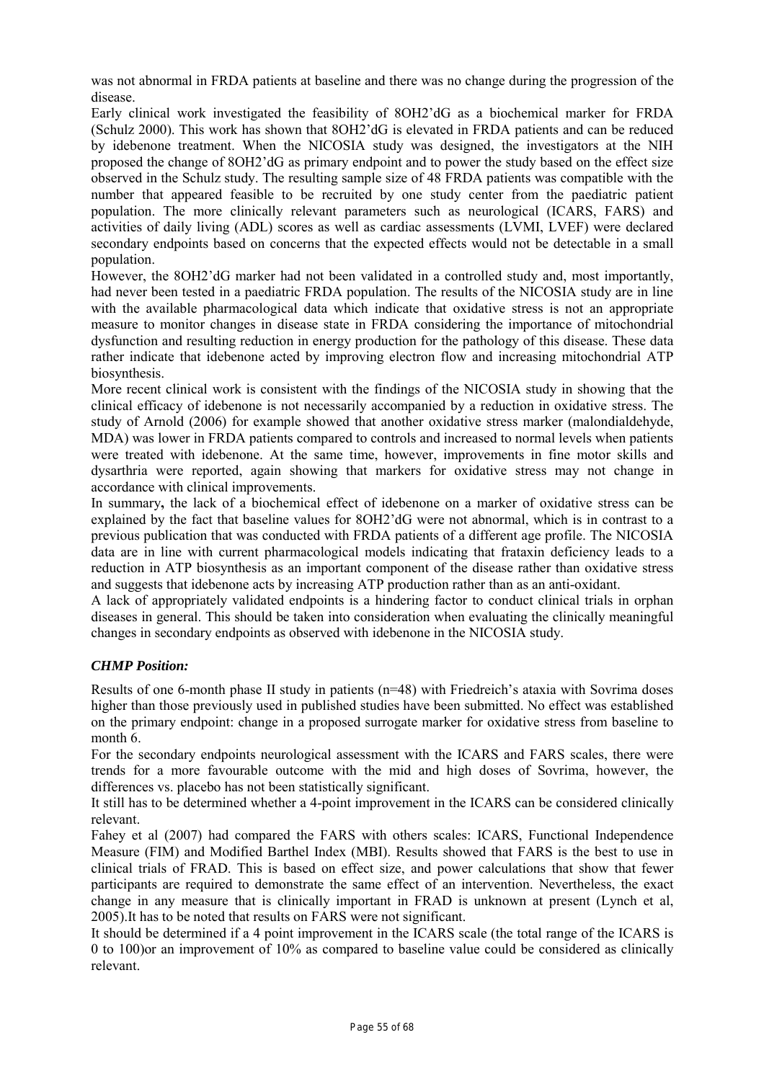was not abnormal in FRDA patients at baseline and there was no change during the progression of the disease.

Early clinical work investigated the feasibility of 8OH2'dG as a biochemical marker for FRDA (Schulz 2000). This work has shown that 8OH2'dG is elevated in FRDA patients and can be reduced by idebenone treatment. When the NICOSIA study was designed, the investigators at the NIH proposed the change of 8OH2'dG as primary endpoint and to power the study based on the effect size observed in the Schulz study. The resulting sample size of 48 FRDA patients was compatible with the number that appeared feasible to be recruited by one study center from the paediatric patient population. The more clinically relevant parameters such as neurological (ICARS, FARS) and activities of daily living (ADL) scores as well as cardiac assessments (LVMI, LVEF) were declared secondary endpoints based on concerns that the expected effects would not be detectable in a small population.

However, the 8OH2'dG marker had not been validated in a controlled study and, most importantly, had never been tested in a paediatric FRDA population. The results of the NICOSIA study are in line with the available pharmacological data which indicate that oxidative stress is not an appropriate measure to monitor changes in disease state in FRDA considering the importance of mitochondrial dysfunction and resulting reduction in energy production for the pathology of this disease. These data rather indicate that idebenone acted by improving electron flow and increasing mitochondrial ATP biosynthesis.

More recent clinical work is consistent with the findings of the NICOSIA study in showing that the clinical efficacy of idebenone is not necessarily accompanied by a reduction in oxidative stress. The study of Arnold (2006) for example showed that another oxidative stress marker (malondialdehyde, MDA) was lower in FRDA patients compared to controls and increased to normal levels when patients were treated with idebenone. At the same time, however, improvements in fine motor skills and dysarthria were reported, again showing that markers for oxidative stress may not change in accordance with clinical improvements.

In summary**,** the lack of a biochemical effect of idebenone on a marker of oxidative stress can be explained by the fact that baseline values for 8OH2'dG were not abnormal, which is in contrast to a previous publication that was conducted with FRDA patients of a different age profile. The NICOSIA data are in line with current pharmacological models indicating that frataxin deficiency leads to a reduction in ATP biosynthesis as an important component of the disease rather than oxidative stress and suggests that idebenone acts by increasing ATP production rather than as an anti-oxidant.

A lack of appropriately validated endpoints is a hindering factor to conduct clinical trials in orphan diseases in general. This should be taken into consideration when evaluating the clinically meaningful changes in secondary endpoints as observed with idebenone in the NICOSIA study.

# *CHMP Position:*

Results of one 6-month phase II study in patients (n=48) with Friedreich's ataxia with Sovrima doses higher than those previously used in published studies have been submitted. No effect was established on the primary endpoint: change in a proposed surrogate marker for oxidative stress from baseline to month 6.

For the secondary endpoints neurological assessment with the ICARS and FARS scales, there were trends for a more favourable outcome with the mid and high doses of Sovrima, however, the differences vs. placebo has not been statistically significant.

It still has to be determined whether a 4-point improvement in the ICARS can be considered clinically relevant.

Fahey et al (2007) had compared the FARS with others scales: ICARS, Functional Independence Measure (FIM) and Modified Barthel Index (MBI). Results showed that FARS is the best to use in clinical trials of FRAD. This is based on effect size, and power calculations that show that fewer participants are required to demonstrate the same effect of an intervention. Nevertheless, the exact change in any measure that is clinically important in FRAD is unknown at present (Lynch et al, 2005).It has to be noted that results on FARS were not significant.

It should be determined if a 4 point improvement in the ICARS scale (the total range of the ICARS is 0 to 100)or an improvement of 10% as compared to baseline value could be considered as clinically relevant.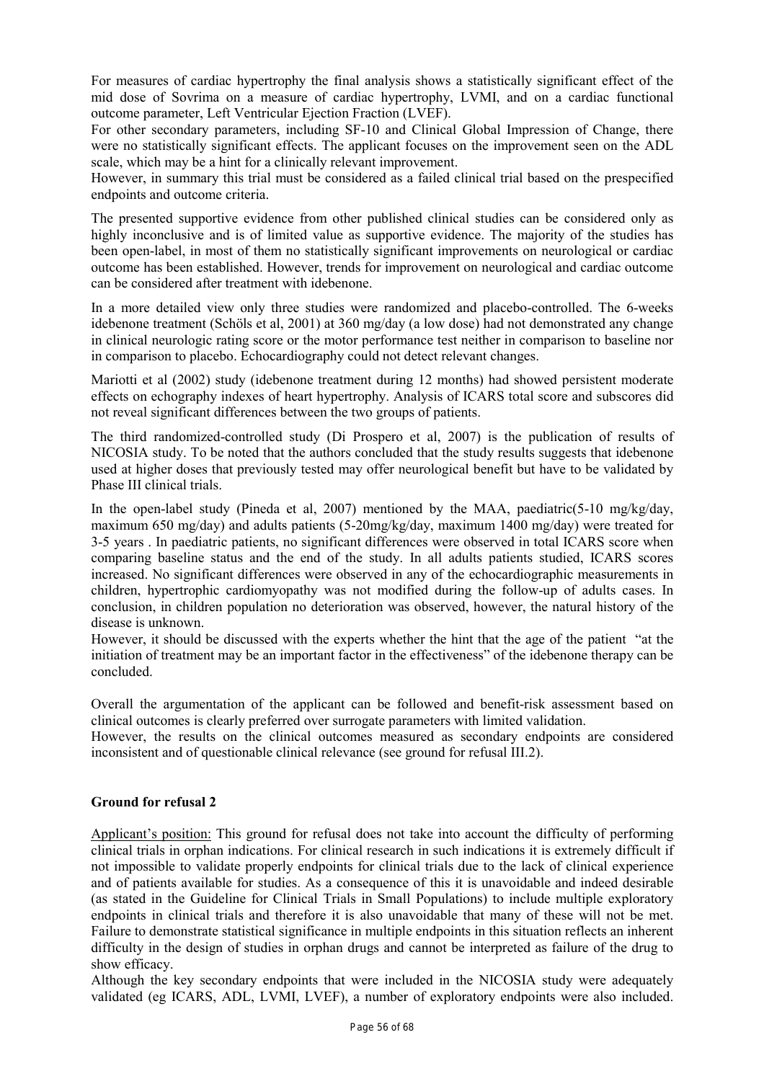For measures of cardiac hypertrophy the final analysis shows a statistically significant effect of the mid dose of Sovrima on a measure of cardiac hypertrophy, LVMI, and on a cardiac functional outcome parameter, Left Ventricular Ejection Fraction (LVEF).

For other secondary parameters, including SF-10 and Clinical Global Impression of Change, there were no statistically significant effects. The applicant focuses on the improvement seen on the ADL scale, which may be a hint for a clinically relevant improvement.

However, in summary this trial must be considered as a failed clinical trial based on the prespecified endpoints and outcome criteria.

The presented supportive evidence from other published clinical studies can be considered only as highly inconclusive and is of limited value as supportive evidence. The majority of the studies has been open-label, in most of them no statistically significant improvements on neurological or cardiac outcome has been established. However, trends for improvement on neurological and cardiac outcome can be considered after treatment with idebenone.

In a more detailed view only three studies were randomized and placebo-controlled. The 6-weeks idebenone treatment (Schöls et al, 2001) at 360 mg/day (a low dose) had not demonstrated any change in clinical neurologic rating score or the motor performance test neither in comparison to baseline nor in comparison to placebo. Echocardiography could not detect relevant changes.

Mariotti et al (2002) study (idebenone treatment during 12 months) had showed persistent moderate effects on echography indexes of heart hypertrophy. Analysis of ICARS total score and subscores did not reveal significant differences between the two groups of patients.

The third randomized-controlled study (Di Prospero et al, 2007) is the publication of results of NICOSIA study. To be noted that the authors concluded that the study results suggests that idebenone used at higher doses that previously tested may offer neurological benefit but have to be validated by Phase III clinical trials.

In the open-label study (Pineda et al, 2007) mentioned by the MAA, paediatric(5-10 mg/kg/day, maximum 650 mg/day) and adults patients (5-20mg/kg/day, maximum 1400 mg/day) were treated for 3-5 years . In paediatric patients, no significant differences were observed in total ICARS score when comparing baseline status and the end of the study. In all adults patients studied, ICARS scores increased. No significant differences were observed in any of the echocardiographic measurements in children, hypertrophic cardiomyopathy was not modified during the follow-up of adults cases. In conclusion, in children population no deterioration was observed, however, the natural history of the disease is unknown.

However, it should be discussed with the experts whether the hint that the age of the patient "at the initiation of treatment may be an important factor in the effectiveness" of the idebenone therapy can be concluded.

Overall the argumentation of the applicant can be followed and benefit-risk assessment based on clinical outcomes is clearly preferred over surrogate parameters with limited validation.

However, the results on the clinical outcomes measured as secondary endpoints are considered inconsistent and of questionable clinical relevance (see ground for refusal III.2).

# **Ground for refusal 2**

Applicant's position: This ground for refusal does not take into account the difficulty of performing clinical trials in orphan indications. For clinical research in such indications it is extremely difficult if not impossible to validate properly endpoints for clinical trials due to the lack of clinical experience and of patients available for studies. As a consequence of this it is unavoidable and indeed desirable (as stated in the Guideline for Clinical Trials in Small Populations) to include multiple exploratory endpoints in clinical trials and therefore it is also unavoidable that many of these will not be met. Failure to demonstrate statistical significance in multiple endpoints in this situation reflects an inherent difficulty in the design of studies in orphan drugs and cannot be interpreted as failure of the drug to show efficacy.

Although the key secondary endpoints that were included in the NICOSIA study were adequately validated (eg ICARS, ADL, LVMI, LVEF), a number of exploratory endpoints were also included.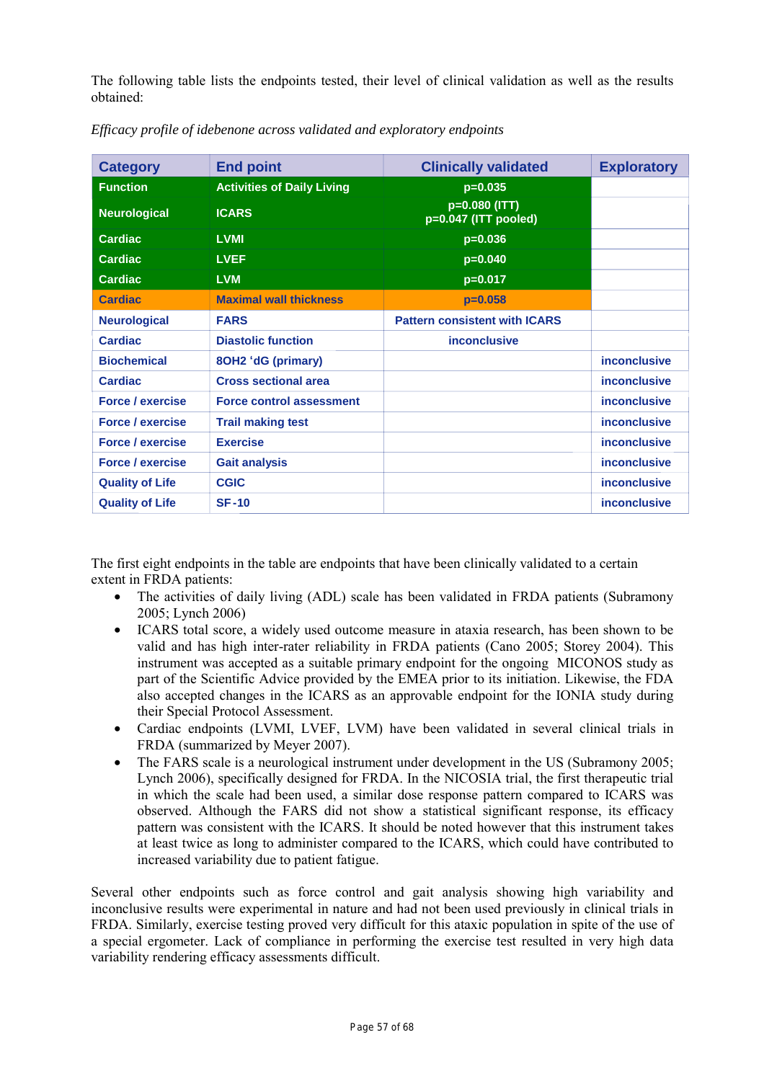The following table lists the endpoints tested, their level of clinical validation as well as the results obtained:

| <b>Category</b>         | <b>End point</b>                  | <b>Clinically validated</b>           | <b>Exploratory</b>  |
|-------------------------|-----------------------------------|---------------------------------------|---------------------|
| <b>Function</b>         | <b>Activities of Daily Living</b> | $p=0.035$                             |                     |
| <b>Neurological</b>     | <b>ICARS</b>                      | p=0.080 (ITT)<br>p=0.047 (ITT pooled) |                     |
| <b>Cardiac</b>          | <b>LVMI</b>                       | $p=0.036$                             |                     |
| <b>Cardiac</b>          | <b>LVEF</b>                       | $p=0.040$                             |                     |
| <b>Cardiac</b>          | <b>LVM</b>                        | $p=0.017$                             |                     |
| <b>Cardiac</b>          | <b>Maximal wall thickness</b>     | $p=0.058$                             |                     |
| <b>Neurological</b>     | <b>FARS</b>                       | <b>Pattern consistent with ICARS</b>  |                     |
| Cardiac                 | <b>Diastolic function</b>         | <i>inconclusive</i>                   |                     |
| <b>Biochemical</b>      | 8OH2 'dG (primary)                |                                       | <b>inconclusive</b> |
| <b>Cardiac</b>          | <b>Cross sectional area</b>       |                                       | <i>inconclusive</i> |
| <b>Force / exercise</b> | <b>Force control assessment</b>   |                                       | <i>inconclusive</i> |
| <b>Force / exercise</b> | <b>Trail making test</b>          |                                       | <b>inconclusive</b> |
| <b>Force / exercise</b> | <b>Exercise</b>                   |                                       | inconclusive        |
| <b>Force / exercise</b> | <b>Gait analysis</b>              |                                       | <b>inconclusive</b> |
| <b>Quality of Life</b>  | <b>CGIC</b>                       |                                       | <b>inconclusive</b> |
| <b>Quality of Life</b>  | <b>SF-10</b>                      |                                       | <b>inconclusive</b> |

*Efficacy profile of idebenone across validated and exploratory endpoints* 

The first eight endpoints in the table are endpoints that have been clinically validated to a certain extent in FRDA patients:

- The activities of daily living (ADL) scale has been validated in FRDA patients (Subramony 2005; Lynch 2006)
- ICARS total score, a widely used outcome measure in ataxia research, has been shown to be valid and has high inter-rater reliability in FRDA patients (Cano 2005; Storey 2004). This instrument was accepted as a suitable primary endpoint for the ongoing MICONOS study as part of the Scientific Advice provided by the EMEA prior to its initiation. Likewise, the FDA also accepted changes in the ICARS as an approvable endpoint for the IONIA study during their Special Protocol Assessment.
- Cardiac endpoints (LVMI, LVEF, LVM) have been validated in several clinical trials in FRDA (summarized by Meyer 2007).
- The FARS scale is a neurological instrument under development in the US (Subramony 2005; Lynch 2006), specifically designed for FRDA. In the NICOSIA trial, the first therapeutic trial in which the scale had been used, a similar dose response pattern compared to ICARS was observed. Although the FARS did not show a statistical significant response, its efficacy pattern was consistent with the ICARS. It should be noted however that this instrument takes at least twice as long to administer compared to the ICARS, which could have contributed to increased variability due to patient fatigue.

Several other endpoints such as force control and gait analysis showing high variability and inconclusive results were experimental in nature and had not been used previously in clinical trials in FRDA. Similarly, exercise testing proved very difficult for this ataxic population in spite of the use of a special ergometer. Lack of compliance in performing the exercise test resulted in very high data variability rendering efficacy assessments difficult.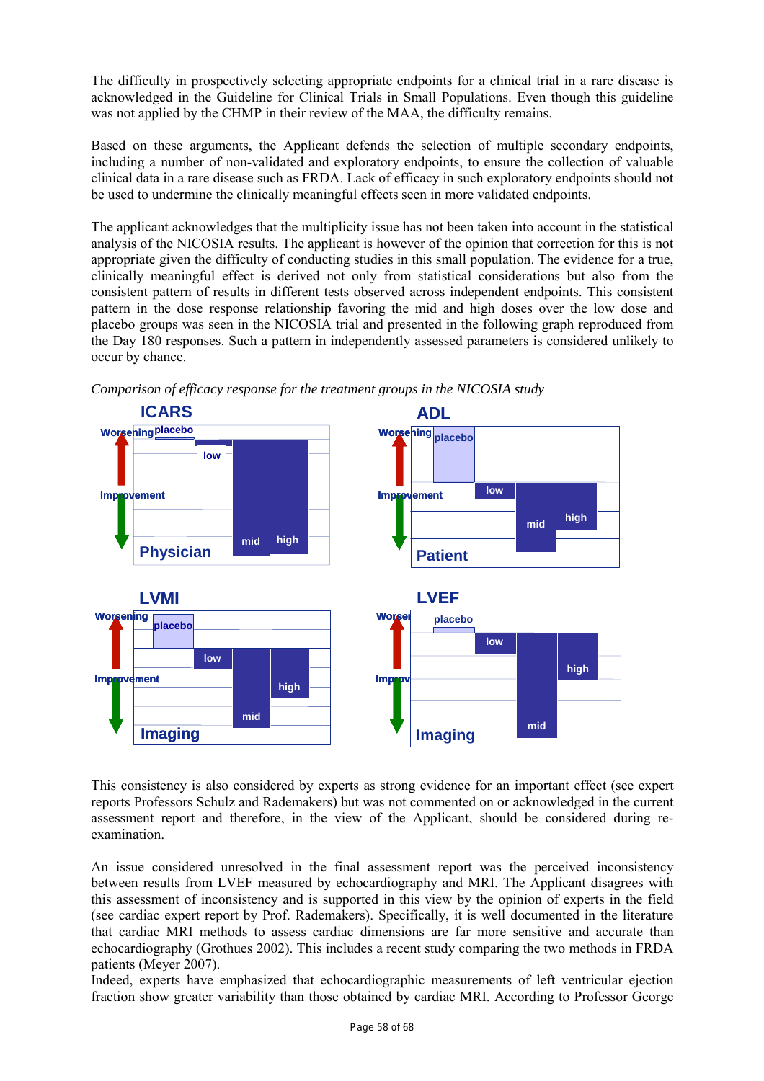The difficulty in prospectively selecting appropriate endpoints for a clinical trial in a rare disease is acknowledged in the Guideline for Clinical Trials in Small Populations. Even though this guideline was not applied by the CHMP in their review of the MAA, the difficulty remains.

Based on these arguments, the Applicant defends the selection of multiple secondary endpoints, including a number of non-validated and exploratory endpoints, to ensure the collection of valuable clinical data in a rare disease such as FRDA. Lack of efficacy in such exploratory endpoints should not be used to undermine the clinically meaningful effects seen in more validated endpoints.

The applicant acknowledges that the multiplicity issue has not been taken into account in the statistical analysis of the NICOSIA results. The applicant is however of the opinion that correction for this is not appropriate given the difficulty of conducting studies in this small population. The evidence for a true, clinically meaningful effect is derived not only from statistical considerations but also from the consistent pattern of results in different tests observed across independent endpoints. This consistent pattern in the dose response relationship favoring the mid and high doses over the low dose and placebo groups was seen in the NICOSIA trial and presented in the following graph reproduced from the Day 180 responses. Such a pattern in independently assessed parameters is considered unlikely to occur by chance.



*Comparison of efficacy response for the treatment groups in the NICOSIA study* 

This consistency is also considered by experts as strong evidence for an important effect (see expert reports Professors Schulz and Rademakers) but was not commented on or acknowledged in the current assessment report and therefore, in the view of the Applicant, should be considered during reexamination.

An issue considered unresolved in the final assessment report was the perceived inconsistency between results from LVEF measured by echocardiography and MRI. The Applicant disagrees with this assessment of inconsistency and is supported in this view by the opinion of experts in the field (see cardiac expert report by Prof. Rademakers). Specifically, it is well documented in the literature that cardiac MRI methods to assess cardiac dimensions are far more sensitive and accurate than echocardiography (Grothues 2002). This includes a recent study comparing the two methods in FRDA patients (Meyer 2007).

Indeed, experts have emphasized that echocardiographic measurements of left ventricular ejection fraction show greater variability than those obtained by cardiac MRI. According to Professor George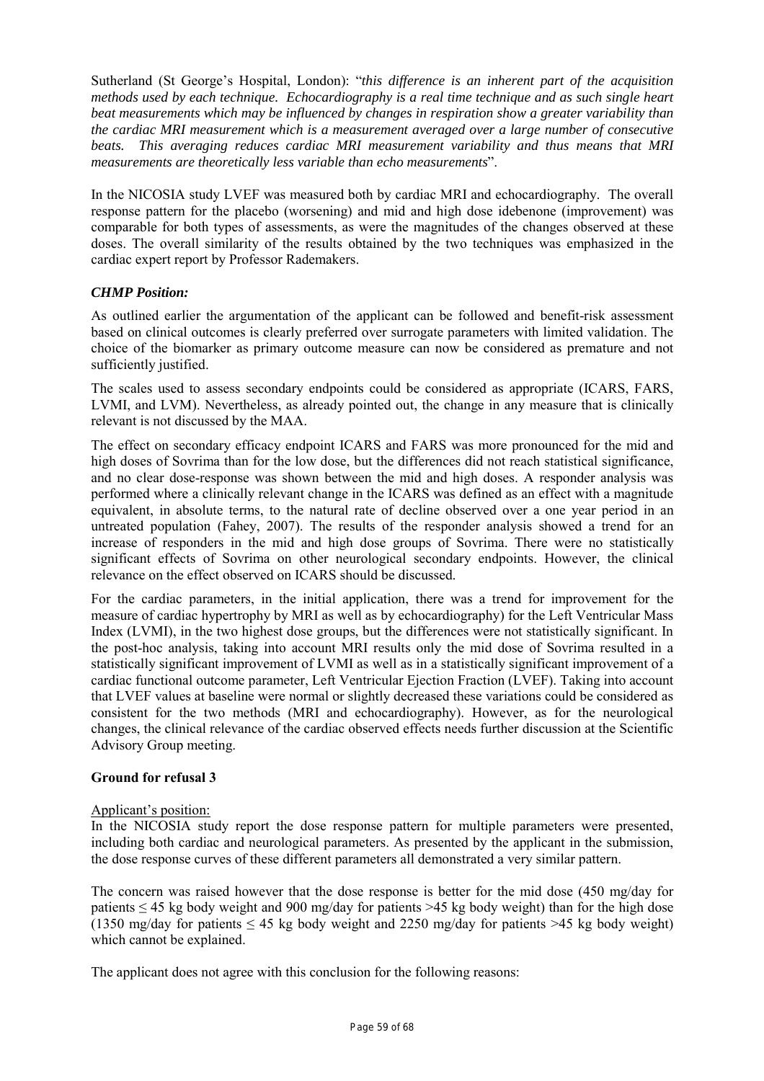Sutherland (St George's Hospital, London): "*this difference is an inherent part of the acquisition methods used by each technique. Echocardiography is a real time technique and as such single heart beat measurements which may be influenced by changes in respiration show a greater variability than the cardiac MRI measurement which is a measurement averaged over a large number of consecutive beats. This averaging reduces cardiac MRI measurement variability and thus means that MRI measurements are theoretically less variable than echo measurements*".

In the NICOSIA study LVEF was measured both by cardiac MRI and echocardiography. The overall response pattern for the placebo (worsening) and mid and high dose idebenone (improvement) was comparable for both types of assessments, as were the magnitudes of the changes observed at these doses. The overall similarity of the results obtained by the two techniques was emphasized in the cardiac expert report by Professor Rademakers.

# *CHMP Position:*

As outlined earlier the argumentation of the applicant can be followed and benefit-risk assessment based on clinical outcomes is clearly preferred over surrogate parameters with limited validation. The choice of the biomarker as primary outcome measure can now be considered as premature and not sufficiently justified.

The scales used to assess secondary endpoints could be considered as appropriate (ICARS, FARS, LVMI, and LVM). Nevertheless, as already pointed out, the change in any measure that is clinically relevant is not discussed by the MAA.

The effect on secondary efficacy endpoint ICARS and FARS was more pronounced for the mid and high doses of Sovrima than for the low dose, but the differences did not reach statistical significance, and no clear dose-response was shown between the mid and high doses. A responder analysis was performed where a clinically relevant change in the ICARS was defined as an effect with a magnitude equivalent, in absolute terms, to the natural rate of decline observed over a one year period in an untreated population (Fahey, 2007). The results of the responder analysis showed a trend for an increase of responders in the mid and high dose groups of Sovrima. There were no statistically significant effects of Sovrima on other neurological secondary endpoints. However, the clinical relevance on the effect observed on ICARS should be discussed.

For the cardiac parameters, in the initial application, there was a trend for improvement for the measure of cardiac hypertrophy by MRI as well as by echocardiography) for the Left Ventricular Mass Index (LVMI), in the two highest dose groups, but the differences were not statistically significant. In the post-hoc analysis, taking into account MRI results only the mid dose of Sovrima resulted in a statistically significant improvement of LVMI as well as in a statistically significant improvement of a cardiac functional outcome parameter, Left Ventricular Ejection Fraction (LVEF). Taking into account that LVEF values at baseline were normal or slightly decreased these variations could be considered as consistent for the two methods (MRI and echocardiography). However, as for the neurological changes, the clinical relevance of the cardiac observed effects needs further discussion at the Scientific Advisory Group meeting.

# **Ground for refusal 3**

# Applicant's position:

In the NICOSIA study report the dose response pattern for multiple parameters were presented, including both cardiac and neurological parameters. As presented by the applicant in the submission, the dose response curves of these different parameters all demonstrated a very similar pattern.

The concern was raised however that the dose response is better for the mid dose (450 mg/day for patients ≤ 45 kg body weight and 900 mg/day for patients >45 kg body weight) than for the high dose (1350 mg/day for patients  $\leq 45$  kg body weight and 2250 mg/day for patients  $\geq 45$  kg body weight) which cannot be explained.

The applicant does not agree with this conclusion for the following reasons: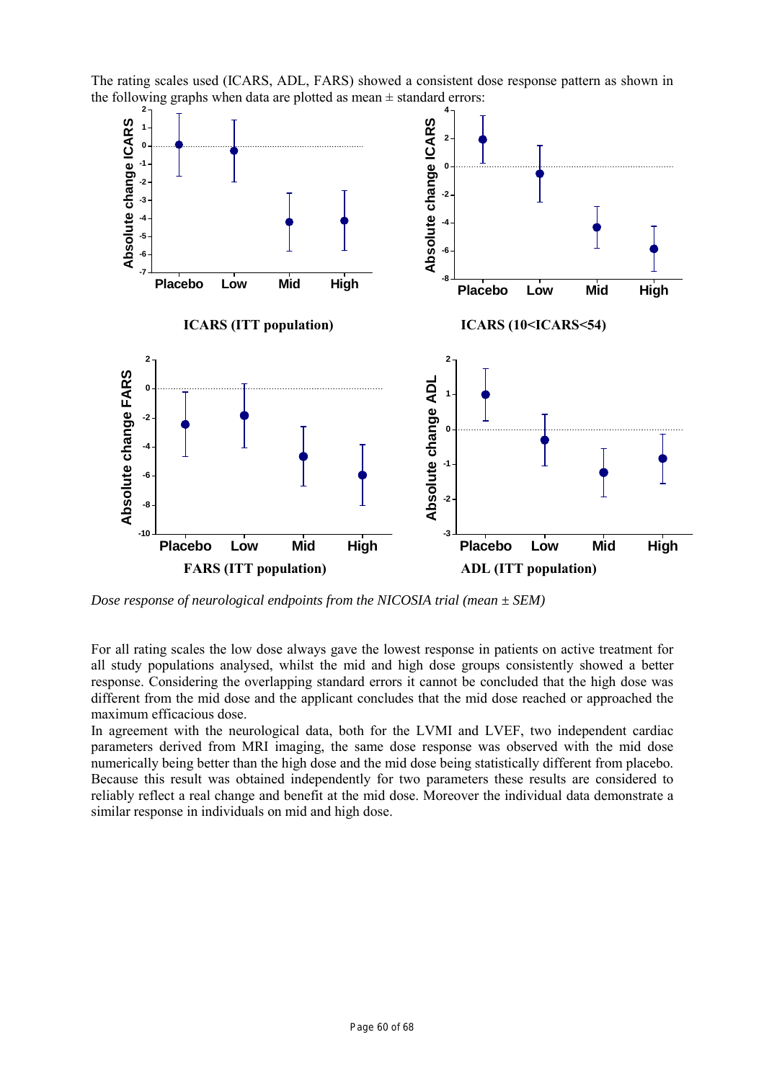

The rating scales used (ICARS, ADL, FARS) showed a consistent dose response pattern as shown in the following graphs when data are plotted as mean  $\pm$  standard errors:

*Dose response of neurological endpoints from the NICOSIA trial (mean ± SEM)* 

For all rating scales the low dose always gave the lowest response in patients on active treatment for all study populations analysed, whilst the mid and high dose groups consistently showed a better response. Considering the overlapping standard errors it cannot be concluded that the high dose was different from the mid dose and the applicant concludes that the mid dose reached or approached the maximum efficacious dose.

In agreement with the neurological data, both for the LVMI and LVEF, two independent cardiac parameters derived from MRI imaging, the same dose response was observed with the mid dose numerically being better than the high dose and the mid dose being statistically different from placebo. Because this result was obtained independently for two parameters these results are considered to reliably reflect a real change and benefit at the mid dose. Moreover the individual data demonstrate a similar response in individuals on mid and high dose.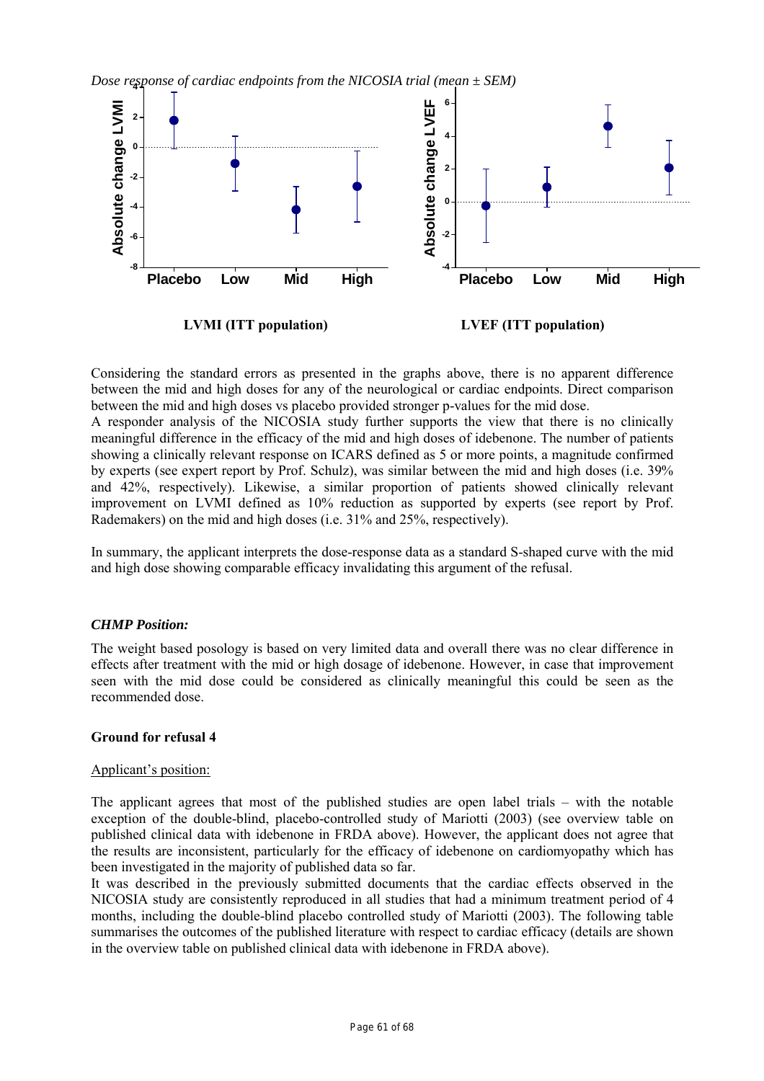*Dose response of cardiac endpoints from the NICOSIA trial (mean ± SEM)*  **4**



Considering the standard errors as presented in the graphs above, there is no apparent difference between the mid and high doses for any of the neurological or cardiac endpoints. Direct comparison between the mid and high doses vs placebo provided stronger p-values for the mid dose.

A responder analysis of the NICOSIA study further supports the view that there is no clinically meaningful difference in the efficacy of the mid and high doses of idebenone. The number of patients showing a clinically relevant response on ICARS defined as 5 or more points, a magnitude confirmed by experts (see expert report by Prof. Schulz), was similar between the mid and high doses (i.e. 39% and 42%, respectively). Likewise, a similar proportion of patients showed clinically relevant improvement on LVMI defined as 10% reduction as supported by experts (see report by Prof. Rademakers) on the mid and high doses (i.e. 31% and 25%, respectively).

In summary, the applicant interprets the dose-response data as a standard S-shaped curve with the mid and high dose showing comparable efficacy invalidating this argument of the refusal.

# *CHMP Position:*

The weight based posology is based on very limited data and overall there was no clear difference in effects after treatment with the mid or high dosage of idebenone. However, in case that improvement seen with the mid dose could be considered as clinically meaningful this could be seen as the recommended dose.

# **Ground for refusal 4**

# Applicant's position:

The applicant agrees that most of the published studies are open label trials – with the notable exception of the double-blind, placebo-controlled study of Mariotti (2003) (see overview table on published clinical data with idebenone in FRDA above). However, the applicant does not agree that the results are inconsistent, particularly for the efficacy of idebenone on cardiomyopathy which has been investigated in the majority of published data so far.

It was described in the previously submitted documents that the cardiac effects observed in the NICOSIA study are consistently reproduced in all studies that had a minimum treatment period of 4 months, including the double-blind placebo controlled study of Mariotti (2003). The following table summarises the outcomes of the published literature with respect to cardiac efficacy (details are shown in the overview table on published clinical data with idebenone in FRDA above).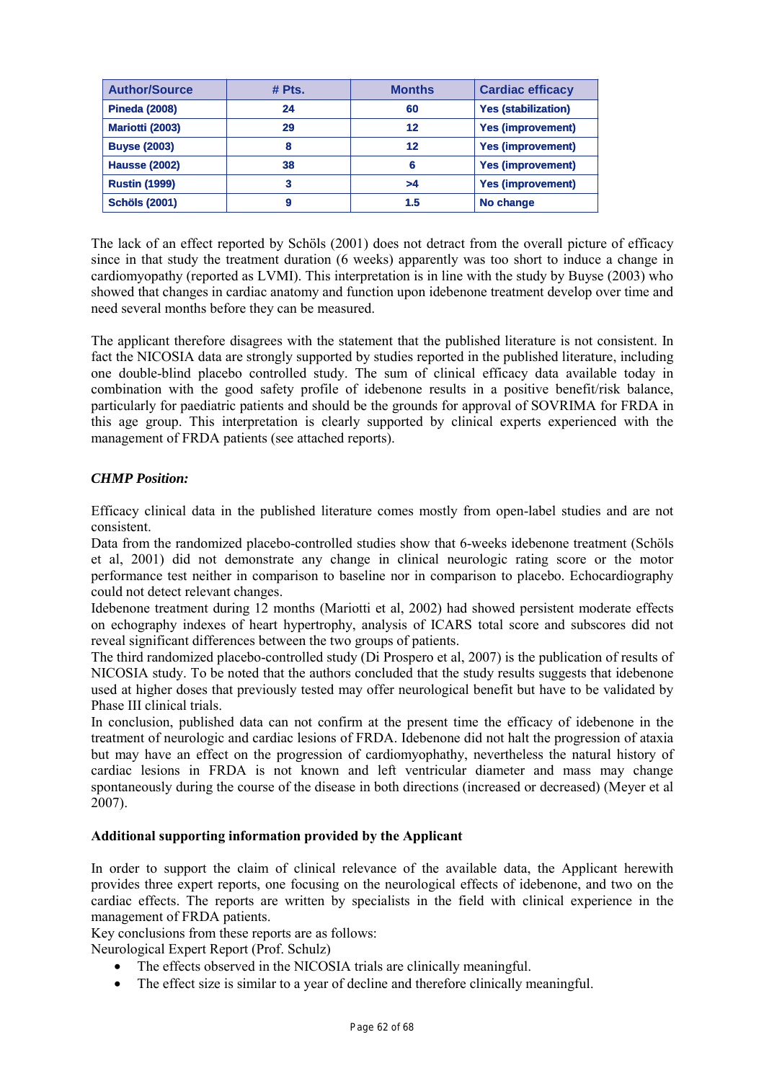| <b>Author/Source</b> | # Pts. | <b>Months</b> | <b>Cardiac efficacy</b>    |
|----------------------|--------|---------------|----------------------------|
| <b>Pineda (2008)</b> | 24     | 60            | <b>Yes (stabilization)</b> |
| Mariotti (2003)      | 29     | 12            | <b>Yes (improvement)</b>   |
| <b>Buyse (2003)</b>  | 8      | 12            | <b>Yes (improvement)</b>   |
| <b>Hausse (2002)</b> | 38     | 6             | <b>Yes (improvement)</b>   |
| <b>Rustin (1999)</b> | 3      | >4            | <b>Yes (improvement)</b>   |
| <b>Schöls (2001)</b> | 9      | 1.5           | No change                  |

The lack of an effect reported by Schöls (2001) does not detract from the overall picture of efficacy since in that study the treatment duration (6 weeks) apparently was too short to induce a change in cardiomyopathy (reported as LVMI). This interpretation is in line with the study by Buyse (2003) who showed that changes in cardiac anatomy and function upon idebenone treatment develop over time and need several months before they can be measured.

The applicant therefore disagrees with the statement that the published literature is not consistent. In fact the NICOSIA data are strongly supported by studies reported in the published literature, including one double-blind placebo controlled study. The sum of clinical efficacy data available today in combination with the good safety profile of idebenone results in a positive benefit/risk balance, particularly for paediatric patients and should be the grounds for approval of SOVRIMA for FRDA in this age group. This interpretation is clearly supported by clinical experts experienced with the management of FRDA patients (see attached reports).

# *CHMP Position:*

Efficacy clinical data in the published literature comes mostly from open-label studies and are not consistent.

Data from the randomized placebo-controlled studies show that 6-weeks idebenone treatment (Schöls et al, 2001) did not demonstrate any change in clinical neurologic rating score or the motor performance test neither in comparison to baseline nor in comparison to placebo. Echocardiography could not detect relevant changes.

Idebenone treatment during 12 months (Mariotti et al, 2002) had showed persistent moderate effects on echography indexes of heart hypertrophy, analysis of ICARS total score and subscores did not reveal significant differences between the two groups of patients.

The third randomized placebo-controlled study (Di Prospero et al, 2007) is the publication of results of NICOSIA study. To be noted that the authors concluded that the study results suggests that idebenone used at higher doses that previously tested may offer neurological benefit but have to be validated by Phase III clinical trials.

In conclusion, published data can not confirm at the present time the efficacy of idebenone in the treatment of neurologic and cardiac lesions of FRDA. Idebenone did not halt the progression of ataxia but may have an effect on the progression of cardiomyophathy, nevertheless the natural history of cardiac lesions in FRDA is not known and left ventricular diameter and mass may change spontaneously during the course of the disease in both directions (increased or decreased) (Meyer et al 2007).

# **Additional supporting information provided by the Applicant**

In order to support the claim of clinical relevance of the available data, the Applicant herewith provides three expert reports, one focusing on the neurological effects of idebenone, and two on the cardiac effects. The reports are written by specialists in the field with clinical experience in the management of FRDA patients.

Key conclusions from these reports are as follows:

Neurological Expert Report (Prof. Schulz)

- The effects observed in the NICOSIA trials are clinically meaningful.
- The effect size is similar to a year of decline and therefore clinically meaningful.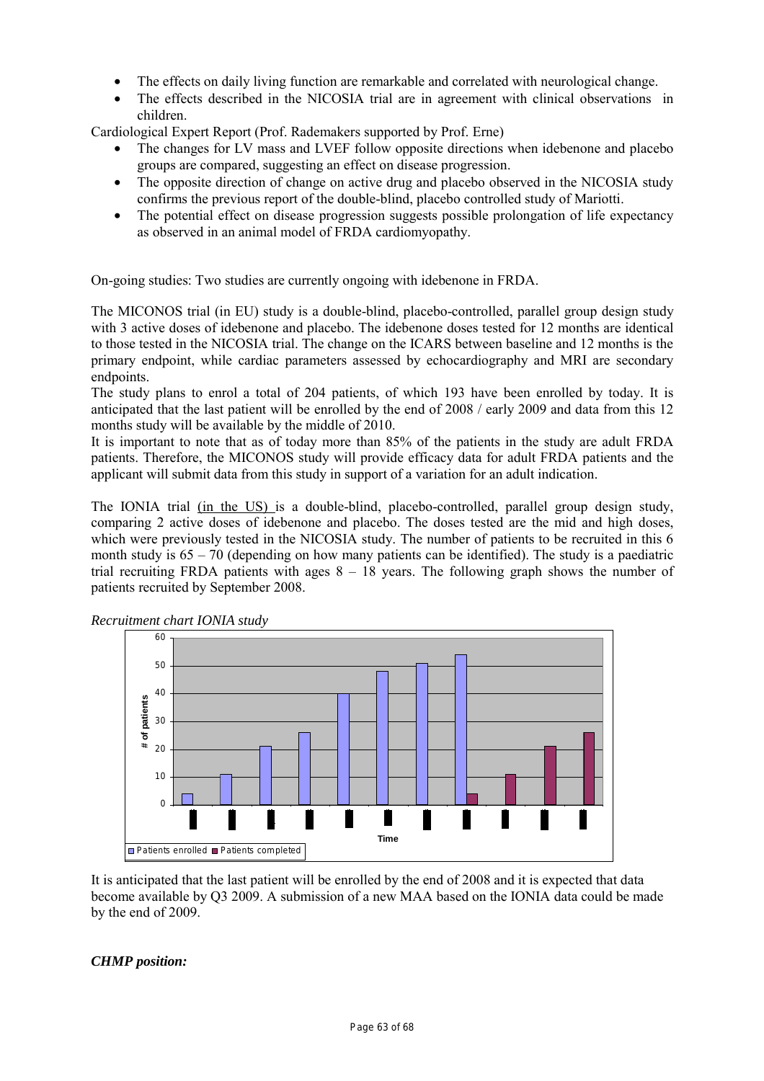- The effects on daily living function are remarkable and correlated with neurological change.
- The effects described in the NICOSIA trial are in agreement with clinical observations in children.

Cardiological Expert Report (Prof. Rademakers supported by Prof. Erne)

- The changes for LV mass and LVEF follow opposite directions when idebenone and placebo groups are compared, suggesting an effect on disease progression.
- The opposite direction of change on active drug and placebo observed in the NICOSIA study confirms the previous report of the double-blind, placebo controlled study of Mariotti.
- The potential effect on disease progression suggests possible prolongation of life expectancy as observed in an animal model of FRDA cardiomyopathy.

On-going studies: Two studies are currently ongoing with idebenone in FRDA.

The MICONOS trial (in EU) study is a double-blind, placebo-controlled, parallel group design study with 3 active doses of idebenone and placebo. The idebenone doses tested for 12 months are identical to those tested in the NICOSIA trial. The change on the ICARS between baseline and 12 months is the primary endpoint, while cardiac parameters assessed by echocardiography and MRI are secondary endpoints.

The study plans to enrol a total of 204 patients, of which 193 have been enrolled by today. It is anticipated that the last patient will be enrolled by the end of 2008 / early 2009 and data from this 12 months study will be available by the middle of 2010.

It is important to note that as of today more than 85% of the patients in the study are adult FRDA patients. Therefore, the MICONOS study will provide efficacy data for adult FRDA patients and the applicant will submit data from this study in support of a variation for an adult indication.

The IONIA trial (in the US) is a double-blind, placebo-controlled, parallel group design study, comparing 2 active doses of idebenone and placebo. The doses tested are the mid and high doses, which were previously tested in the NICOSIA study. The number of patients to be recruited in this 6 month study is  $65 - 70$  (depending on how many patients can be identified). The study is a paediatric trial recruiting FRDA patients with ages 8 – 18 years. The following graph shows the number of patients recruited by September 2008.





It is anticipated that the last patient will be enrolled by the end of 2008 and it is expected that data become available by Q3 2009. A submission of a new MAA based on the IONIA data could be made by the end of 2009.

*CHMP position:*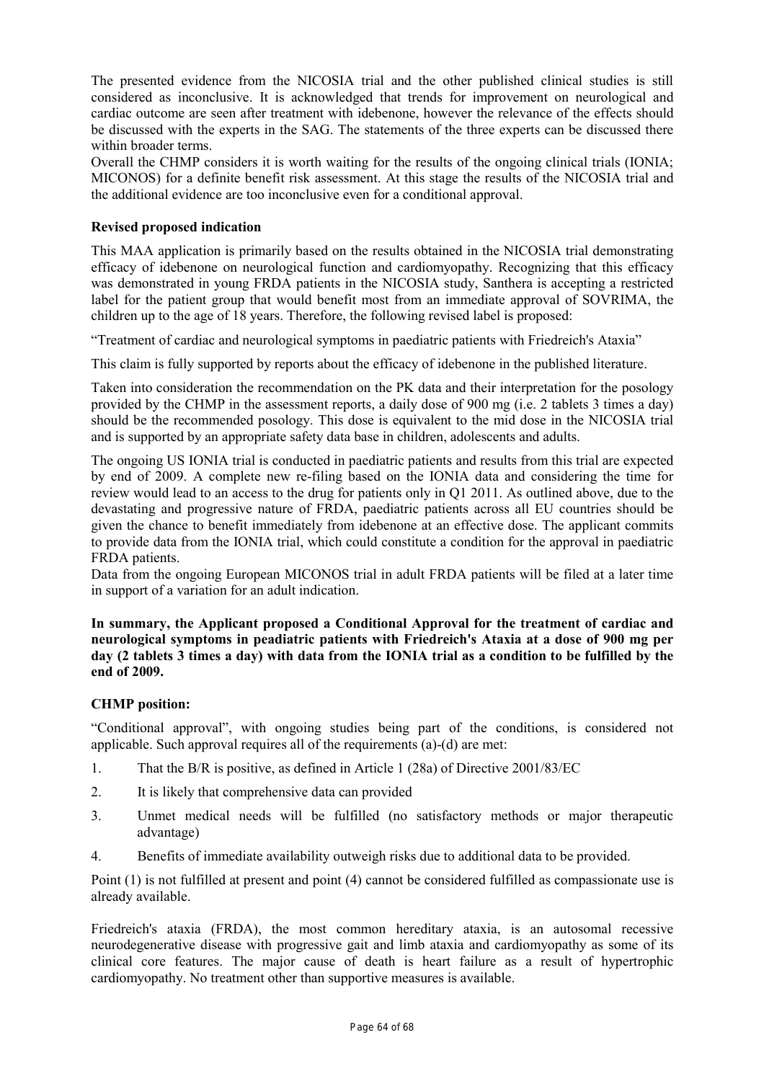The presented evidence from the NICOSIA trial and the other published clinical studies is still considered as inconclusive. It is acknowledged that trends for improvement on neurological and cardiac outcome are seen after treatment with idebenone, however the relevance of the effects should be discussed with the experts in the SAG. The statements of the three experts can be discussed there within broader terms.

Overall the CHMP considers it is worth waiting for the results of the ongoing clinical trials (IONIA; MICONOS) for a definite benefit risk assessment. At this stage the results of the NICOSIA trial and the additional evidence are too inconclusive even for a conditional approval.

# **Revised proposed indication**

This MAA application is primarily based on the results obtained in the NICOSIA trial demonstrating efficacy of idebenone on neurological function and cardiomyopathy. Recognizing that this efficacy was demonstrated in young FRDA patients in the NICOSIA study, Santhera is accepting a restricted label for the patient group that would benefit most from an immediate approval of SOVRIMA, the children up to the age of 18 years. Therefore, the following revised label is proposed:

"Treatment of cardiac and neurological symptoms in paediatric patients with Friedreich's Ataxia"

This claim is fully supported by reports about the efficacy of idebenone in the published literature.

Taken into consideration the recommendation on the PK data and their interpretation for the posology provided by the CHMP in the assessment reports, a daily dose of 900 mg (i.e. 2 tablets 3 times a day) should be the recommended posology. This dose is equivalent to the mid dose in the NICOSIA trial and is supported by an appropriate safety data base in children, adolescents and adults.

The ongoing US IONIA trial is conducted in paediatric patients and results from this trial are expected by end of 2009. A complete new re-filing based on the IONIA data and considering the time for review would lead to an access to the drug for patients only in Q1 2011. As outlined above, due to the devastating and progressive nature of FRDA, paediatric patients across all EU countries should be given the chance to benefit immediately from idebenone at an effective dose. The applicant commits to provide data from the IONIA trial, which could constitute a condition for the approval in paediatric FRDA patients.

Data from the ongoing European MICONOS trial in adult FRDA patients will be filed at a later time in support of a variation for an adult indication.

**In summary, the Applicant proposed a Conditional Approval for the treatment of cardiac and neurological symptoms in peadiatric patients with Friedreich's Ataxia at a dose of 900 mg per day (2 tablets 3 times a day) with data from the IONIA trial as a condition to be fulfilled by the end of 2009.** 

# **CHMP position:**

"Conditional approval", with ongoing studies being part of the conditions, is considered not applicable. Such approval requires all of the requirements (a)-(d) are met:

- 1. That the B/R is positive, as defined in Article 1 (28a) of Directive 2001/83/EC
- 2. It is likely that comprehensive data can provided
- 3. Unmet medical needs will be fulfilled (no satisfactory methods or major therapeutic advantage)
- 4. Benefits of immediate availability outweigh risks due to additional data to be provided.

Point (1) is not fulfilled at present and point (4) cannot be considered fulfilled as compassionate use is already available.

Friedreich's ataxia (FRDA), the most common hereditary ataxia, is an autosomal recessive neurodegenerative disease with progressive gait and limb ataxia and cardiomyopathy as some of its clinical core features. The major cause of death is heart failure as a result of hypertrophic cardiomyopathy. No treatment other than supportive measures is available.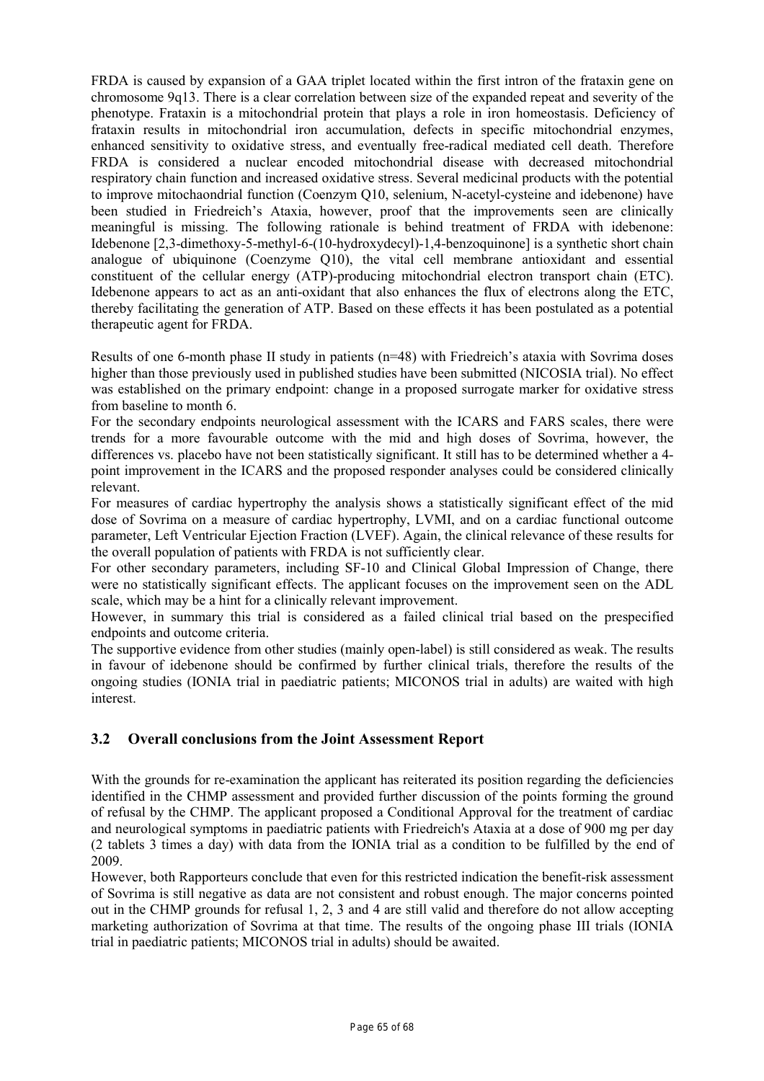FRDA is caused by expansion of a GAA triplet located within the first intron of the frataxin gene on chromosome 9q13. There is a clear correlation between size of the expanded repeat and severity of the phenotype. Frataxin is a mitochondrial protein that plays a role in iron homeostasis. Deficiency of frataxin results in mitochondrial iron accumulation, defects in specific mitochondrial enzymes, enhanced sensitivity to oxidative stress, and eventually free-radical mediated cell death. Therefore FRDA is considered a nuclear encoded mitochondrial disease with decreased mitochondrial respiratory chain function and increased oxidative stress. Several medicinal products with the potential to improve mitochaondrial function (Coenzym Q10, selenium, N-acetyl-cysteine and idebenone) have been studied in Friedreich's Ataxia, however, proof that the improvements seen are clinically meaningful is missing. The following rationale is behind treatment of FRDA with idebenone: Idebenone [2,3-dimethoxy-5-methyl-6-(10-hydroxydecyl)-1,4-benzoquinone] is a synthetic short chain analogue of ubiquinone (Coenzyme Q10), the vital cell membrane antioxidant and essential constituent of the cellular energy (ATP)-producing mitochondrial electron transport chain (ETC). Idebenone appears to act as an anti-oxidant that also enhances the flux of electrons along the ETC, thereby facilitating the generation of ATP. Based on these effects it has been postulated as a potential therapeutic agent for FRDA.

Results of one 6-month phase II study in patients (n=48) with Friedreich's ataxia with Sovrima doses higher than those previously used in published studies have been submitted (NICOSIA trial). No effect was established on the primary endpoint: change in a proposed surrogate marker for oxidative stress from baseline to month 6.

For the secondary endpoints neurological assessment with the ICARS and FARS scales, there were trends for a more favourable outcome with the mid and high doses of Sovrima, however, the differences vs. placebo have not been statistically significant. It still has to be determined whether a 4 point improvement in the ICARS and the proposed responder analyses could be considered clinically relevant.

For measures of cardiac hypertrophy the analysis shows a statistically significant effect of the mid dose of Sovrima on a measure of cardiac hypertrophy, LVMI, and on a cardiac functional outcome parameter, Left Ventricular Ejection Fraction (LVEF). Again, the clinical relevance of these results for the overall population of patients with FRDA is not sufficiently clear.

For other secondary parameters, including SF-10 and Clinical Global Impression of Change, there were no statistically significant effects. The applicant focuses on the improvement seen on the ADL scale, which may be a hint for a clinically relevant improvement.

However, in summary this trial is considered as a failed clinical trial based on the prespecified endpoints and outcome criteria.

The supportive evidence from other studies (mainly open-label) is still considered as weak. The results in favour of idebenone should be confirmed by further clinical trials, therefore the results of the ongoing studies (IONIA trial in paediatric patients; MICONOS trial in adults) are waited with high interest.

# **3.2 Overall conclusions from the Joint Assessment Report**

With the grounds for re-examination the applicant has reiterated its position regarding the deficiencies identified in the CHMP assessment and provided further discussion of the points forming the ground of refusal by the CHMP. The applicant proposed a Conditional Approval for the treatment of cardiac and neurological symptoms in paediatric patients with Friedreich's Ataxia at a dose of 900 mg per day (2 tablets 3 times a day) with data from the IONIA trial as a condition to be fulfilled by the end of 2009.

However, both Rapporteurs conclude that even for this restricted indication the benefit-risk assessment of Sovrima is still negative as data are not consistent and robust enough. The major concerns pointed out in the CHMP grounds for refusal 1, 2, 3 and 4 are still valid and therefore do not allow accepting marketing authorization of Sovrima at that time. The results of the ongoing phase III trials (IONIA trial in paediatric patients; MICONOS trial in adults) should be awaited.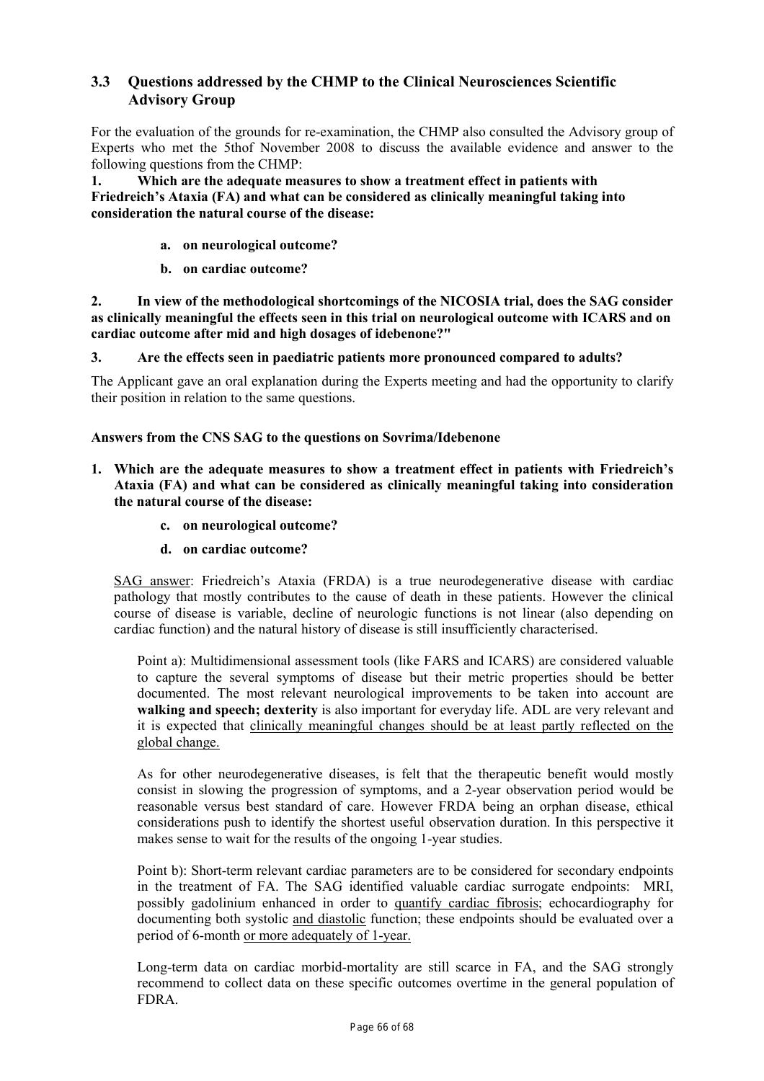# **3.3 Questions addressed by the CHMP to the Clinical Neurosciences Scientific Advisory Group**

For the evaluation of the grounds for re-examination, the CHMP also consulted the Advisory group of Experts who met the 5thof November 2008 to discuss the available evidence and answer to the following questions from the CHMP:

**1. Which are the adequate measures to show a treatment effect in patients with Friedreich's Ataxia (FA) and what can be considered as clinically meaningful taking into consideration the natural course of the disease:** 

- **a. on neurological outcome?**
- **b. on cardiac outcome?**

**2. In view of the methodological shortcomings of the NICOSIA trial, does the SAG consider as clinically meaningful the effects seen in this trial on neurological outcome with ICARS and on cardiac outcome after mid and high dosages of idebenone?"** 

**3. Are the effects seen in paediatric patients more pronounced compared to adults?** 

The Applicant gave an oral explanation during the Experts meeting and had the opportunity to clarify their position in relation to the same questions.

# **Answers from the CNS SAG to the questions on Sovrima/Idebenone**

- **1. Which are the adequate measures to show a treatment effect in patients with Friedreich's Ataxia (FA) and what can be considered as clinically meaningful taking into consideration the natural course of the disease:** 
	- **c. on neurological outcome?**
	- **d. on cardiac outcome?**

SAG answer: Friedreich's Ataxia (FRDA) is a true neurodegenerative disease with cardiac pathology that mostly contributes to the cause of death in these patients. However the clinical course of disease is variable, decline of neurologic functions is not linear (also depending on cardiac function) and the natural history of disease is still insufficiently characterised.

Point a): Multidimensional assessment tools (like FARS and ICARS) are considered valuable to capture the several symptoms of disease but their metric properties should be better documented. The most relevant neurological improvements to be taken into account are **walking and speech; dexterity** is also important for everyday life. ADL are very relevant and it is expected that clinically meaningful changes should be at least partly reflected on the global change.

As for other neurodegenerative diseases, is felt that the therapeutic benefit would mostly consist in slowing the progression of symptoms, and a 2-year observation period would be reasonable versus best standard of care. However FRDA being an orphan disease, ethical considerations push to identify the shortest useful observation duration. In this perspective it makes sense to wait for the results of the ongoing 1-year studies.

Point b): Short-term relevant cardiac parameters are to be considered for secondary endpoints in the treatment of FA. The SAG identified valuable cardiac surrogate endpoints: MRI, possibly gadolinium enhanced in order to quantify cardiac fibrosis; echocardiography for documenting both systolic and diastolic function; these endpoints should be evaluated over a period of 6-month or more adequately of 1-year.

Long-term data on cardiac morbid-mortality are still scarce in FA, and the SAG strongly recommend to collect data on these specific outcomes overtime in the general population of FDRA.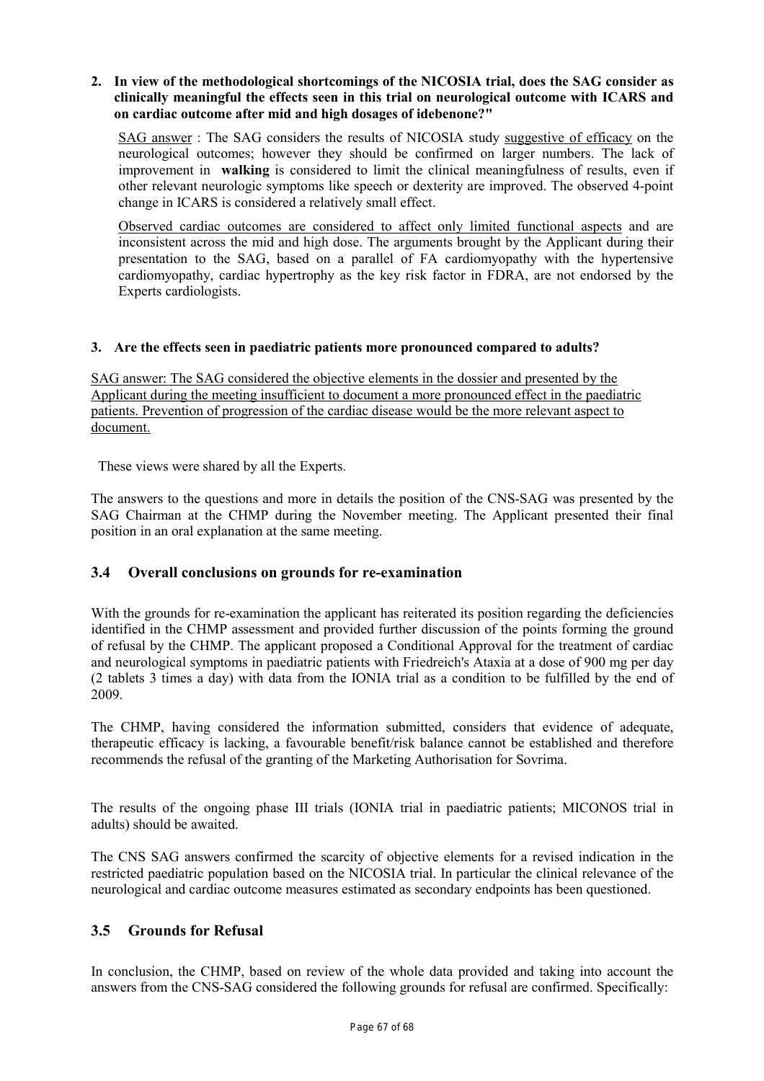# **2. In view of the methodological shortcomings of the NICOSIA trial, does the SAG consider as clinically meaningful the effects seen in this trial on neurological outcome with ICARS and on cardiac outcome after mid and high dosages of idebenone?"**

SAG answer : The SAG considers the results of NICOSIA study suggestive of efficacy on the neurological outcomes; however they should be confirmed on larger numbers. The lack of improvement in **walking** is considered to limit the clinical meaningfulness of results, even if other relevant neurologic symptoms like speech or dexterity are improved. The observed 4-point change in ICARS is considered a relatively small effect.

Observed cardiac outcomes are considered to affect only limited functional aspects and are inconsistent across the mid and high dose. The arguments brought by the Applicant during their presentation to the SAG, based on a parallel of FA cardiomyopathy with the hypertensive cardiomyopathy, cardiac hypertrophy as the key risk factor in FDRA, are not endorsed by the Experts cardiologists.

# **3. Are the effects seen in paediatric patients more pronounced compared to adults?**

SAG answer: The SAG considered the objective elements in the dossier and presented by the Applicant during the meeting insufficient to document a more pronounced effect in the paediatric patients. Prevention of progression of the cardiac disease would be the more relevant aspect to document.

These views were shared by all the Experts.

The answers to the questions and more in details the position of the CNS-SAG was presented by the SAG Chairman at the CHMP during the November meeting. The Applicant presented their final position in an oral explanation at the same meeting.

# **3.4 Overall conclusions on grounds for re-examination**

With the grounds for re-examination the applicant has reiterated its position regarding the deficiencies identified in the CHMP assessment and provided further discussion of the points forming the ground of refusal by the CHMP. The applicant proposed a Conditional Approval for the treatment of cardiac and neurological symptoms in paediatric patients with Friedreich's Ataxia at a dose of 900 mg per day (2 tablets 3 times a day) with data from the IONIA trial as a condition to be fulfilled by the end of 2009.

The CHMP, having considered the information submitted, considers that evidence of adequate, therapeutic efficacy is lacking, a favourable benefit/risk balance cannot be established and therefore recommends the refusal of the granting of the Marketing Authorisation for Sovrima.

The results of the ongoing phase III trials (IONIA trial in paediatric patients; MICONOS trial in adults) should be awaited.

The CNS SAG answers confirmed the scarcity of objective elements for a revised indication in the restricted paediatric population based on the NICOSIA trial. In particular the clinical relevance of the neurological and cardiac outcome measures estimated as secondary endpoints has been questioned.

# **3.5 Grounds for Refusal**

In conclusion, the CHMP, based on review of the whole data provided and taking into account the answers from the CNS-SAG considered the following grounds for refusal are confirmed. Specifically: